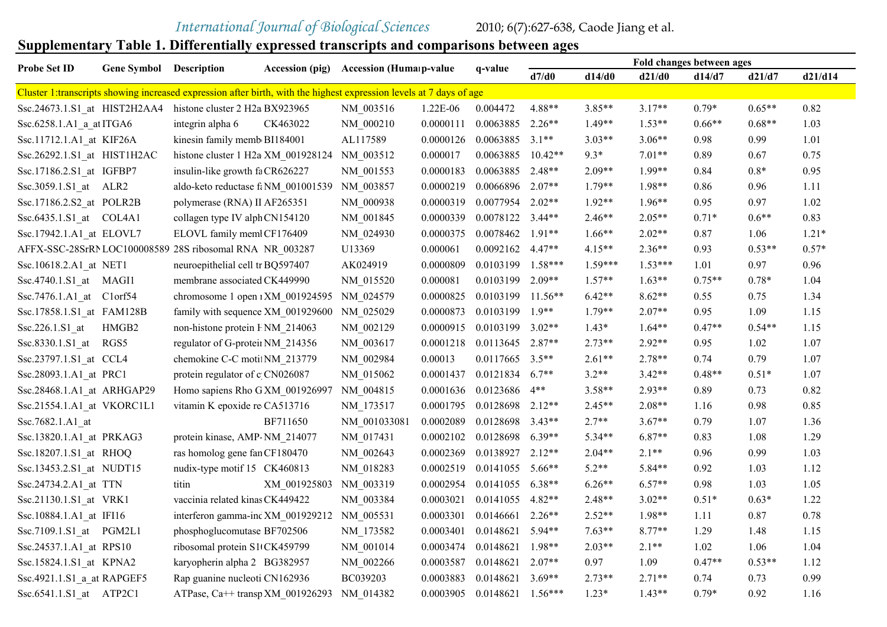## *International Journal of Biological Sciences* 2010; 6(7):627-638, Caode Jiang et al.

## **Supplementary Table 1. Differentially expressed transcripts and comparisons between ages**

| <b>Probe Set ID</b>            | <b>Gene Symbol</b> Description |                                                                                                                     | <b>Accession</b> (pig) | <b>Accession (Humap-value)</b> |           | q-value   |           |           |           | Fold changes between ages |          |         |
|--------------------------------|--------------------------------|---------------------------------------------------------------------------------------------------------------------|------------------------|--------------------------------|-----------|-----------|-----------|-----------|-----------|---------------------------|----------|---------|
|                                |                                |                                                                                                                     |                        |                                |           |           | d7/d0     | d14/d0    | d21/d0    | d14/d7                    | d21/d7   | d21/d14 |
|                                |                                | Cluster 1:transcripts showing increased expression after birth, with the highest expression levels at 7 days of age |                        |                                |           |           |           |           |           |                           |          |         |
| Ssc.24673.1.S1_at HIST2H2AA4   |                                | histone cluster 2 H2a BX923965                                                                                      |                        | NM 003516                      | 1.22E-06  | 0.004472  | 4.88**    | $3.85**$  | $3.17**$  | $0.79*$                   | $0.65**$ | 0.82    |
| Ssc.6258.1.A1_a_at ITGA6       |                                | integrin alpha 6                                                                                                    | CK463022               | NM 000210                      | 0.0000111 | 0.0063885 | $2.26**$  | $1.49**$  | $1.53**$  | $0.66**$                  | $0.68**$ | 1.03    |
| Ssc.11712.1.A1 at KIF26A       |                                | kinesin family memb BI184001                                                                                        |                        | AL117589                       | 0.0000126 | 0.0063885 | $3.1**$   | $3.03**$  | $3.06**$  | 0.98                      | 0.99     | 1.01    |
| Ssc.26292.1.S1_at HIST1H2AC    |                                | histone cluster 1 H2a XM_001928124                                                                                  |                        | NM 003512                      | 0.000017  | 0.0063885 | $10.42**$ | $9.3*$    | $7.01**$  | 0.89                      | 0.67     | 0.75    |
| Ssc.17186.2.S1 at IGFBP7       |                                | insulin-like growth fa CR626227                                                                                     |                        | NM 001553                      | 0.0000183 | 0.0063885 | $2.48**$  | $2.09**$  | 1.99**    | 0.84                      | $0.8*$   | 0.95    |
| Ssc.3059.1.S1 at ALR2          |                                | aldo-keto reductase f: NM 001001539                                                                                 |                        | NM 003857                      | 0.0000219 | 0.0066896 | $2.07**$  | $1.79**$  | 1.98**    | 0.86                      | 0.96     | 1.11    |
| Ssc.17186.2.S2 at POLR2B       |                                | polymerase (RNA) II AF265351                                                                                        |                        | NM 000938                      | 0.0000319 | 0.0077954 | $2.02**$  | $1.92**$  | $1.96**$  | 0.95                      | 0.97     | 1.02    |
| Ssc.6435.1.S1 at COL4A1        |                                | collagen type IV alph CN154120                                                                                      |                        | NM 001845                      | 0.0000339 | 0.0078122 | $3.44**$  | $2.46**$  | $2.05**$  | $0.71*$                   | $0.6**$  | 0.83    |
| Ssc.17942.1.A1 at ELOVL7       |                                | ELOVL family meml CF176409                                                                                          |                        | NM 024930                      | 0.0000375 | 0.0078462 | $1.91**$  | $1.66**$  | $2.02**$  | 0.87                      | 1.06     | $1.21*$ |
|                                |                                | AFFX-SSC-28SrRNLOC100008589 28S ribosomal RNA NR 003287                                                             |                        | U13369                         | 0.000061  | 0.0092162 | $4.47**$  | $4.15**$  | $2.36**$  | 0.93                      | $0.53**$ | $0.57*$ |
| Ssc.10618.2.A1 at NET1         |                                | neuroepithelial cell tr BQ597407                                                                                    |                        | AK024919                       | 0.0000809 | 0.0103199 | $1.58***$ | $1.59***$ | $1.53***$ | 1.01                      | 0.97     | 0.96    |
| Ssc.4740.1.S1 at MAGI1         |                                | membrane associated CK449990                                                                                        |                        | NM 015520                      | 0.000081  | 0.0103199 | $2.09**$  | $1.57**$  | $1.63**$  | $0.75**$                  | $0.78*$  | 1.04    |
| Ssc. 7476.1.A1 at Clorf54      |                                | chromosome 1 open 1XM 001924595                                                                                     |                        | NM 024579                      | 0.0000825 | 0.0103199 | $11.56**$ | $6.42**$  | $8.62**$  | 0.55                      | 0.75     | 1.34    |
| Ssc.17858.1.S1 at FAM128B      |                                | family with sequence XM 001929600                                                                                   |                        | NM 025029                      | 0.0000873 | 0.0103199 | $1.9**$   | $1.79**$  | $2.07**$  | 0.95                      | 1.09     | 1.15    |
| $Ssc.226.1.S1$ <sub>_</sub> at | HMGB2                          | non-histone protein FNM 214063                                                                                      |                        | NM 002129                      | 0.0000915 | 0.0103199 | $3.02**$  | $1.43*$   | $1.64**$  | $0.47**$                  | $0.54**$ | 1.15    |
| Ssc.8330.1.S1 at               | RGS5                           | regulator of G-protein NM_214356                                                                                    |                        | NM_003617                      | 0.0001218 | 0.0113645 | $2.87**$  | $2.73**$  | $2.92**$  | 0.95                      | 1.02     | 1.07    |
| Ssc.23797.1.S1 at CCL4         |                                | chemokine C-C moti: NM 213779                                                                                       |                        | NM 002984                      | 0.00013   | 0.0117665 | $3.5**$   | $2.61**$  | $2.78**$  | 0.74                      | 0.79     | 1.07    |
| Ssc.28093.1.A1 at PRC1         |                                | protein regulator of c CN026087                                                                                     |                        | NM_015062                      | 0.0001437 | 0.0121834 | $6.7**$   | $3.2**$   | $3.42**$  | $0.48**$                  | $0.51*$  | 1.07    |
| Ssc.28468.1.A1_at ARHGAP29     |                                | Homo sapiens Rho G XM 001926997                                                                                     |                        | NM 004815                      | 0.0001636 | 0.0123686 | $4**$     | $3.58**$  | $2.93**$  | 0.89                      | 0.73     | 0.82    |
| Ssc.21554.1.A1 at VKORC1L1     |                                | vitamin K epoxide re CA513716                                                                                       |                        | NM 173517                      | 0.0001795 | 0.0128698 | $2.12**$  | $2.45**$  | $2.08**$  | 1.16                      | 0.98     | 0.85    |
| Ssc.7682.1.A1 at               |                                |                                                                                                                     | BF711650               | NM 001033081                   | 0.0002089 | 0.0128698 | $3.43**$  | $2.7**$   | $3.67**$  | 0.79                      | 1.07     | 1.36    |
| Ssc.13820.1.A1_at PRKAG3       |                                | protein kinase, AMP NM 214077                                                                                       |                        | NM_017431                      | 0.0002102 | 0.0128698 | $6.39**$  | $5.34**$  | $6.87**$  | 0.83                      | 1.08     | 1.29    |
| Ssc.18207.1.S1 at RHOQ         |                                | ras homolog gene fan CF180470                                                                                       |                        | NM 002643                      | 0.0002369 | 0.0138927 | $2.12**$  | $2.04**$  | $2.1**$   | 0.96                      | 0.99     | 1.03    |
| Ssc.13453.2.S1 at NUDT15       |                                | nudix-type motif 15 CK460813                                                                                        |                        | NM_018283                      | 0.0002519 | 0.0141055 | $5.66**$  | $5.2**$   | $5.84**$  | 0.92                      | 1.03     | 1.12    |
| Ssc.24734.2.A1 at TTN          |                                | titin                                                                                                               | XM 001925803           | NM 003319                      | 0.0002954 | 0.0141055 | $6.38**$  | $6.26**$  | $6.57**$  | 0.98                      | 1.03     | 1.05    |
| Ssc.21130.1.S1 at VRK1         |                                | vaccinia related kinas CK449422                                                                                     |                        | NM 003384                      | 0.0003021 | 0.0141055 | $4.82**$  | $2.48**$  | $3.02**$  | $0.51*$                   | $0.63*$  | 1.22    |
| Ssc.10884.1.A1 at IFI16        |                                | interferon gamma-inc XM 001929212                                                                                   |                        | NM 005531                      | 0.0003301 | 0.0146661 | $2.26**$  | $2.52**$  | 1.98**    | 1.11                      | 0.87     | 0.78    |
| Ssc.7109.1.S1 at PGM2L1        |                                | phosphoglucomutase BF702506                                                                                         |                        | NM 173582                      | 0.0003401 | 0.0148621 | $5.94**$  | $7.63**$  | $8.77**$  | 1.29                      | 1.48     | 1.15    |
| Ssc.24537.1.A1 at RPS10        |                                | ribosomal protein S1(CK459799                                                                                       |                        | NM_001014                      | 0.0003474 | 0.0148621 | $1.98**$  | $2.03**$  | $2.1**$   | 1.02                      | 1.06     | 1.04    |
| Ssc.15824.1.S1 at KPNA2        |                                | karyopherin alpha 2 BG382957                                                                                        |                        | NM 002266                      | 0.0003587 | 0.0148621 | $2.07**$  | 0.97      | 1.09      | $0.47**$                  | $0.53**$ | 1.12    |
| Ssc.4921.1.S1_a_at RAPGEF5     |                                | Rap guanine nucleoti CN162936                                                                                       |                        | BC039203                       | 0.0003883 | 0.0148621 | $3.69**$  | $2.73**$  | $2.71**$  | 0.74                      | 0.73     | 0.99    |
| Ssc.6541.1.S1 at ATP2C1        |                                | ATPase, Ca++ transp XM_001926293                                                                                    |                        | NM 014382                      | 0.0003905 | 0.0148621 | $1.56***$ | $1.23*$   | $1.43**$  | $0.79*$                   | 0.92     | 1.16    |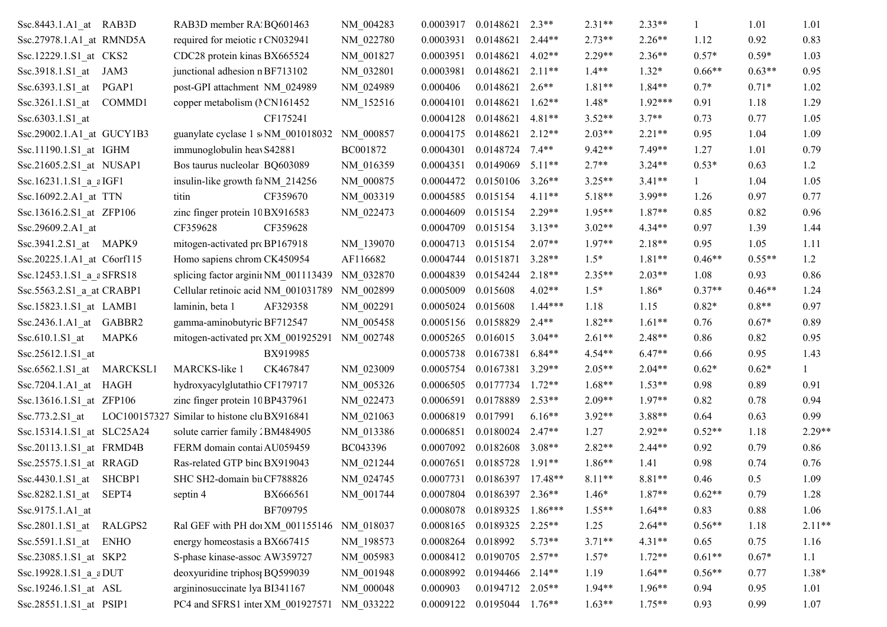| Ssc.8443.1.A1 at RAB3D                   | RAB3D member RA BQ601463                     | NM 004283 | 0.0003917 | 0.0148621                     | $2.3**$   | $2.31**$ | 2.33**    |              | 1.01     | 1.01     |
|------------------------------------------|----------------------------------------------|-----------|-----------|-------------------------------|-----------|----------|-----------|--------------|----------|----------|
| Ssc.27978.1.A1 at RMND5A                 | required for meiotic r CN032941              | NM 022780 | 0.0003931 | 0.0148621                     | $2.44**$  | $2.73**$ | $2.26**$  | 1.12         | 0.92     | 0.83     |
| Ssc.12229.1.S1 at CKS2                   | CDC28 protein kinas BX665524                 | NM 001827 | 0.0003951 | 0.0148621                     | $4.02**$  | $2.29**$ | $2.36**$  | $0.57*$      | $0.59*$  | 1.03     |
| Ssc.3918.1.S1_at JAM3                    | junctional adhesion n BF713102               | NM 032801 | 0.0003981 | 0.0148621                     | $2.11**$  | $1.4**$  | $1.32*$   | $0.66**$     | $0.63**$ | 0.95     |
| Ssc.6393.1.S1 at PGAP1                   | post-GPI attachment NM 024989                | NM 024989 | 0.000406  | 0.0148621                     | $2.6**$   | $1.81**$ | $1.84**$  | $0.7*$       | $0.71*$  | 1.02     |
| $Ssc.3261.1.S1$ <sub>_at</sub><br>COMMD1 | copper metabolism ( $\text{CN}161452$        | NM 152516 | 0.0004101 | 0.0148621                     | $1.62**$  | $1.48*$  | $1.92***$ | 0.91         | 1.18     | 1.29     |
| Ssc.6303.1.S1 at                         | CF175241                                     |           | 0.0004128 | 0.0148621                     | $4.81**$  | $3.52**$ | $3.7**$   | 0.73         | 0.77     | 1.05     |
| Ssc.29002.1.A1_at GUCY1B3                | guanylate cyclase 1 s NM 001018032           | NM 000857 | 0.0004175 | 0.0148621                     | $2.12**$  | $2.03**$ | $2.21**$  | 0.95         | 1.04     | 1.09     |
| Ssc.11190.1.S1_at IGHM                   | immunoglobulin heav S42881                   | BC001872  | 0.0004301 | 0.0148724                     | $7.4**$   | $9.42**$ | 7.49**    | 1.27         | 1.01     | 0.79     |
| Ssc.21605.2.S1_at NUSAP1                 | Bos taurus nucleolar BQ603089                | NM_016359 | 0.0004351 | 0.0149069                     | $5.11**$  | $2.7**$  | $3.24**$  | $0.53*$      | 0.63     | 1.2      |
| Ssc.16231.1.S1_a_aIGF1                   | insulin-like growth fa NM_214256             | NM 000875 | 0.0004472 | 0.0150106                     | $3.26**$  | $3.25**$ | $3.41**$  | $\mathbf{1}$ | 1.04     | 1.05     |
| Ssc.16092.2.A1_at TTN                    | CF359670<br>titin                            | NM 003319 | 0.0004585 | 0.015154                      | $4.11**$  | $5.18**$ | 3.99**    | 1.26         | 0.97     | 0.77     |
| Ssc.13616.2.S1_at ZFP106                 | zinc finger protein 10BX916583               | NM_022473 | 0.0004609 | 0.015154                      | $2.29**$  | $1.95**$ | $1.87**$  | 0.85         | 0.82     | 0.96     |
| Ssc.29609.2.A1 at                        | CF359628<br>CF359628                         |           | 0.0004709 | 0.015154                      | $3.13**$  | $3.02**$ | $4.34**$  | 0.97         | 1.39     | 1.44     |
| Ssc.3941.2.S1_at MAPK9                   | mitogen-activated pro BP167918               | NM 139070 | 0.0004713 | 0.015154                      | $2.07**$  | $1.97**$ | $2.18**$  | 0.95         | 1.05     | 1.11     |
| Ssc.20225.1.A1 at C6orf115               | Homo sapiens chrom CK450954                  | AF116682  | 0.0004744 | 0.0151871                     | $3.28**$  | $1.5*$   | $1.81**$  | $0.46**$     | $0.55**$ | 1.2      |
| Ssc.12453.1.S1_a_aSFRS18                 | splicing factor arginii NM 001113439         | NM 032870 | 0.0004839 | 0.0154244                     | $2.18**$  | $2.35**$ | $2.03**$  | 1.08         | 0.93     | 0.86     |
| Ssc.5563.2.S1_a_at CRABP1                | Cellular retinoic acid NM_001031789          | NM 002899 | 0.0005009 | 0.015608                      | $4.02**$  | $1.5*$   | $1.86*$   | $0.37**$     | $0.46**$ | 1.24     |
| Ssc.15823.1.S1_at LAMB1                  | laminin, beta 1<br>AF329358                  | NM 002291 | 0.0005024 | 0.015608                      | $1.44***$ | 1.18     | 1.15      | $0.82*$      | $0.8**$  | 0.97     |
| Ssc.2436.1.A1 at GABBR2                  | gamma-aminobutyric BF712547                  | NM 005458 | 0.0005156 | 0.0158829                     | $2.4**$   | $1.82**$ | $1.61**$  | 0.76         | $0.67*$  | 0.89     |
| $Ssc.610.1.S1$ <sub>_at</sub><br>MAPK6   | mitogen-activated pro XM_001925291           | NM 002748 | 0.0005265 | 0.016015                      | $3.04**$  | $2.61**$ | $2.48**$  | 0.86         | 0.82     | 0.95     |
| Ssc.25612.1.S1 at                        | BX919985                                     |           | 0.0005738 | 0.0167381                     | $6.84**$  | $4.54**$ | $6.47**$  | 0.66         | 0.95     | 1.43     |
| Ssc.6562.1.S1_at MARCKSL1                | MARCKS-like 1<br>CK467847                    | NM 023009 | 0.0005754 | 0.0167381                     | $3.29**$  | $2.05**$ | $2.04**$  | $0.62*$      | $0.62*$  |          |
| Ssc.7204.1.A1 at HAGH                    | hydroxyacylglutathio CF179717                | NM 005326 | 0.0006505 | 0.0177734                     | $1.72**$  | $1.68**$ | $1.53**$  | 0.98         | 0.89     | 0.91     |
| Ssc.13616.1.S1_at ZFP106                 | zinc finger protein 10 BP437961              | NM_022473 | 0.0006591 | 0.0178889                     | $2.53**$  | $2.09**$ | $1.97**$  | 0.82         | 0.78     | 0.94     |
| Ssc.773.2.S1_at                          | LOC100157327 Similar to histone clu BX916841 | NM 021063 | 0.0006819 | 0.017991                      | $6.16**$  | $3.92**$ | 3.88**    | 0.64         | 0.63     | 0.99     |
| Ssc.15314.1.S1_at SLC25A24               | solute carrier family 2BM484905              | NM_013386 | 0.0006851 | 0.0180024                     | $2.47**$  | 1.27     | $2.92**$  | $0.52**$     | 1.18     | $2.29**$ |
| Ssc.20113.1.S1 at FRMD4B                 | FERM domain conta AU059459                   | BC043396  | 0.0007092 | 0.0182608                     | $3.08**$  | $2.82**$ | $2.44**$  | 0.92         | 0.79     | 0.86     |
| Ssc.25575.1.S1_at RRAGD                  | Ras-related GTP binc BX919043                | NM 021244 | 0.0007651 | 0.0185728                     | $1.91**$  | $1.86**$ | 1.41      | 0.98         | 0.74     | 0.76     |
| Ssc.4430.1.S1 at SHCBP1                  | SHC SH2-domain bii CF788826                  | NM_024745 |           | 0.0007731  0.0186397  17.48** |           | $8.11**$ | 8.81**    | 0.46         | 0.5      | 1.09     |
| Ssc.8282.1.S1_at SEPT4                   | BX666561<br>septin 4                         | NM_001744 | 0.0007804 | 0.0186397 2.36**              |           | $1.46*$  | $1.87**$  | $0.62**$     | 0.79     | 1.28     |
| Ssc.9175.1.A1 at                         | BF709795                                     |           | 0.0008078 | 0.0189325                     | $1.86***$ | $1.55**$ | $1.64**$  | 0.83         | 0.88     | 1.06     |
| Ssc.2801.1.S1 at RALGPS2                 | Ral GEF with PH doi XM 001155146             | NM 018037 | 0.0008165 | 0.0189325                     | $2.25**$  | 1.25     | $2.64**$  | $0.56**$     | 1.18     | $2.11**$ |
| Ssc.5591.1.S1_at ENHO                    | energy homeostasis a BX667415                | NM_198573 | 0.0008264 | 0.018992                      | $5.73**$  | $3.71**$ | $4.31**$  | 0.65         | 0.75     | 1.16     |
| Ssc.23085.1.S1_at SKP2                   | S-phase kinase-assoc AW359727                | NM 005983 | 0.0008412 | $0.0190705$ 2.57**            |           | $1.57*$  | $1.72**$  | $0.61**$     | $0.67*$  | 1.1      |
| Ssc.19928.1.S1_a_aDUT                    | deoxyuridine triphos BQ599039                | NM_001948 | 0.0008992 | 0.0194466                     | $2.14**$  | 1.19     | $1.64**$  | $0.56**$     | 0.77     | $1.38*$  |
| Ssc.19246.1.S1 at ASL                    | argininosuccinate lya BI341167               | NM 000048 | 0.000903  | $0.0194712$ 2.05**            |           | $1.94**$ | $1.96**$  | 0.94         | 0.95     | 1.01     |
| Ssc.28551.1.S1 at PSIP1                  | PC4 and SFRS1 inter XM_001927571             | NM 033222 | 0.0009122 | $0.0195044$ 1.76**            |           | $1.63**$ | $1.75**$  | 0.93         | 0.99     | 1.07     |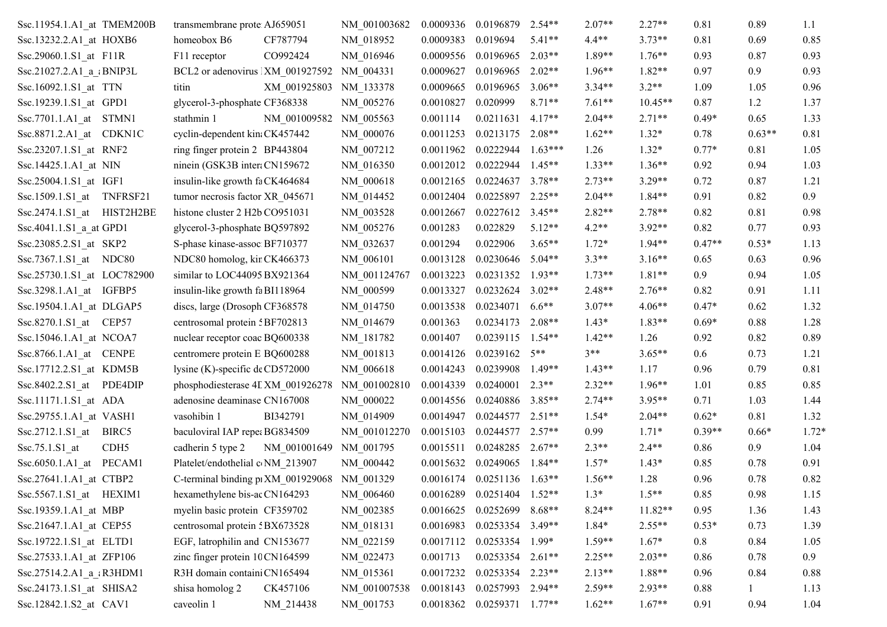| Ssc.11954.1.A1_at TMEM200B           | transmembrane prote AJ659051                 |                        | NM 001003682 | 0.0009336 | 0.0196879                        | $2.54**$  | $2.07**$ | $2.27**$  | 0.81     | 0.89     | 1.1     |
|--------------------------------------|----------------------------------------------|------------------------|--------------|-----------|----------------------------------|-----------|----------|-----------|----------|----------|---------|
| Ssc.13232.2.A1_at HOXB6              | homeobox B6                                  | CF787794               | NM 018952    | 0.0009383 | 0.019694                         | $5.41**$  | $4.4**$  | $3.73**$  | 0.81     | 0.69     | 0.85    |
| Ssc.29060.1.S1_at F11R               | F11 receptor                                 | CO992424               | NM 016946    | 0.0009556 | 0.0196965                        | $2.03**$  | $1.89**$ | $1.76**$  | 0.93     | 0.87     | 0.93    |
| Ssc.21027.2.A1 a {BNIP3L}            | BCL2 or adenovirus XM 001927592 NM 004331    |                        |              | 0.0009627 | 0.0196965                        | $2.02**$  | $1.96**$ | $1.82**$  | 0.97     | 0.9      | 0.93    |
| Ssc.16092.1.S1_at TTN                | titin                                        | XM_001925803           | NM_133378    | 0.0009665 | 0.0196965                        | $3.06**$  | $3.34**$ | $3.2**$   | 1.09     | 1.05     | 0.96    |
| Ssc.19239.1.S1_at GPD1               | glycerol-3-phosphate CF368338                |                        | NM 005276    | 0.0010827 | 0.020999                         | $8.71**$  | $7.61**$ | $10.45**$ | 0.87     | 1.2      | 1.37    |
| $Ssc.7701.1.A1_at$ STMN1             | stathmin 1                                   | NM_001009582           | NM 005563    | 0.001114  | 0.0211631                        | $4.17**$  | $2.04**$ | $2.71**$  | $0.49*$  | 0.65     | 1.33    |
| Ssc.8871.2.A1 at CDKN1C              | cyclin-dependent kin CK457442                |                        | NM 000076    | 0.0011253 | 0.0213175                        | $2.08**$  | $1.62**$ | $1.32*$   | 0.78     | $0.63**$ | 0.81    |
| Ssc.23207.1.S1_at RNF2               | ring finger protein 2 BP443804               |                        | NM 007212    | 0.0011962 | 0.0222944                        | $1.63***$ | 1.26     | $1.32*$   | $0.77*$  | 0.81     | 1.05    |
| Ssc.14425.1.A1_at NIN                | ninein (GSK3B intera CN159672)               |                        | NM 016350    | 0.0012012 | 0.0222944                        | $1.45**$  | $1.33**$ | $1.36**$  | 0.92     | 0.94     | 1.03    |
| Ssc.25004.1.S1_at IGF1               | insulin-like growth fa CK464684              |                        | NM 000618    | 0.0012165 | 0.0224637                        | $3.78**$  | $2.73**$ | $3.29**$  | 0.72     | 0.87     | 1.21    |
| Ssc.1509.1.S1_at TNFRSF21            | tumor necrosis factor XR_045671              |                        | NM_014452    | 0.0012404 | 0.0225897                        | $2.25**$  | $2.04**$ | $1.84**$  | 0.91     | 0.82     | 0.9     |
| Ssc.2474.1.S1_at HIST2H2BE           | histone cluster 2 H2b CO951031               |                        | NM 003528    | 0.0012667 | 0.0227612                        | $3.45**$  | $2.82**$ | $2.78**$  | 0.82     | 0.81     | 0.98    |
| Ssc.4041.1.S1 a at GPD1              | glycerol-3-phosphate BQ597892                |                        | NM 005276    | 0.001283  | 0.022829                         | $5.12**$  | $4.2**$  | $3.92**$  | 0.82     | 0.77     | 0.93    |
| Ssc.23085.2.S1_at SKP2               | S-phase kinase-assoc BF710377                |                        | NM 032637    | 0.001294  | 0.022906                         | $3.65**$  | $1.72*$  | $1.94**$  | $0.47**$ | $0.53*$  | 1.13    |
| Ssc.7367.1.S1_at NDC80               | NDC80 homolog, kir CK466373                  |                        | NM 006101    | 0.0013128 | 0.0230646                        | $5.04**$  | $3.3**$  | $3.16**$  | 0.65     | 0.63     | 0.96    |
| Ssc.25730.1.S1_at LOC782900          | similar to LOC44095 BX921364                 |                        | NM 001124767 | 0.0013223 | 0.0231352                        | $1.93**$  | $1.73**$ | $1.81**$  | 0.9      | 0.94     | 1.05    |
| Ssc.3298.1.A1_at IGFBP5              | insulin-like growth fa BI118964              |                        | NM 000599    | 0.0013327 | 0.0232624                        | $3.02**$  | $2.48**$ | $2.76**$  | 0.82     | 0.91     | 1.11    |
| Ssc.19504.1.A1_at DLGAP5             | discs, large (Drosoph CF368578)              |                        | NM 014750    | 0.0013538 | 0.0234071                        | $6.6**$   | $3.07**$ | $4.06**$  | $0.47*$  | 0.62     | 1.32    |
| Ssc.8270.1.S1_at CEP57               | centrosomal protein: BF702813                |                        | NM 014679    | 0.001363  | 0.0234173                        | $2.08**$  | $1.43*$  | $1.83**$  | $0.69*$  | 0.88     | 1.28    |
| Ssc.15046.1.A1_at NCOA7              | nuclear receptor coac BQ600338               |                        | NM_181782    | 0.001407  | 0.0239115                        | $1.54**$  | $1.42**$ | 1.26      | 0.92     | 0.82     | 0.89    |
| Ssc.8766.1.A1_at CENPE               | centromere protein E BQ600288                |                        | NM_001813    | 0.0014126 | $0.0239162 \quad 5**$            |           | $3**$    | $3.65**$  | 0.6      | 0.73     | 1.21    |
| Ssc.17712.2.S1_at KDM5B              | lysine (K)-specific de CD572000              |                        | NM_006618    | 0.0014243 | 0.0239908                        | $1.49**$  | $1.43**$ | 1.17      | 0.96     | 0.79     | 0.81    |
| $Ssc.8402.2.S1$ _at PDE4DIP          | phosphodiesterase 4L XM_001926278            |                        | NM_001002810 | 0.0014339 | 0.0240001                        | $2.3**$   | $2.32**$ | $1.96**$  | 1.01     | 0.85     | 0.85    |
| Ssc.11171.1.S1_at ADA                | adenosine deaminase CN167008                 |                        | NM_000022    | 0.0014556 | 0.0240886                        | $3.85**$  | $2.74**$ | $3.95**$  | 0.71     | 1.03     | 1.44    |
| Ssc.29755.1.A1_at VASH1              | vasohibin 1                                  | BI342791               | NM 014909    | 0.0014947 | 0.0244577                        | $2.51**$  | $1.54*$  | $2.04**$  | $0.62*$  | 0.81     | 1.32    |
| Ssc.2712.1.S1_at BIRC5               | baculoviral IAP repea BG834509               |                        | NM_001012270 | 0.0015103 | 0.0244577                        | $2.57**$  | 0.99     | $1.71*$   | $0.39**$ | $0.66*$  | $1.72*$ |
| CDH <sub>5</sub><br>$Ssc.75.1.S1$ at | cadherin 5 type 2                            | NM 001001649 NM 001795 |              | 0.0015511 | 0.0248285                        | $2.67**$  | $2.3**$  | $2.4**$   | 0.86     | 0.9      | 1.04    |
| Ssc.6050.1.A1_at PECAM1              | Platelet/endothelial c NM 213907             |                        | NM 000442    | 0.0015632 | 0.0249065                        | $1.84**$  | $1.57*$  | $1.43*$   | 0.85     | 0.78     | 0.91    |
| Ssc.27641.1.A1_at CTBP2              | C-terminal binding pl XM_001929068 NM_001329 |                        |              |           | $0.0016174$ $0.0251136$ $1.63**$ |           | $1.56**$ | 1.28      | 0.96     | 0.78     | 0.82    |
| Ssc.5567.1.S1 at HEXIM1              | hexamethylene bis-ac CN164293                |                        | NM 006460    | 0.0016289 | $0.0251404$ 1.52**               |           | $1.3*$   | $1.5**$   | 0.85     | 0.98     | 1.15    |
| Ssc.19359.1.A1_at MBP                | myelin basic protein CF359702                |                        | NM 002385    | 0.0016625 | 0.0252699 8.68**                 |           | $8.24**$ | 11.82**   | 0.95     | 1.36     | 1.43    |
| Ssc.21647.1.A1_at CEP55              | centrosomal protein: BX673528                |                        | NM 018131    | 0.0016983 | 0.0253354 3.49**                 |           | 1.84*    | $2.55**$  | $0.53*$  | 0.73     | 1.39    |
| Ssc.19722.1.S1_at ELTD1              | EGF, latrophilin and CN153677                |                        | NM_022159    | 0.0017112 | 0.0253354                        | $1.99*$   | $1.59**$ | $1.67*$   | 0.8      | 0.84     | 1.05    |
| Ssc.27533.1.A1 at ZFP106             | zinc finger protein 10 CN164599              |                        | NM 022473    | 0.001713  | $0.0253354$ 2.61**               |           | $2.25**$ | $2.03**$  | 0.86     | 0.78     | 0.9     |
| Ssc.27514.2.A1_a_¿R3HDM1             | R3H domain containi CN165494                 |                        | NM_015361    | 0.0017232 | 0.0253354                        | $2.23**$  | $2.13**$ | 1.88**    | 0.96     | 0.84     | 0.88    |
| Ssc.24173.1.S1 at SHISA2             | shisa homolog 2                              | CK457106               | NM 001007538 | 0.0018143 | 0.0257993 2.94**                 |           | $2.59**$ | $2.93**$  | 0.88     |          | 1.13    |
| Ssc.12842.1.S2_at CAV1               | caveolin 1                                   | NM_214438              | NM_001753    |           | 0.0018362  0.0259371  1.77**     |           | $1.62**$ | $1.67**$  | 0.91     | 0.94     | 1.04    |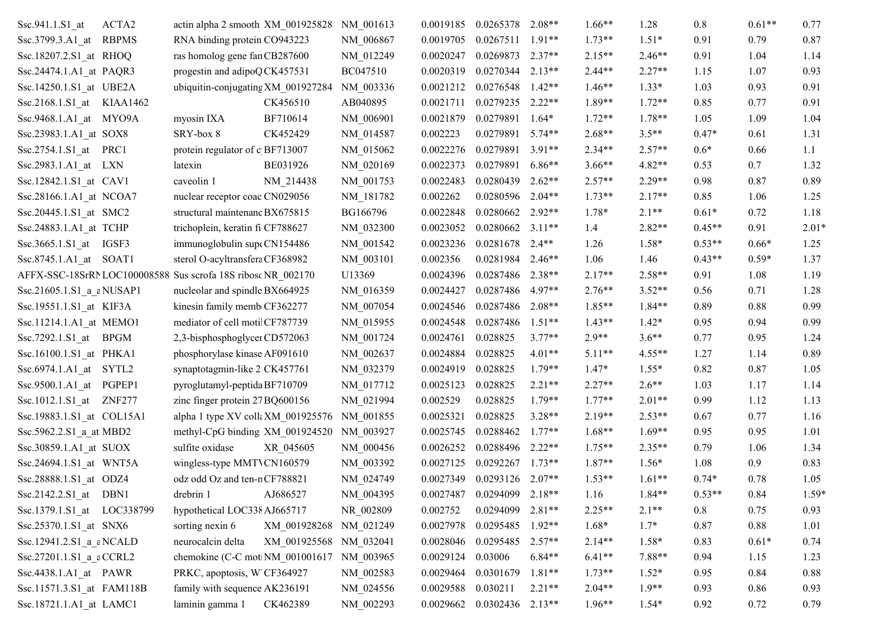| Ssc.941.1.S1_at<br>ACTA2                                    | actin alpha 2 smooth XM_001925828         |           | NM 001613              | 0.0019185 | 0.0265378                    | $2.08**$ | $1.66**$ | 1.28     | 0.8      | $0.61**$ | 0.77    |
|-------------------------------------------------------------|-------------------------------------------|-----------|------------------------|-----------|------------------------------|----------|----------|----------|----------|----------|---------|
| Ssc.3799.3.A1 at RBPMS                                      | RNA binding protein CO943223              |           | NM 006867              | 0.0019705 | 0.0267511                    | $1.91**$ | $1.73**$ | $1.51*$  | 0.91     | 0.79     | 0.87    |
| Ssc.18207.2.S1 at RHOQ                                      | ras homolog gene fan CB287600             |           | NM 012249              | 0.0020247 | 0.0269873                    | $2.37**$ | $2.15**$ | $2.46**$ | 0.91     | 1.04     | 1.14    |
| Ssc.24474.1.A1_at PAQR3                                     | progestin and adipoQ CK457531             |           | BC047510               | 0.0020319 | 0.0270344                    | $2.13**$ | $2.44**$ | $2.27**$ | 1.15     | 1.07     | 0.93    |
| Ssc.14250.1.S1_at UBE2A                                     | ubiquitin-conjugating XM_001927284        |           | NM_003336              | 0.0021212 | 0.0276548                    | $1.42**$ | $1.46**$ | $1.33*$  | 1.03     | 0.93     | 0.91    |
| Ssc.2168.1.S1 at KIAA1462                                   |                                           | CK456510  | AB040895               | 0.0021711 | 0.0279235                    | $2.22**$ | $1.89**$ | $1.72**$ | 0.85     | 0.77     | 0.91    |
| Ssc.9468.1.A1_at MYO9A                                      | BF710614<br>myosin IXA                    |           | NM 006901              | 0.0021879 | 0.0279891                    | $1.64*$  | $1.72**$ | $1.78**$ | 1.05     | 1.09     | 1.04    |
| Ssc.23983.1.A1_at SOX8                                      | SRY-box 8                                 | CK452429  | NM 014587              | 0.002223  | 0.0279891                    | $5.74**$ | $2.68**$ | $3.5**$  | $0.47*$  | 0.61     | 1.31    |
| Ssc.2754.1.S1_at PRC1                                       | protein regulator of c BF713007           |           | NM 015062              | 0.0022276 | 0.0279891                    | $3.91**$ | $2.34**$ | $2.57**$ | $0.6*$   | 0.66     | 1.1     |
| Ssc.2983.1.A1 at LXN                                        | BE031926<br>latexin                       |           | NM 020169              | 0.0022373 | 0.0279891                    | $6.86**$ | $3.66**$ | $4.82**$ | 0.53     | 0.7      | 1.32    |
| Ssc.12842.1.S1_at CAV1                                      | caveolin 1                                | NM 214438 | NM 001753              | 0.0022483 | 0.0280439                    | $2.62**$ | $2.57**$ | $2.29**$ | 0.98     | 0.87     | 0.89    |
| Ssc.28166.1.A1_at NCOA7                                     | nuclear receptor coac CN029056            |           | NM 181782              | 0.002262  | 0.0280596                    | $2.04**$ | $1.73**$ | $2.17**$ | 0.85     | 1.06     | 1.25    |
| Ssc.20445.1.S1_at SMC2                                      | structural maintenanc BX675815            |           | BG166796               | 0.0022848 | 0.0280662                    | $2.92**$ | $1.78*$  | $2.1**$  | $0.61*$  | 0.72     | 1.18    |
| Ssc.24883.1.A1_at TCHP                                      | trichoplein, keratin fi CF788627          |           | NM 032300              | 0.0023052 | 0.0280662                    | $3.11**$ | 1.4      | $2.82**$ | $0.45**$ | 0.91     | $2.01*$ |
| $Ssc.3665.1.S1$ <sub>_at</sub> IGSF3                        | immunoglobulin supe CN154486              |           | NM 001542              | 0.0023236 | 0.0281678                    | $2.4**$  | 1.26     | $1.58*$  | $0.53**$ | $0.66*$  | 1.25    |
| Ssc.8745.1.A1 at SOAT1                                      | sterol O-acyltransfera CF368982           |           | NM_003101              | 0.002356  | 0.0281984                    | $2.46**$ | 1.06     | 1.46     | $0.43**$ | $0.59*$  | 1.37    |
| AFFX-SSC-18SrRNLOC100008588 Sus scrofa 18S ribosc NR_002170 |                                           |           | U13369                 | 0.0024396 | 0.0287486                    | $2.38**$ | $2.17**$ | $2.58**$ | 0.91     | 1.08     | 1.19    |
| Ssc.21605.1.S1_a_aNUSAP1                                    | nucleolar and spindle BX664925            |           | NM 016359              | 0.0024427 | 0.0287486                    | $4.97**$ | $2.76**$ | $3.52**$ | 0.56     | 0.71     | 1.28    |
| Ssc.19551.1.S1_at KIF3A                                     | kinesin family memb CF362277              |           | NM 007054              | 0.0024546 | 0.0287486                    | $2.08**$ | $1.85**$ | $1.84**$ | 0.89     | 0.88     | 0.99    |
| Ssc.11214.1.A1 at MEMO1                                     | mediator of cell motil CF787739           |           | NM 015955              | 0.0024548 | 0.0287486                    | $1.51**$ | $1.43**$ | $1.42*$  | 0.95     | 0.94     | 0.99    |
| Ssc.7292.1.S1_at BPGM                                       | 2,3-bisphosphoglycerCD572063              |           | NM 001724              | 0.0024761 | 0.028825                     | $3.77**$ | $2.9**$  | $3.6**$  | 0.77     | 0.95     | 1.24    |
| Ssc.16100.1.S1 at PHKA1                                     | phosphorylase kinase AF091610             |           | NM 002637              | 0.0024884 | 0.028825                     | $4.01**$ | $5.11**$ | $4.55**$ | 1.27     | 1.14     | 0.89    |
| Ssc.6974.1.A1 at SYTL2                                      | synaptotagmin-like 2 CK457761             |           | NM 032379              | 0.0024919 | 0.028825                     | $1.79**$ | $1.47*$  | $1.55*$  | 0.82     | 0.87     | 1.05    |
| Ssc.9500.1.A1 at PGPEP1                                     | pyroglutamyl-peptida BF710709             |           | NM 017712              | 0.0025123 | 0.028825                     | $2.21**$ | $2.27**$ | $2.6**$  | 1.03     | 1.17     | 1.14    |
| Ssc.1012.1.S1_at ZNF277                                     | zinc finger protein 27 BQ600156           |           | NM_021994              | 0.002529  | 0.028825                     | $1.79**$ | $1.77**$ | $2.01**$ | 0.99     | 1.12     | 1.13    |
| Ssc.19883.1.S1_at COL15A1                                   | alpha 1 type XV colla $XM$ 001925576      |           | NM 001855              | 0.0025321 | 0.028825                     | $3.28**$ | $2.19**$ | $2.53**$ | 0.67     | 0.77     | 1.16    |
| Ssc.5962.2.S1 a at MBD2                                     | methyl-CpG binding XM_001924520 NM_003927 |           |                        | 0.0025745 | 0.0288462                    | $1.77**$ | $1.68**$ | $1.69**$ | 0.95     | 0.95     | 1.01    |
| Ssc.30859.1.A1 at $SUOX$                                    | sulfite oxidase                           | XR 045605 | NM 000456              | 0.0026252 | 0.0288496                    | $2.22**$ | $1.75**$ | $2.35**$ | 0.79     | 1.06     | 1.34    |
| Ssc.24694.1.S1_at WNT5A                                     | wingless-type MMTVCN160579                |           | NM 003392              | 0.0027125 | 0.0292267                    | $1.73**$ | $1.87**$ | $1.56*$  | 1.08     | 0.9      | 0.83    |
| Ssc.28888.1.S1_at ODZ4                                      | odz odd Oz and ten-n CF788821             |           | NM_024749              |           | 0.0027349  0.0293126  2.07** |          | $1.53**$ | $1.61**$ | $0.74*$  | 0.78     | 1.05    |
| $Ssc.2142.2.S1$ <sub>_at</sub> DBN1                         | drebrin 1<br>AJ686527                     |           | NM_004395              | 0.0027487 | $0.0294099$ 2.18**           |          | 1.16     | $1.84**$ | $0.53**$ | 0.84     | $1.59*$ |
| Ssc.1379.1.S1_at LOC338799                                  | hypothetical LOC338 AJ665717              |           | NR_002809              | 0.002752  | 0.0294099                    | $2.81**$ | $2.25**$ | $2.1**$  | 0.8      | 0.75     | 0.93    |
| Ssc.25370.1.S1 at SNX6                                      | sorting nexin 6                           |           | XM 001928268 NM 021249 | 0.0027978 | 0.0295485                    | $1.92**$ | $1.68*$  | $1.7*$   | 0.87     | 0.88     | 1.01    |
| Ssc.12941.2.S1 a aNCALD                                     | neurocalcin delta                         |           | XM_001925568 NM_032041 | 0.0028046 | 0.0295485                    | $2.57**$ | $2.14**$ | $1.58*$  | 0.83     | $0.61*$  | 0.74    |
| Ssc.27201.1.S1_a_aCCRL2                                     | chemokine (C-C mot NM 001001617           |           | NM 003965              | 0.0029124 | 0.03006                      | $6.84**$ | $6.41**$ | 7.88**   | 0.94     | 1.15     | 1.23    |
| Ssc.4438.1.A1 at PAWR                                       | PRKC, apoptosis, W'CF364927               |           | NM_002583              | 0.0029464 | 0.0301679                    | $1.81**$ | $1.73**$ | $1.52*$  | 0.95     | 0.84     | 0.88    |
| Ssc.11571.3.S1 at FAM118B                                   | family with sequence AK236191             |           | NM 024556              | 0.0029588 | 0.030211                     | $2.21**$ | $2.04**$ | $1.9**$  | 0.93     | 0.86     | 0.93    |
| Ssc.18721.1.A1_at LAMC1                                     | laminin gamma 1<br>CK462389               |           | NM 002293              | 0.0029662 | $0.0302436$ 2.13**           |          | $1.96**$ | $1.54*$  | 0.92     | 0.72     | 0.79    |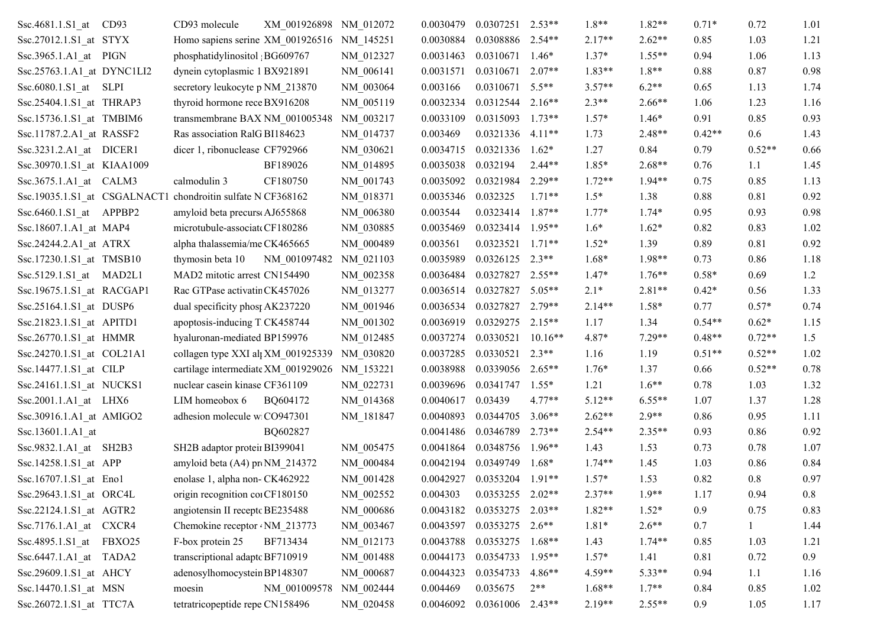| Ssc.4681.1.S1_at CD93                 | CD93 molecule                                 | XM 001926898 NM 012072 |           | 0.0030479 | 0.0307251                    | $2.53**$  | $1.8**$  | $1.82**$ | $0.71*$  | 0.72     | 1.01 |
|---------------------------------------|-----------------------------------------------|------------------------|-----------|-----------|------------------------------|-----------|----------|----------|----------|----------|------|
| Ssc.27012.1.S1 at STYX                | Homo sapiens serine XM 001926516 NM 145251    |                        |           | 0.0030884 | 0.0308886                    | $2.54**$  | $2.17**$ | $2.62**$ | 0.85     | 1.03     | 1.21 |
| Ssc.3965.1.A1_at PIGN                 | phosphatidylinositol BG609767                 |                        | NM 012327 | 0.0031463 | 0.0310671                    | $1.46*$   | $1.37*$  | $1.55**$ | 0.94     | 1.06     | 1.13 |
| $Ssc.25763.1.A1_at$ DYNC1LI2          | dynein cytoplasmic 1 BX921891                 |                        | NM 006141 | 0.0031571 | 0.0310671                    | $2.07**$  | $1.83**$ | $1.8**$  | 0.88     | 0.87     | 0.98 |
| Ssc.6080.1.S1_at SLPI                 | secretory leukocyte p NM 213870               |                        | NM 003064 | 0.003166  | $0.0310671$ 5.5**            |           | $3.57**$ | $6.2**$  | 0.65     | 1.13     | 1.74 |
| Ssc.25404.1.S1_at THRAP3              | thyroid hormone rece BX916208                 |                        | NM 005119 | 0.0032334 | 0.0312544                    | $2.16**$  | $2.3**$  | $2.66**$ | 1.06     | 1.23     | 1.16 |
| Ssc.15736.1.S1_at TMBIM6              | transmembrane BAX NM 001005348                |                        | NM 003217 | 0.0033109 | 0.0315093                    | $1.73**$  | $1.57*$  | $1.46*$  | 0.91     | 0.85     | 0.93 |
| Ssc.11787.2.A1_at RASSF2              | Ras association RalG BI184623                 |                        | NM 014737 | 0.003469  | 0.0321336                    | $4.11**$  | 1.73     | $2.48**$ | $0.42**$ | 0.6      | 1.43 |
| $Ssc.3231.2.A1_at$ DICER1             | dicer 1, ribonuclease CF792966                |                        | NM 030621 | 0.0034715 | 0.0321336                    | $1.62*$   | 1.27     | 0.84     | 0.79     | $0.52**$ | 0.66 |
| Ssc.30970.1.S1_at KIAA1009            |                                               | BF189026               | NM 014895 | 0.0035038 | 0.032194                     | $2.44**$  | $1.85*$  | $2.68**$ | 0.76     | 1.1      | 1.45 |
| $Ssc.3675.1.A1_at$ CALM3              | calmodulin 3                                  | CF180750               | NM 001743 | 0.0035092 | 0.0321984                    | $2.29**$  | $1.72**$ | $1.94**$ | 0.75     | 0.85     | 1.13 |
| Ssc.19035.1.S1_at CSGALNACT1          | chondroitin sulfate N CF368162                |                        | NM 018371 | 0.0035346 | 0.032325                     | $1.71**$  | $1.5*$   | 1.38     | 0.88     | 0.81     | 0.92 |
| $Ssc.6460.1.S1$ <sub>_at</sub> APPBP2 | amyloid beta precurs AJ655868                 |                        | NM 006380 | 0.003544  | 0.0323414                    | $1.87**$  | $1.77*$  | $1.74*$  | 0.95     | 0.93     | 0.98 |
| Ssc.18607.1.A1_at MAP4                | microtubule-associate CF180286                |                        | NM 030885 | 0.0035469 | 0.0323414                    | $1.95**$  | $1.6*$   | $1.62*$  | 0.82     | 0.83     | 1.02 |
| Ssc.24244.2.A1_at ATRX                | alpha thalassemia/me CK465665                 |                        | NM 000489 | 0.003561  | 0.0323521                    | $1.71**$  | $1.52*$  | 1.39     | 0.89     | 0.81     | 0.92 |
| Ssc.17230.1.S1_at TMSB10              | thymosin beta 10                              | NM 001097482           | NM 021103 | 0.0035989 | 0.0326125                    | $2.3**$   | $1.68*$  | 1.98**   | 0.73     | 0.86     | 1.18 |
| Ssc.5129.1.S1_at MAD2L1               | MAD2 mitotic arrest CN154490                  |                        | NM 002358 | 0.0036484 | 0.0327827                    | $2.55**$  | $1.47*$  | $1.76**$ | $0.58*$  | 0.69     | 1.2  |
| Ssc.19675.1.S1_at RACGAP1             | Rac GTPase activatin CK457026                 |                        | NM 013277 | 0.0036514 | 0.0327827                    | $5.05**$  | $2.1*$   | $2.81**$ | $0.42*$  | 0.56     | 1.33 |
| Ssc.25164.1.S1_at DUSP6               | dual specificity phost AK237220               |                        | NM 001946 | 0.0036534 | 0.0327827                    | $2.79**$  | $2.14**$ | $1.58*$  | 0.77     | $0.57*$  | 0.74 |
| Ssc.21823.1.S1_at APITD1              | apoptosis-inducing T CK458744                 |                        | NM 001302 | 0.0036919 | $0.0329275$ 2.15**           |           | 1.17     | 1.34     | $0.54**$ | $0.62*$  | 1.15 |
| Ssc.26770.1.S1_at HMMR                | hyaluronan-mediated BP159976                  |                        | NM_012485 | 0.0037274 | 0.0330521                    | $10.16**$ | $4.87*$  | $7.29**$ | $0.48**$ | $0.72**$ | 1.5  |
| Ssc.24270.1.S1_at COL21A1             | collagen type XXI all XM_001925339            |                        | NM 030820 | 0.0037285 | 0.0330521                    | $2.3**$   | 1.16     | 1.19     | $0.51**$ | $0.52**$ | 1.02 |
| Ssc.14477.1.S1_at CILP                | cartilage intermediate XM 001929026 NM 153221 |                        |           | 0.0038988 | 0.0339056                    | $2.65**$  | $1.76*$  | 1.37     | 0.66     | $0.52**$ | 0.78 |
| Ssc.24161.1.S1_at NUCKS1              | nuclear casein kinase CF361109                |                        | NM 022731 | 0.0039696 | 0.0341747                    | $1.55*$   | 1.21     | $1.6**$  | 0.78     | 1.03     | 1.32 |
| $Ssc.2001.1.A1_at$ LHX6               | LIM homeobox 6                                | BQ604172               | NM 014368 | 0.0040617 | 0.03439                      | $4.77**$  | $5.12**$ | $6.55**$ | 1.07     | 1.37     | 1.28 |
| Ssc.30916.1.A1 at AMIGO2              | adhesion molecule w CO947301                  |                        | NM 181847 | 0.0040893 | 0.0344705                    | $3.06**$  | $2.62**$ | $2.9**$  | 0.86     | 0.95     | 1.11 |
| Ssc.13601.1.A1 at                     |                                               | BQ602827               |           | 0.0041486 | 0.0346789                    | $2.73**$  | $2.54**$ | $2.35**$ | 0.93     | 0.86     | 0.92 |
| Ssc.9832.1.A1_at SH2B3                | SH2B adaptor proteir BI399041                 |                        | NM 005475 | 0.0041864 | 0.0348756                    | $1.96**$  | 1.43     | 1.53     | 0.73     | 0.78     | 1.07 |
| Ssc.14258.1.S1_at APP                 | amyloid beta (A4) pro NM_214372               |                        | NM 000484 | 0.0042194 | 0.0349749                    | $1.68*$   | $1.74**$ | 1.45     | 1.03     | 0.86     | 0.84 |
| Ssc.16707.1.S1_at Eno1                | enolase 1, alpha non- CK462922                |                        | NM_001428 |           | 0.0042927  0.0353204  1.91** |           | $1.57*$  | 1.53     | 0.82     | 0.8      | 0.97 |
| Ssc.29643.1.S1_at ORC4L               | origin recognition co CF180150                |                        | NM_002552 | 0.004303  | $0.0353255$ 2.02**           |           | $2.37**$ | $1.9**$  | 1.17     | 0.94     | 0.8  |
| Ssc.22124.1.S1_at AGTR2               | angiotensin II recepto BE235488               |                        | NM 000686 | 0.0043182 | 0.0353275                    | $2.03**$  | $1.82**$ | $1.52*$  | 0.9      | 0.75     | 0.83 |
| Ssc. 7176.1.A1 at CXCR4               | Chemokine receptor · NM 213773                |                        | NM 003467 | 0.0043597 | $0.0353275$ 2.6**            |           | $1.81*$  | $2.6**$  | 0.7      |          | 1.44 |
| Ssc.4895.1.S1 at FBXO25               | F-box protein 25                              | BF713434               | NM 012173 | 0.0043788 | 0.0353275                    | $1.68**$  | 1.43     | $1.74**$ | 0.85     | 1.03     | 1.21 |
| Ssc.6447.1.A1 at TADA2                | transcriptional adaptc BF710919               |                        | NM 001488 | 0.0044173 | 0.0354733                    | $1.95**$  | $1.57*$  | 1.41     | 0.81     | 0.72     | 0.9  |
| Ssc.29609.1.S1_at AHCY                | adenosylhomocystein BP148307                  |                        | NM_000687 | 0.0044323 | 0.0354733                    | $4.86**$  | $4.59**$ | $5.33**$ | 0.94     | 1.1      | 1.16 |
| Ssc.14470.1.S1_at MSN                 | moesin                                        | NM 001009578           | NM 002444 | 0.004469  | 0.035675                     | $2**$     | $1.68**$ | $1.7**$  | 0.84     | 0.85     | 1.02 |
| Ssc.26072.1.S1_at TTC7A               | tetratricopeptide repe CN158496               |                        | NM_020458 | 0.0046092 | $0.0361006$ 2.43**           |           | $2.19**$ | $2.55**$ | 0.9      | 1.05     | 1.17 |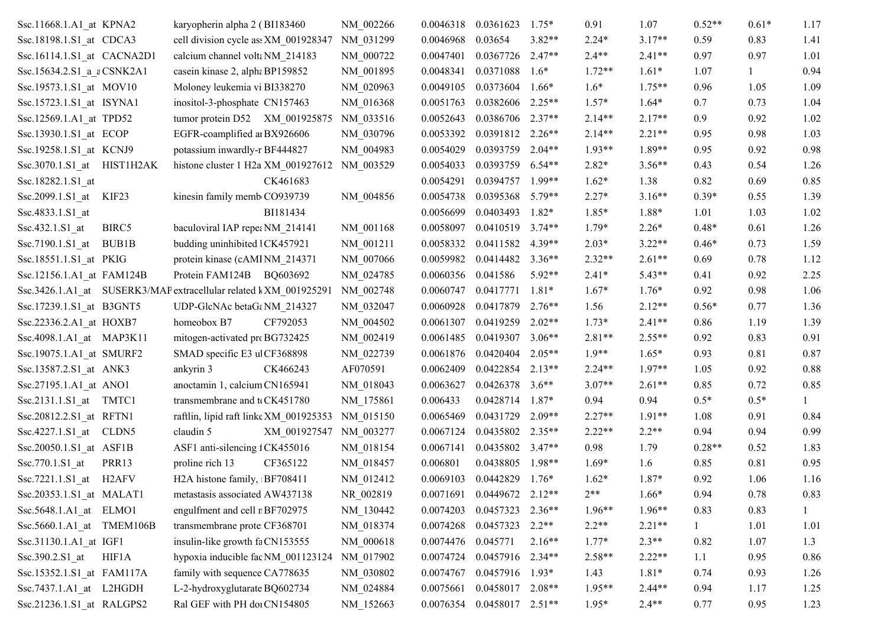| Ssc.11668.1.A1 at $KPNA2$               | karyopherin alpha 2 (BI183460                                     | NM 002266 | 0.0046318 | 0.0361623                    | $1.75*$  | 0.91     | 1.07     | $0.52**$ | $0.61*$ | 1.17 |
|-----------------------------------------|-------------------------------------------------------------------|-----------|-----------|------------------------------|----------|----------|----------|----------|---------|------|
| Ssc.18198.1.S1 at CDCA3                 | cell division cycle as: XM 001928347                              | NM 031299 | 0.0046968 | 0.03654                      | $3.82**$ | $2.24*$  | $3.17**$ | 0.59     | 0.83    | 1.41 |
| Ssc.16114.1.S1_at CACNA2D1              | calcium channel volta NM_214183                                   | NM 000722 | 0.0047401 | $0.0367726$ 2.47**           |          | $2.4**$  | $2.41**$ | 0.97     | 0.97    | 1.01 |
| Ssc.15634.2.S1_a_aCSNK2A1               | casein kinase 2, alpha BP159852                                   | NM 001895 | 0.0048341 | 0.0371088                    | $1.6*$   | $1.72**$ | $1.61*$  | 1.07     | 1       | 0.94 |
| Ssc.19573.1.S1 at MOV10                 | Moloney leukemia vi BI338270                                      | NM 020963 | 0.0049105 | 0.0373604                    | $1.66*$  | $1.6*$   | $1.75**$ | 0.96     | 1.05    | 1.09 |
| Ssc.15723.1.S1_at ISYNA1                | inositol-3-phosphate CN157463                                     | NM 016368 | 0.0051763 | 0.0382606                    | $2.25**$ | $1.57*$  | $1.64*$  | 0.7      | 0.73    | 1.04 |
| Ssc.12569.1.A1_at TPD52                 | tumor protein D52 XM_001925875                                    | NM 033516 | 0.0052643 | $0.0386706$ 2.37**           |          | $2.14**$ | $2.17**$ | 0.9      | 0.92    | 1.02 |
| Ssc.13930.1.S1_at ECOP                  | EGFR-coamplified at BX926606                                      | NM 030796 | 0.0053392 | 0.0391812                    | $2.26**$ | $2.14**$ | $2.21**$ | 0.95     | 0.98    | 1.03 |
| Ssc.19258.1.S1 at KCNJ9                 | potassium inwardly-r BF444827                                     | NM 004983 | 0.0054029 | 0.0393759                    | $2.04**$ | $1.93**$ | 1.89**   | 0.95     | 0.92    | 0.98 |
| Ssc.3070.1.S1_at HIST1H2AK              | histone cluster 1 H2a XM_001927612                                | NM 003529 | 0.0054033 | 0.0393759                    | $6.54**$ | $2.82*$  | $3.56**$ | 0.43     | 0.54    | 1.26 |
| Ssc.18282.1.S1_at                       | CK461683                                                          |           | 0.0054291 | 0.0394757                    | $1.99**$ | $1.62*$  | 1.38     | 0.82     | 0.69    | 0.85 |
| Ssc.2099.1.S1_at KIF23                  | kinesin family memb CO939739                                      | NM 004856 | 0.0054738 | 0.0395368                    | $5.79**$ | $2.27*$  | $3.16**$ | $0.39*$  | 0.55    | 1.39 |
| Ssc.4833.1.S1 at                        | BI181434                                                          |           | 0.0056699 | 0.0403493                    | $1.82*$  | 1.85*    | 1.88*    | 1.01     | 1.03    | 1.02 |
| BIRC5<br>$Ssc.432.1.S1$ at              | baculoviral IAP repea NM_214141                                   | NM 001168 | 0.0058097 | 0.0410519                    | $3.74**$ | $1.79*$  | $2.26*$  | $0.48*$  | 0.61    | 1.26 |
| Ssc. 7190.1.S1 at BUB1B                 | budding uninhibited 1CK457921                                     | NM 001211 | 0.0058332 | 0.0411582                    | $4.39**$ | $2.03*$  | $3.22**$ | $0.46*$  | 0.73    | 1.59 |
| Ssc.18551.1.S1 at PKIG                  | protein kinase (cAMI NM 214371                                    | NM 007066 | 0.0059982 | 0.0414482                    | $3.36**$ | $2.32**$ | $2.61**$ | 0.69     | 0.78    | 1.12 |
| Ssc.12156.1.A1 at FAM124B               | Protein FAM124B BQ603692                                          | NM 024785 | 0.0060356 | 0.041586                     | $5.92**$ | $2.41*$  | $5.43**$ | 0.41     | 0.92    | 2.25 |
|                                         | Ssc.3426.1.A1_at SUSERK3/MAP extracellular related k XM_001925291 | NM 002748 | 0.0060747 | 0.0417771                    | $1.81*$  | $1.67*$  | $1.76*$  | 0.92     | 0.98    | 1.06 |
| Ssc.17239.1.S1_at B3GNT5                | UDP-GlcNAc betaGt NM_214327                                       | NM 032047 | 0.0060928 | 0.0417879                    | $2.76**$ | 1.56     | $2.12**$ | $0.56*$  | 0.77    | 1.36 |
| Ssc.22336.2.A1 at HOXB7                 | homeobox B7<br>CF792053                                           | NM 004502 | 0.0061307 | 0.0419259                    | $2.02**$ | $1.73*$  | $2.41**$ | 0.86     | 1.19    | 1.39 |
| Ssc. 4098.1. A1_at MAP3K11              | mitogen-activated pro BG732425                                    | NM 002419 | 0.0061485 | 0.0419307                    | $3.06**$ | $2.81**$ | $2.55**$ | 0.92     | 0.83    | 0.91 |
| Ssc.19075.1.A1_at SMURF2                | SMAD specific E3 ul CF368898                                      | NM 022739 | 0.0061876 | 0.0420404                    | $2.05**$ | $1.9**$  | $1.65*$  | 0.93     | 0.81    | 0.87 |
| Ssc.13587.2.S1_at ANK3                  | ankyrin 3<br>CK466243                                             | AF070591  | 0.0062409 | 0.0422854                    | $2.13**$ | $2.24**$ | $1.97**$ | 1.05     | 0.92    | 0.88 |
| Ssc.27195.1.A1 at ANO1                  | anoctamin 1, calcium CN165941                                     | NM 018043 | 0.0063627 | 0.0426378                    | $3.6**$  | $3.07**$ | $2.61**$ | 0.85     | 0.72    | 0.85 |
| Ssc.2131.1.S1_at TMTC1                  | transmembrane and to CK451780                                     | NM_175861 | 0.006433  | 0.0428714                    | $1.87*$  | 0.94     | 0.94     | $0.5*$   | $0.5*$  | 1    |
| Ssc.20812.2.S1 at RFTN1                 | raftlin, lipid raft linke XM_001925353 NM_015150                  |           | 0.0065469 | 0.0431729                    | $2.09**$ | $2.27**$ | $1.91**$ | 1.08     | 0.91    | 0.84 |
| $Ssc.4227.1.S1$ <sub>_at</sub> CLDN5    | claudin 5<br>XM_001927547 NM_003277                               |           | 0.0067124 | 0.0435802                    | $2.35**$ | $2.22**$ | $2.2**$  | 0.94     | 0.94    | 0.99 |
| Ssc.20050.1.S1 at ASF1B                 | ASF1 anti-silencing 1 CK455016                                    | NM 018154 | 0.0067141 | 0.0435802                    | $3.47**$ | 0.98     | 1.79     | $0.28**$ | 0.52    | 1.83 |
| $Ssc.770.1.S1$ <sub>_</sub> at<br>PRR13 | CF365122<br>proline rich 13                                       | NM 018457 | 0.006801  | 0.0438805                    | $1.98**$ | $1.69*$  | 1.6      | 0.85     | 0.81    | 0.95 |
| Ssc. 7221.1. S1 at H2AFV                | H2A histone family, BF708411                                      | NM_012412 |           | 0.0069103  0.0442829  1.76*  |          | $1.62*$  | 1.87*    | 0.92     | 1.06    | 1.16 |
| Ssc.20353.1.S1_at MALAT1                | metastasis associated AW437138                                    | NR_002819 | 0.0071691 | $0.0449672$ 2.12**           |          | $2**$    | $1.66*$  | 0.94     | 0.78    | 0.83 |
| Ssc.5648.1.A1_at ELMO1                  | engulfment and cell r BF702975                                    | NM 130442 | 0.0074203 | $0.0457323$ 2.36**           |          | $1.96**$ | $1.96**$ | 0.83     | 0.83    |      |
| Ssc.5660.1.A1 at TMEM106B               | transmembrane prote CF368701                                      | NM 018374 | 0.0074268 | $0.0457323$ 2.2**            |          | $2.2**$  | $2.21**$ |          | 1.01    | 1.01 |
| Ssc.31130.1.A1 at IGF1                  | insulin-like growth fa CN153555                                   | NM_000618 | 0.0074476 | 0.045771                     | $2.16**$ | $1.77*$  | $2.3**$  | 0.82     | 1.07    | 1.3  |
| Ssc.390.2.S1 at<br>HIF1A                | hypoxia inducible fac NM_001123124                                | NM 017902 | 0.0074724 | 0.0457916 2.34**             |          | 2.58**   | $2.22**$ | 1.1      | 0.95    | 0.86 |
| Ssc.15352.1.S1_at FAM117A               | family with sequence CA778635                                     | NM_030802 | 0.0074767 | $0.0457916$ 1.93*            |          | 1.43     | $1.81*$  | 0.74     | 0.93    | 1.26 |
| Ssc.7437.1.A1 at L2HGDH                 | L-2-hydroxyglutarate BQ602734                                     | NM 024884 | 0.0075661 | $0.0458017$ 2.08**           |          | $1.95**$ | $2.44**$ | 0.94     | 1.17    | 1.25 |
| Ssc.21236.1.S1_at RALGPS2               | Ral GEF with PH doi CN154805                                      | NM_152663 |           | 0.0076354  0.0458017  2.51** |          | $1.95*$  | $2.4**$  | 0.77     | 0.95    | 1.23 |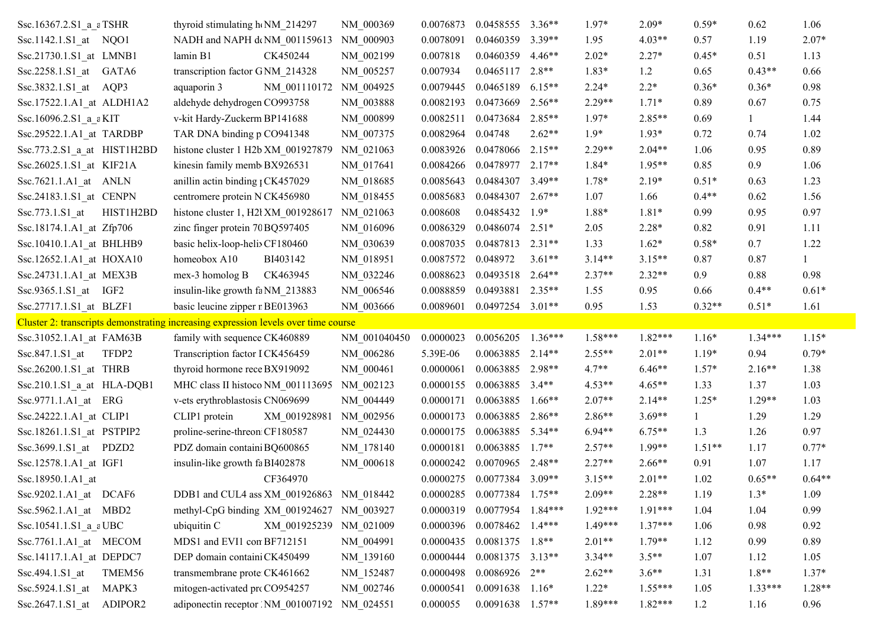| Ssc.16367.2. $S1$ a aTSHR                | thyroid stimulating h NM 214297                                                    | NM 000369    | 0.0076873 | $0.0458555$ 3.36**           |           | $1.97*$   | $2.09*$   | $0.59*$      | 0.62      | 1.06         |
|------------------------------------------|------------------------------------------------------------------------------------|--------------|-----------|------------------------------|-----------|-----------|-----------|--------------|-----------|--------------|
| Ssc.1142.1.S1 at NQO1                    | NADH and NAPH de NM 001159613                                                      | NM 000903    | 0.0078091 | 0.0460359                    | $3.39**$  | 1.95      | $4.03**$  | 0.57         | 1.19      | $2.07*$      |
| Ssc.21730.1.S1 at LMNB1                  | CK450244<br>lamin B1                                                               | NM 002199    | 0.007818  | 0.0460359                    | $4.46**$  | $2.02*$   | $2.27*$   | $0.45*$      | 0.51      | 1.13         |
| Ssc.2258.1.S1 at GATA6                   | transcription factor GNM 214328                                                    | NM_005257    | 0.007934  | 0.0465117                    | $2.8**$   | $1.83*$   | 1.2       | 0.65         | $0.43**$  | 0.66         |
| Ssc.3832.1.S1 at AQP3                    | NM 001110172 NM 004925<br>aquaporin 3                                              |              | 0.0079445 | 0.0465189                    | $6.15**$  | $2.24*$   | $2.2*$    | $0.36*$      | $0.36*$   | 0.98         |
| Ssc.17522.1.A1_at ALDH1A2                | aldehyde dehydrogen CO993758                                                       | NM 003888    | 0.0082193 | 0.0473669                    | $2.56**$  | $2.29**$  | $1.71*$   | 0.89         | 0.67      | 0.75         |
| Ssc.16096.2.S1 a aKIT                    | v-kit Hardy-Zuckerm BP141688                                                       | NM 000899    | 0.0082511 | 0.0473684                    | $2.85**$  | $1.97*$   | $2.85**$  | 0.69         | 1         | 1.44         |
| Ssc.29522.1.A1 at TARDBP                 | TAR DNA binding p CO941348                                                         | NM_007375    | 0.0082964 | 0.04748                      | $2.62**$  | $1.9*$    | $1.93*$   | 0.72         | 0.74      | 1.02         |
| Ssc.773.2.S1 a at HIST1H2BD              | histone cluster 1 H2b XM 001927879                                                 | NM 021063    | 0.0083926 | 0.0478066                    | $2.15**$  | $2.29**$  | $2.04**$  | 1.06         | 0.95      | 0.89         |
| Ssc.26025.1.S1_at KIF21A                 | kinesin family memb BX926531                                                       | NM_017641    | 0.0084266 | 0.0478977                    | $2.17**$  | $1.84*$   | $1.95**$  | 0.85         | 0.9       | 1.06         |
| Ssc.7621.1.A1_at ANLN                    | anillin actin binding [CK457029]                                                   | NM 018685    | 0.0085643 | 0.0484307                    | $3.49**$  | $1.78*$   | $2.19*$   | $0.51*$      | 0.63      | 1.23         |
| Ssc.24183.1.S1 at CENPN                  | centromere protein N CK456980                                                      | NM 018455    | 0.0085683 | 0.0484307                    | $2.67**$  | 1.07      | 1.66      | $0.4**$      | 0.62      | 1.56         |
| Ssc.773.1.S1 at<br>HIST1H2BD             | histone cluster 1, H2l XM 001928617                                                | NM 021063    | 0.008608  | 0.0485432                    | $1.9*$    | 1.88*     | $1.81*$   | 0.99         | 0.95      | 0.97         |
| Ssc.18174.1.A1_at Zfp706                 | zinc finger protein 70 BQ597405                                                    | NM 016096    | 0.0086329 | 0.0486074                    | $2.51*$   | 2.05      | $2.28*$   | 0.82         | 0.91      | 1.11         |
| Ssc.10410.1.A1_at BHLHB9                 | basic helix-loop-helix CF180460                                                    | NM 030639    | 0.0087035 | 0.0487813                    | $2.31**$  | 1.33      | $1.62*$   | $0.58*$      | 0.7       | 1.22         |
| Ssc.12652.1.A1 at HOXA10                 | homeobox A10<br>BI403142                                                           | NM 018951    | 0.0087572 | 0.048972                     | $3.61**$  | $3.14**$  | $3.15**$  | 0.87         | 0.87      | $\mathbf{1}$ |
| Ssc.24731.1.A1_at MEX3B                  | mex-3 homolog B<br>CK463945                                                        | NM 032246    | 0.0088623 | 0.0493518                    | $2.64**$  | $2.37**$  | $2.32**$  | 0.9          | 0.88      | 0.98         |
| Ssc.9365.1.S1 at IGF2                    | insulin-like growth fa NM 213883                                                   | NM_006546    | 0.0088859 | 0.0493881                    | $2.35**$  | 1.55      | 0.95      | 0.66         | $0.4**$   | $0.61*$      |
| Ssc.27717.1.S1 at BLZF1                  | basic leucine zipper r BE013963                                                    | NM_003666    | 0.0089601 | $0.0497254$ 3.01**           |           | 0.95      | 1.53      | $0.32**$     | $0.51*$   | 1.61         |
|                                          |                                                                                    |              |           |                              |           |           |           |              |           |              |
|                                          | Cluster 2: transcripts demonstrating increasing expression levels over time course |              |           |                              |           |           |           |              |           |              |
| Ssc.31052.1.A1_at FAM63B                 | family with sequence CK460889                                                      | NM 001040450 | 0.0000023 | 0.0056205                    | $1.36***$ | $1.58***$ | $1.82***$ | $1.16*$      | $1.34***$ | $1.15*$      |
| Ssc.847.1.S1 at<br>TFDP2                 | Transcription factor I CK456459                                                    | NM 006286    | 5.39E-06  | 0.0063885                    | $2.14**$  | $2.55**$  | $2.01**$  | $1.19*$      | 0.94      | $0.79*$      |
| Ssc.26200.1.S1_at THRB                   | thyroid hormone rece BX919092                                                      | NM_000461    | 0.0000061 | 0.0063885                    | 2.98**    | $4.7**$   | $6.46**$  | $1.57*$      | $2.16**$  | 1.38         |
| Ssc.210.1.S1 a at HLA-DQB1               | MHC class II histoco NM 001113695                                                  | NM 002123    | 0.0000155 | 0.0063885                    | $3.4**$   | $4.53**$  | $4.65**$  | 1.33         | 1.37      | 1.03         |
| Ssc.9771.1.A1_at ERG                     | v-ets erythroblastosis CN069699                                                    | NM_004449    | 0.0000171 | 0.0063885                    | $1.66**$  | $2.07**$  | $2.14**$  | $1.25*$      | $1.29**$  | 1.03         |
| Ssc.24222.1.A1 at CLIP1                  | CLIP1 protein<br>XM 001928981                                                      | NM 002956    | 0.0000173 | 0.0063885                    | $2.86**$  | $2.86**$  | $3.69**$  | $\mathbf{1}$ | 1.29      | 1.29         |
| Ssc.18261.1.S1 at PSTPIP2                | proline-serine-threon CF180587                                                     | NM 024430    | 0.0000175 | 0.0063885                    | $5.34**$  | $6.94**$  | $6.75**$  | 1.3          | 1.26      | 0.97         |
| Ssc.3699.1.S1 at PDZD2                   | PDZ domain containi BQ600865                                                       | NM_178140    | 0.0000181 | 0.0063885                    | $1.7**$   | $2.57**$  | $1.99**$  | $1.51**$     | 1.17      | $0.77*$      |
| Ssc.12578.1.A1 at IGF1                   | insulin-like growth fa BI402878                                                    | NM_000618    | 0.0000242 | 0.0070965                    | $2.48**$  | $2.27**$  | $2.66**$  | 0.91         | 1.07      | 1.17         |
| Ssc.18950.1.A1 at                        | CF364970                                                                           |              |           | 0.0000275  0.0077384  3.09** |           | $3.15**$  | $2.01**$  | 1.02         | $0.65**$  | $0.64**$     |
| Ssc.9202.1.A1_at DCAF6                   | DDB1 and CUL4 ass XM 001926863 NM 018442                                           |              | 0.0000285 | $0.0077384$ 1.75**           |           | $2.09**$  | $2.28**$  | 1.19         | $1.3*$    | 1.09         |
| Ssc.5962.1.A1 at MBD2                    | methyl-CpG binding XM 001924627                                                    | NM 003927    | 0.0000319 | 0.0077954                    | $1.84***$ | $1.92***$ | $1.91***$ | 1.04         | 1.04      | 0.99         |
| Ssc.10541.1.S1 a aUBC                    | ubiquitin C<br>XM 001925239                                                        | NM 021009    | 0.0000396 | 0.0078462                    | $1.4***$  | $1.49***$ | $1.37***$ | 1.06         | 0.98      | 0.92         |
| Ssc.7761.1.A1_at MECOM                   | MDS1 and EVI1 con BF712151                                                         | NM_004991    | 0.0000435 | 0.0081375                    | $1.8**$   | $2.01**$  | $1.79**$  | 1.12         | 0.99      | 0.89         |
| Ssc.14117.1.A1 at DEPDC7                 | DEP domain containi CK450499                                                       | NM 139160    | 0.0000444 | $0.0081375$ 3.13**           |           | $3.34**$  | $3.5**$   | 1.07         | 1.12      | 1.05         |
| TMEM56<br>$Ssc.494.1.S1$ <sub>_</sub> at | transmembrane prote CK461662                                                       | NM 152487    | 0.0000498 | $0.0086926$ 2**              |           | $2.62**$  | $3.6**$   | 1.31         | $1.8**$   | $1.37*$      |
| Ssc.5924.1.S1 at<br>MAPK3                | mitogen-activated pro CO954257                                                     | NM 002746    | 0.0000541 | $0.0091638$ 1.16*            |           | $1.22*$   | $1.55***$ | 1.05         | $1.33***$ | $1.28**$     |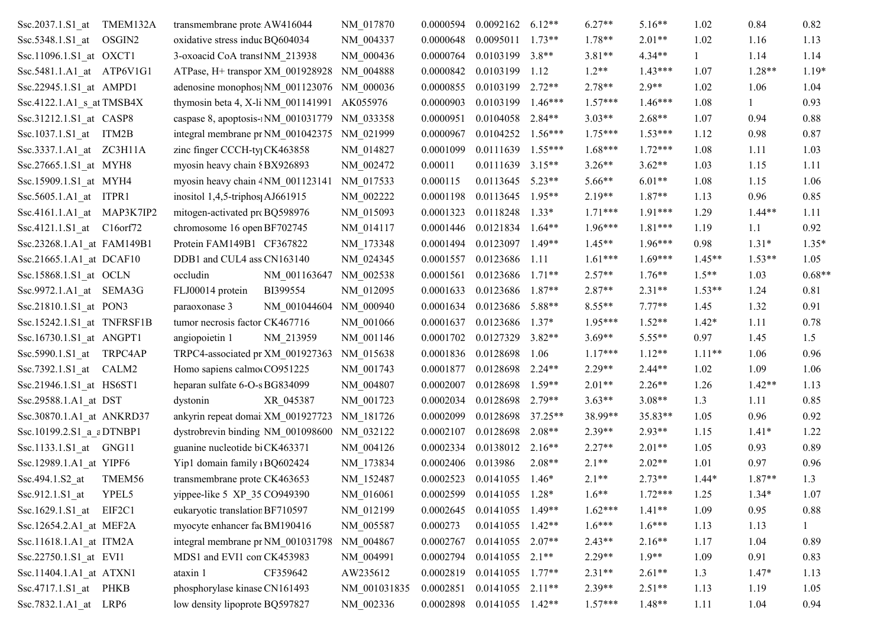| Ssc.2037.1.S1_at                       | TMEM132A | transmembrane prote AW416044              |              | NM 017870    | 0.0000594 | 0.0092162                    | $6.12**$  | $6.27**$  | $5.16**$  | 1.02         | 0.84     | 0.82     |
|----------------------------------------|----------|-------------------------------------------|--------------|--------------|-----------|------------------------------|-----------|-----------|-----------|--------------|----------|----------|
| Ssc.5348.1.S1 at                       | OSGIN2   | oxidative stress induc BQ604034           |              | NM 004337    | 0.0000648 | 0.0095011                    | $1.73**$  | $1.78**$  | $2.01**$  | 1.02         | 1.16     | 1.13     |
| Ssc.11096.1.S1_at OXCT1                |          | 3-oxoacid CoA translNM 213938             |              | NM 000436    | 0.0000764 | 0.0103199                    | $3.8**$   | $3.81**$  | $4.34**$  | $\mathbf{1}$ | 1.14     | 1.14     |
| Ssc.5481.1.A1_at ATP6V1G1              |          | ATPase, H+ transpor XM_001928928          |              | NM 004888    | 0.0000842 | 0.0103199                    | 1.12      | $1.2**$   | $1.43***$ | 1.07         | $1.28**$ | $1.19*$  |
| Ssc.22945.1.S1_at AMPD1                |          | adenosine monophos NM_001123076 NM_000036 |              |              | 0.0000855 | 0.0103199                    | $2.72**$  | $2.78**$  | $2.9**$   | 1.02         | 1.06     | 1.04     |
| $Ssc.4122.1.A1 \text{ s at TMSB4X}$    |          | thymosin beta 4, X-li NM $001141991$      |              | AK055976     | 0.0000903 | 0.0103199                    | $1.46***$ | $1.57***$ | $1.46***$ | 1.08         | 1        | 0.93     |
| Ssc.31212.1.S1_at CASP8                |          | caspase 8, apoptosis-1NM_001031779        |              | NM 033358    | 0.0000951 | 0.0104058                    | $2.84**$  | $3.03**$  | $2.68**$  | 1.07         | 0.94     | 0.88     |
| Ssc.1037.1.S1_at ITM2B                 |          | integral membrane pr NM_001042375         |              | NM 021999    | 0.0000967 | 0.0104252                    | $1.56***$ | $1.75***$ | $1.53***$ | 1.12         | 0.98     | 0.87     |
| Ssc.3337.1.A1_at ZC3H11A               |          | zinc finger CCCH-ty <sub>l</sub> CK463858 |              | NM_014827    | 0.0001099 | 0.0111639                    | $1.55***$ | $1.68***$ | $1.72***$ | 1.08         | 1.11     | 1.03     |
| Ssc.27665.1.S1_at MYH8                 |          | myosin heavy chain {BX926893}             |              | NM 002472    | 0.00011   | 0.0111639                    | $3.15**$  | $3.26**$  | $3.62**$  | 1.03         | 1.15     | 1.11     |
| Ssc.15909.1.S1_at MYH4                 |          | myosin heavy chain 4 NM_001123141         |              | NM 017533    | 0.000115  | 0.0113645                    | $5.23**$  | $5.66**$  | $6.01**$  | 1.08         | 1.15     | 1.06     |
| Ssc.5605.1.A1_at ITPR1                 |          | inositol 1,4,5-triphos AJ661915           |              | NM 002222    | 0.0001198 | 0.0113645                    | $1.95**$  | $2.19**$  | $1.87**$  | 1.13         | 0.96     | 0.85     |
| Ssc.4161.1.A1_at MAP3K7IP2             |          | mitogen-activated pro BQ598976            |              | NM 015093    | 0.0001323 | 0.0118248                    | $1.33*$   | $1.71***$ | $1.91***$ | 1.29         | $1.44**$ | 1.11     |
| Ssc.4121.1.S1_at C16orf72              |          | chromosome 16 open BF702745               |              | NM 014117    | 0.0001446 | 0.0121834                    | $1.64**$  | $1.96***$ | $1.81***$ | 1.19         | 1.1      | 0.92     |
| Ssc.23268.1.A1_at FAM149B1             |          | Protein FAM149B1 CF367822                 |              | NM 173348    | 0.0001494 | 0.0123097                    | $1.49**$  | $1.45**$  | $1.96***$ | 0.98         | $1.31*$  | $1.35*$  |
| $Ssc.21665.1.A1$ <sub>_at</sub> DCAF10 |          | DDB1 and CUL4 ass CN163140                |              | NM_024345    | 0.0001557 | 0.0123686                    | 1.11      | $1.61***$ | $1.69***$ | $1.45**$     | $1.53**$ | 1.05     |
| Ssc.15868.1.S1_at OCLN                 |          | occludin                                  | NM_001163647 | NM 002538    | 0.0001561 | 0.0123686                    | $1.71**$  | $2.57**$  | $1.76**$  | $1.5**$      | 1.03     | $0.68**$ |
| Ssc.9972.1.A1_at SEMA3G                |          | FLJ00014 protein                          | BI399554     | NM 012095    | 0.0001633 | 0.0123686                    | $1.87**$  | $2.87**$  | $2.31**$  | $1.53**$     | 1.24     | 0.81     |
| Ssc.21810.1.S1_at PON3                 |          | paraoxonase 3                             | NM 001044604 | NM 000940    | 0.0001634 | 0.0123686                    | 5.88**    | $8.55**$  | $7.77**$  | 1.45         | 1.32     | 0.91     |
| Ssc.15242.1.S1_at TNFRSF1B             |          | tumor necrosis factor CK467716            |              | NM 001066    | 0.0001637 | 0.0123686                    | $1.37*$   | $1.95***$ | $1.52**$  | $1.42*$      | 1.11     | 0.78     |
| Ssc.16730.1.S1_at ANGPT1               |          | angiopoietin 1                            | NM_213959    | NM 001146    | 0.0001702 | 0.0127329                    | $3.82**$  | $3.69**$  | $5.55**$  | 0.97         | 1.45     | 1.5      |
| Ssc.5990.1.S1_at TRPC4AP               |          | TRPC4-associated pr XM_001927363          |              | NM 015638    | 0.0001836 | 0.0128698                    | 1.06      | $1.17***$ | $1.12**$  | $1.11**$     | 1.06     | 0.96     |
| Ssc.7392.1.S1_at CALM2                 |          | Homo sapiens calmo CO951225               |              | NM 001743    | 0.0001877 | 0.0128698                    | $2.24**$  | $2.29**$  | $2.44**$  | 1.02         | 1.09     | 1.06     |
| Ssc.21946.1.S1 at HS6ST1               |          | heparan sulfate 6-O-s BG834099            |              | NM 004807    | 0.0002007 | 0.0128698                    | $1.59**$  | $2.01**$  | $2.26**$  | 1.26         | $1.42**$ | 1.13     |
| Ssc.29588.1.A1 at DST                  |          | dystonin                                  | XR_045387    | NM 001723    | 0.0002034 | 0.0128698                    | $2.79**$  | $3.63**$  | $3.08**$  | 1.3          | 1.11     | 0.85     |
| Ssc.30870.1.A1_at ANKRD37              |          | ankyrin repeat domai XM_001927723         |              | NM_181726    | 0.0002099 | 0.0128698                    | $37.25**$ | 38.99**   | 35.83**   | 1.05         | 0.96     | 0.92     |
| Ssc.10199.2.S1_a_aDTNBP1               |          | dystrobrevin binding NM_001098600         |              | NM 032122    | 0.0002107 | 0.0128698                    | $2.08**$  | $2.39**$  | $2.93**$  | 1.15         | $1.41*$  | 1.22     |
| Ssc.1133.1.S1_at GNG11                 |          | guanine nucleotide bi CK463371            |              | NM 004126    | 0.0002334 | 0.0138012                    | $2.16**$  | $2.27**$  | $2.01**$  | 1.05         | 0.93     | 0.89     |
| Ssc.12989.1.A1_at YIPF6                |          | Yip1 domain family 1BQ602424              |              | NM 173834    | 0.0002406 | 0.013986                     | $2.08**$  | $2.1**$   | $2.02**$  | 1.01         | 0.97     | 0.96     |
| $Ssc.494.1.S2$ at TMEM56               |          | transmembrane prote CK463653              |              | NM_152487    |           | 0.0002523  0.0141055  1.46*  |           | $2.1**$   | $2.73**$  | $1.44*$      | $1.87**$ | 1.3      |
| $Ssc.912.1.S1$ <sub>_at</sub>          | YPEL5    | yippee-like 5 XP_35 CO949390              |              | NM_016061    |           | 0.0002599  0.0141055  1.28*  |           | $1.6**$   | $1.72***$ | 1.25         | $1.34*$  | 1.07     |
| Ssc.1629.1.S1_at EIF2C1                |          | eukaryotic translation BF710597           |              | NM 012199    | 0.0002645 | $0.0141055$ 1.49**           |           | $1.62***$ | $1.41**$  | 1.09         | 0.95     | 0.88     |
| Ssc.12654.2.A1 at MEF2A                |          | myocyte enhancer fac BM190416             |              | NM 005587    | 0.000273  | 0.0141055                    | $1.42**$  | $1.6***$  | $1.6***$  | 1.13         | 1.13     |          |
| Ssc.11618.1.A1 at ITM2A                |          | integral membrane pr NM_001031798         |              | NM 004867    | 0.0002767 | $0.0141055$ 2.07**           |           | $2.43**$  | $2.16**$  | 1.17         | 1.04     | 0.89     |
| Ssc.22750.1.S1_at EVI1                 |          | MDS1 and EVI1 con CK453983                |              | NM 004991    | 0.0002794 | $0.0141055$ 2.1**            |           | $2.29**$  | $1.9**$   | 1.09         | 0.91     | 0.83     |
| Ssc.11404.1.A1_at ATXN1                |          | ataxin 1                                  | CF359642     | AW235612     | 0.0002819 | 0.0141055                    | $1.77**$  | $2.31**$  | $2.61**$  | 1.3          | $1.47*$  | 1.13     |
| Ssc.4717.1.S1_at PHKB                  |          | phosphorylase kinase CN161493             |              | NM_001031835 | 0.0002851 | $0.0141055$ 2.11**           |           | 2.39**    | $2.51**$  | 1.13         | 1.19     | 1.05     |
| Ssc. 7832.1.A1 at LRP6                 |          | low density lipoprote BQ597827            |              | NM_002336    |           | 0.0002898  0.0141055  1.42** |           | $1.57***$ | $1.48**$  | 1.11         | 1.04     | 0.94     |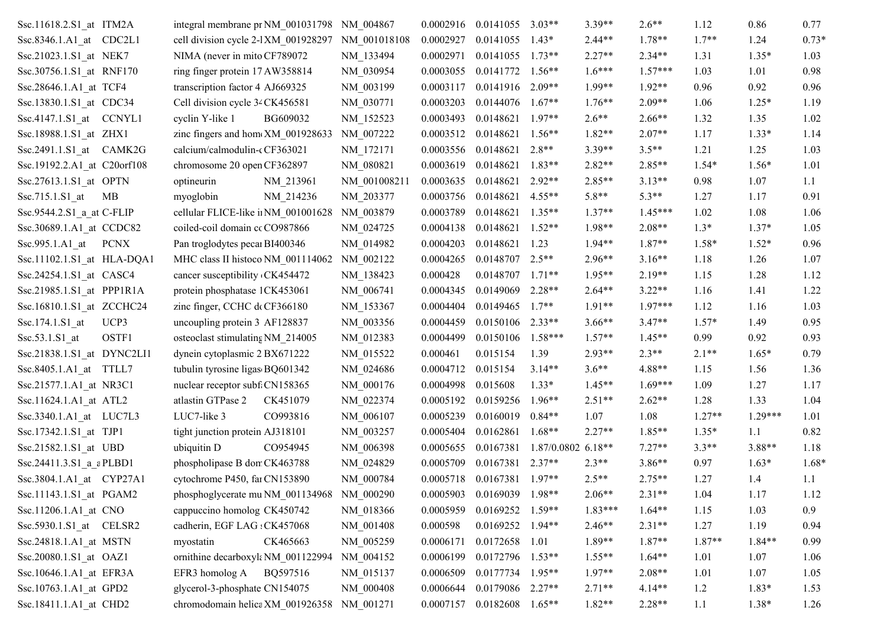| Ssc.11618.2.S1 at ITM2A                 | integral membrane pr NM_001031798 NM 004867      |              | 0.0002916 | 0.0141055                    | $3.03**$             | $3.39**$  | $2.6**$   | 1.12     | 0.86      | 0.77    |
|-----------------------------------------|--------------------------------------------------|--------------|-----------|------------------------------|----------------------|-----------|-----------|----------|-----------|---------|
| Ssc.8346.1.A1_at CDC2L1                 | cell division cycle 2-1XM 001928297 NM 001018108 |              | 0.0002927 | 0.0141055                    | $1.43*$              | $2.44**$  | $1.78**$  | $1.7**$  | 1.24      | $0.73*$ |
| Ssc.21023.1.S1 at NEK7                  | NIMA (never in mito CF789072)                    | NM 133494    | 0.0002971 | 0.0141055                    | $1.73**$             | $2.27**$  | $2.34**$  | 1.31     | $1.35*$   | 1.03    |
| Ssc.30756.1.S1_at RNF170                | ring finger protein 17 AW358814                  | NM 030954    | 0.0003055 | 0.0141772                    | $1.56**$             | $1.6***$  | $1.57***$ | 1.03     | 1.01      | 0.98    |
| Ssc.28646.1.A1 at TCF4                  | transcription factor 4 AJ669325                  | NM 003199    | 0.0003117 | 0.0141916                    | $2.09**$             | 1.99**    | $1.92**$  | 0.96     | 0.92      | 0.96    |
| Ssc.13830.1.S1 at CDC34                 | Cell division cycle 3 <sup>2</sup> CK456581      | NM 030771    | 0.0003203 | 0.0144076                    | $1.67**$             | $1.76**$  | $2.09**$  | 1.06     | $1.25*$   | 1.19    |
| $Ssc.4147.1.S1$ <sub>_at</sub> $CCNYL1$ | cyclin Y-like 1<br>BG609032                      | NM_152523    | 0.0003493 | 0.0148621                    | $1.97**$             | $2.6**$   | $2.66**$  | 1.32     | 1.35      | 1.02    |
| Ssc.18988.1.S1 at ZHX1                  | zinc fingers and hom XM 001928633                | NM 007222    | 0.0003512 | 0.0148621                    | $1.56**$             | $1.82**$  | $2.07**$  | 1.17     | $1.33*$   | 1.14    |
| Ssc.2491.1.S1_at CAMK2G                 | calcium/calmodulin-cCF363021                     | NM 172171    | 0.0003556 | 0.0148621                    | $2.8**$              | $3.39**$  | $3.5**$   | 1.21     | 1.25      | 1.03    |
| Ssc.19192.2.A1 at C20orf108             | chromosome 20 open CF362897                      | NM 080821    | 0.0003619 | 0.0148621                    | $1.83**$             | $2.82**$  | $2.85**$  | $1.54*$  | $1.56*$   | 1.01    |
| Ssc.27613.1.S1_at OPTN                  | optineurin<br>NM_213961                          | NM 001008211 | 0.0003635 | 0.0148621                    | $2.92**$             | $2.85**$  | $3.13**$  | 0.98     | 1.07      | 1.1     |
| $Ssc.715.1.S1$ <sub>_at</sub><br>МB     | myoglobin<br>NM 214236                           | NM 203377    | 0.0003756 | 0.0148621                    | $4.55**$             | $5.8**$   | $5.3**$   | 1.27     | 1.17      | 0.91    |
| Ssc.9544.2.S1_a_at C-FLIP               | cellular FLICE-like ii NM 001001628              | NM 003879    | 0.0003789 | 0.0148621                    | $1.35**$             | $1.37**$  | $1.45***$ | 1.02     | 1.08      | 1.06    |
| Ssc.30689.1.A1_at CCDC82                | coiled-coil domain cc CO987866                   | NM 024725    | 0.0004138 | 0.0148621                    | $1.52**$             | 1.98**    | $2.08**$  | $1.3*$   | $1.37*$   | 1.05    |
| $Ssc.995.1.A1_at$ PCNX                  | Pan troglodytes pecal BI400346                   | NM 014982    | 0.0004203 | 0.0148621                    | 1.23                 | $1.94**$  | $1.87**$  | $1.58*$  | $1.52*$   | 0.96    |
| Ssc.11102.1.S1 at HLA-DQA1              | MHC class II histoco NM 001114062                | NM 002122    | 0.0004265 | 0.0148707                    | $2.5**$              | 2.96**    | $3.16**$  | 1.18     | 1.26      | 1.07    |
| Ssc.24254.1.S1 at CASC4                 | cancer susceptibility CK454472                   | NM 138423    | 0.000428  | 0.0148707                    | $1.71**$             | $1.95**$  | $2.19**$  | 1.15     | 1.28      | 1.12    |
| Ssc.21985.1.S1 at PPP1R1A               | protein phosphatase 1CK453061                    | NM 006741    | 0.0004345 | 0.0149069                    | $2.28**$             | $2.64**$  | $3.22**$  | 1.16     | 1.41      | 1.22    |
| Ssc.16810.1.S1 at ZCCHC24               | zinc finger, CCHC do CF366180                    | NM 153367    | 0.0004404 | 0.0149465                    | $1.7**$              | $1.91**$  | $1.97***$ | 1.12     | 1.16      | 1.03    |
| Ssc.174.1.S1 at<br>UCP3                 | uncoupling protein 3 AF128837                    | NM 003356    | 0.0004459 | 0.0150106                    | $2.33**$             | $3.66**$  | $3.47**$  | $1.57*$  | 1.49      | 0.95    |
| OSTF1<br>$Ssc.53.1.S1$ <sub>_at</sub>   | osteoclast stimulating NM_214005                 | NM 012383    | 0.0004499 | 0.0150106                    | $1.58***$            | $1.57**$  | $1.45**$  | 0.99     | 0.92      | 0.93    |
| Ssc.21838.1.S1 at DYNC2LI1              | dynein cytoplasmic 2 BX671222                    | NM 015522    | 0.000461  | 0.015154                     | 1.39                 | $2.93**$  | $2.3**$   | $2.1**$  | $1.65*$   | 0.79    |
| Ssc.8405.1.A1_at TTLL7                  | tubulin tyrosine ligas BQ601342                  | NM 024686    | 0.0004712 | 0.015154                     | $3.14**$             | $3.6**$   | $4.88**$  | 1.15     | 1.56      | 1.36    |
| Ssc.21577.1.A1 at NR3C1                 | nuclear receptor subf CN158365                   | NM 000176    | 0.0004998 | 0.015608                     | $1.33*$              | $1.45**$  | $1.69***$ | 1.09     | 1.27      | 1.17    |
| Ssc.11624.1.A1_at ATL2                  | atlastin GTPase 2<br>CK451079                    | NM 022374    | 0.0005192 | 0.0159256                    | $1.96**$             | $2.51**$  | $2.62**$  | 1.28     | 1.33      | 1.04    |
| Ssc.3340.1.A1 at LUC7L3                 | LUC7-like 3<br>CO993816                          | NM 006107    | 0.0005239 | 0.0160019                    | $0.84**$             | 1.07      | 1.08      | $1.27**$ | $1.29***$ | 1.01    |
| Ssc.17342.1.S1_at TJP1                  | tight junction protein AJ318101                  | NM 003257    | 0.0005404 | 0.0162861                    | $1.68**$             | $2.27**$  | $1.85**$  | $1.35*$  | 1.1       | 0.82    |
| Ssc.21582.1.S1 at UBD                   | ubiquitin D<br>CO954945                          | NM 006398    | 0.0005655 | 0.0167381                    | $1.87/0.0802$ 6.18** |           | $7.27**$  | $3.3**$  | $3.88**$  | 1.18    |
| Ssc.24411.3.S1_a_aPLBD1                 | phospholipase B don CK463788                     | NM 024829    | 0.0005709 | 0.0167381                    | $2.37**$             | $2.3**$   | $3.86**$  | 0.97     | $1.63*$   | $1.68*$ |
| Ssc.3804.1.A1_at CYP27A1                | cytochrome P450, far CN153890                    | NM_000784    |           | 0.0005718  0.0167381  1.97** |                      | $2.5**$   | $2.75**$  | 1.27     | 1.4       | 1.1     |
| Ssc.11143.1.S1 at PGAM2                 | phosphoglycerate mu NM 001134968                 | NM_000290    | 0.0005903 | 0.0169039                    | $1.98**$             | $2.06**$  | $2.31**$  | 1.04     | 1.17      | 1.12    |
| Ssc.11206.1.A1_at CNO                   | cappuccino homolog CK450742                      | NM 018366    | 0.0005959 | 0.0169252                    | $1.59**$             | $1.83***$ | $1.64**$  | 1.15     | 1.03      | 0.9     |
| Ssc.5930.1.S1 at CELSR2                 | cadherin, EGF LAG: CK457068                      | NM 001408    | 0.000598  | 0.0169252                    | $1.94**$             | $2.46**$  | $2.31**$  | 1.27     | 1.19      | 0.94    |
| Ssc.24818.1.A1 at MSTN                  | CK465663<br>myostatin                            | NM 005259    | 0.0006171 | 0.0172658                    | 1.01                 | 1.89**    | $1.87**$  | $1.87**$ | $1.84**$  | 0.99    |
| Ssc.20080.1.S1 at OAZ1                  | ornithine decarboxyla NM 001122994               | NM 004152    | 0.0006199 | 0.0172796                    | $1.53**$             | $1.55**$  | $1.64**$  | 1.01     | 1.07      | 1.06    |
| Ssc.10646.1.A1_at EFR3A                 | EFR3 homolog A<br>BQ597516                       | NM 015137    | 0.0006509 | 0.0177734                    | $1.95**$             | $1.97**$  | $2.08**$  | 1.01     | 1.07      | 1.05    |
| Ssc.10763.1.A1 at GPD2                  | glycerol-3-phosphate CN154075                    | NM 000408    | 0.0006644 | 0.0179086                    | $2.27**$             | $2.71**$  | $4.14**$  | 1.2      | $1.83*$   | 1.53    |
| Ssc.18411.1.A1 at CHD2                  | chromodomain helica XM 001926358 NM 001271       |              |           | 0.0007157  0.0182608  1.65** |                      | $1.82**$  | $2.28**$  | 1.1      | 1.38*     | 1.26    |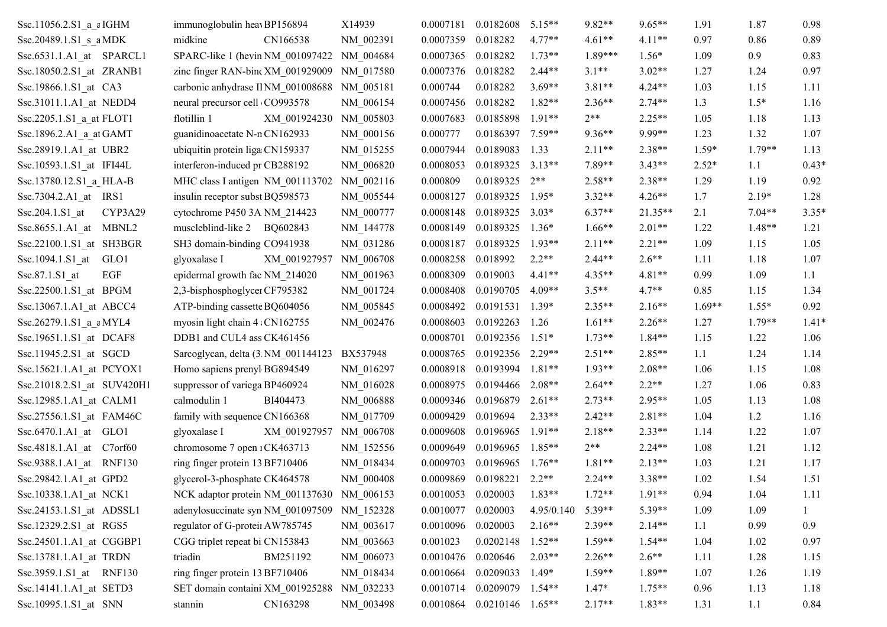| Ssc.11056.2.S1_a_aIGHM               | immunoglobulin heav BP156894       | X14939          | 0.0007181          | 0.0182608                        | $5.15**$   | $9.82**$ | $9.65**$  | 1.91     | 1.87     | 0.98    |
|--------------------------------------|------------------------------------|-----------------|--------------------|----------------------------------|------------|----------|-----------|----------|----------|---------|
| Ssc.20489.1.S1 s aMDK                | midkine<br>CN166538                | NM 002391       | 0.0007359          | 0.018282                         | $4.77**$   | $4.61**$ | $4.11**$  | 0.97     | 0.86     | 0.89    |
| Ssc.6531.1.A1_at SPARCL1             | SPARC-like 1 (hevin NM 001097422)  | NM 004684       | 0.0007365          | 0.018282                         | $1.73**$   | 1.89***  | $1.56*$   | 1.09     | 0.9      | 0.83    |
| Ssc.18050.2.S1 at ZRANB1             | zinc finger RAN-binc XM 001929009  | NM 017580       | 0.0007376          | 0.018282                         | $2.44**$   | $3.1**$  | $3.02**$  | 1.27     | 1.24     | 0.97    |
| Ssc.19866.1.S1 at CA3                | carbonic anhydrase Il NM 001008688 | NM 005181       | 0.000744           | 0.018282                         | $3.69**$   | $3.81**$ | $4.24**$  | 1.03     | 1.15     | 1.11    |
| Ssc.31011.1.A1 at NEDD4              | neural precursor cell CO993578     | NM 006154       | 0.0007456          | 0.018282                         | $1.82**$   | $2.36**$ | $2.74**$  | 1.3      | $1.5*$   | 1.16    |
| Ssc.2205.1.S1_a_at FLOT1             | flotillin 1<br>XM 001924230        | NM 005803       | 0.0007683          | 0.0185898                        | $1.91**$   | $2**$    | $2.25**$  | 1.05     | 1.18     | 1.13    |
| Ssc.1896.2. $A1_a$ at GAMT           | guanidinoacetate N-n CN162933      | NM 000156       | 0.000777           | 0.0186397                        | $7.59**$   | $9.36**$ | 9.99**    | 1.23     | 1.32     | 1.07    |
| Ssc.28919.1.A1 at UBR2               | ubiquitin protein liga CN159337    | NM 015255       | 0.0007944          | 0.0189083                        | 1.33       | $2.11**$ | $2.38**$  | $1.59*$  | $1.79**$ | 1.13    |
| Ssc.10593.1.S1_at IFI44L             | interferon-induced pr CB288192     | NM_006820       | 0.0008053          | 0.0189325                        | $3.13**$   | 7.89**   | $3.43**$  | $2.52*$  | 1.1      | $0.43*$ |
| Ssc.13780.12.S1_a_HLA-B              | MHC class I antigen NM_001113702   | NM 002116       | 0.000809           | 0.0189325                        | $2**$      | $2.58**$ | 2.38**    | 1.29     | 1.19     | 0.92    |
| Ssc.7304.2.A1_at IRS1                | insulin receptor subst BQ598573    | NM_005544       | 0.0008127          | 0.0189325                        | $1.95*$    | $3.32**$ | $4.26**$  | 1.7      | $2.19*$  | 1.28    |
| Ssc.204.1.S1 at<br>CYP3A29           | cytochrome P450 3A NM 214423       | NM 000777       | 0.0008148          | 0.0189325                        | $3.03*$    | $6.37**$ | $21.35**$ | 2.1      | $7.04**$ | $3.35*$ |
| $Ssc.8655.1.A1_at$ MBNL2             | muscleblind-like 2 BQ602843        | NM 144778       | 0.0008149          | 0.0189325                        | $1.36*$    | $1.66**$ | $2.01**$  | 1.22     | $1.48**$ | 1.21    |
| Ssc.22100.1.S1 at SH3BGR             | SH3 domain-binding CO941938        | NM_031286       | 0.0008187          | 0.0189325                        | $1.93**$   | $2.11**$ | $2.21**$  | 1.09     | 1.15     | 1.05    |
| Ssc.1094.1.S1 at<br>GLO1             | XM 001927957<br>glyoxalase I       | NM_006708       | 0.0008258          | 0.018992                         | $2.2**$    | $2.44**$ | $2.6**$   | 1.11     | 1.18     | 1.07    |
| EGF<br>$Ssc.87.1.S1$ <sub>_</sub> at | epidermal growth fac NM 214020     | NM 001963       | 0.0008309          | 0.019003                         | $4.41**$   | $4.35**$ | $4.81**$  | 0.99     | 1.09     | 1.1     |
| Ssc.22500.1.S1_at BPGM               | 2,3-bisphosphoglycer CF795382      | NM_001724       | 0.0008408          | 0.0190705                        | $4.09**$   | $3.5**$  | $4.7**$   | 0.85     | 1.15     | 1.34    |
| Ssc.13067.1.A1_at ABCC4              | ATP-binding cassette BQ604056      | NM 005845       | 0.0008492          | 0.0191531                        | $1.39*$    | $2.35**$ | $2.16**$  | $1.69**$ | $1.55*$  | 0.92    |
| Ssc.26279.1.S1 a aMYL4               | myosin light chain 4 CN162755      | NM_002476       | 0.0008603          | 0.0192263                        | 1.26       | $1.61**$ | $2.26**$  | 1.27     | $1.79**$ | $1.41*$ |
| Ssc.19651.1.S1_at DCAF8              | DDB1 and CUL4 ass CK461456         |                 | 0.0008701          | 0.0192356                        | $1.51*$    | $1.73**$ | $1.84**$  | 1.15     | 1.22     | 1.06    |
| Ssc.11945.2.S1_at SGCD               | Sarcoglycan, delta (3 NM_001144123 | <b>BX537948</b> | 0.0008765          | 0.0192356                        | $2.29**$   | $2.51**$ | $2.85**$  | 1.1      | 1.24     | 1.14    |
| Ssc.15621.1.A1_at PCYOX1             | Homo sapiens prenyl BG894549       | NM 016297       | 0.0008918          | 0.0193994                        | $1.81**$   | $1.93**$ | $2.08**$  | 1.06     | 1.15     | 1.08    |
| Ssc.21018.2.S1_at SUV420H1           | suppressor of variega BP460924     | NM 016028       | 0.0008975          | 0.0194466                        | $2.08**$   | $2.64**$ | $2.2**$   | 1.27     | 1.06     | 0.83    |
| Ssc.12985.1.A1_at CALM1              | calmodulin 1<br>BI404473           | NM 006888       | 0.0009346          | 0.0196879                        | $2.61**$   | $2.73**$ | 2.95**    | 1.05     | 1.13     | 1.08    |
| Ssc.27556.1.S1 at FAM46C             | family with sequence CN166368      | NM 017709       | 0.0009429          | 0.019694                         | $2.33**$   | $2.42**$ | $2.81**$  | 1.04     | 1.2      | 1.16    |
| Ssc.6470.1.A1 at GLO1                | XM 001927957<br>glyoxalase I       | NM 006708       | 0.0009608          | 0.0196965                        | $1.91**$   | $2.18**$ | $2.33**$  | 1.14     | 1.22     | 1.07    |
| Ssc. 4818.1.A1 at C7orf60            | chromosome 7 open 1 CK463713       | NM 152556       | 0.0009649          | 0.0196965                        | $1.85**$   | $2**$    | $2.24**$  | 1.08     | 1.21     | 1.12    |
| Ssc.9388.1.A1 at RNF130              | ring finger protein 13 BF710406    | NM 018434       | 0.0009703          | 0.0196965                        | $1.76**$   | $1.81**$ | $2.13**$  | 1.03     | 1.21     | 1.17    |
| Ssc.29842.1.A1_at GPD2               | glycerol-3-phosphate CK464578      | NM_000408       |                    | 0.0009869  0.0198221  2.2**      |            | $2.24**$ | 3.38**    | 1.02     | 1.54     | 1.51    |
| Ssc.10338.1.A1 at NCK1               | NCK adaptor protein NM_001137630   | NM_006153       | 0.0010053          | 0.020003                         | $1.83**$   | $1.72**$ | $1.91**$  | 0.94     | 1.04     | 1.11    |
| Ssc.24153.1.S1 at ADSSL1             | adenylosuccinate syn NM 001097509  | NM_152328       | 0.0010077          | 0.020003                         | 4.95/0.140 | $5.39**$ | 5.39**    | 1.09     | 1.09     |         |
| Ssc.12329.2.S1 at RGS5               | regulator of G-protein AW785745    | NM_003617       | 0.0010096 0.020003 |                                  | $2.16**$   | $2.39**$ | $2.14**$  | 1.1      | 0.99     | 0.9     |
| Ssc.24501.1.A1 at CGGBP1             | CGG triplet repeat bi CN153843     | NM 003663       | 0.001023           | 0.0202148                        | $1.52**$   | $1.59**$ | $1.54**$  | 1.04     | 1.02     | 0.97    |
| Ssc.13781.1.A1 at TRDN               | triadin<br>BM251192                | NM 006073       | 0.0010476          | 0.020646                         | $2.03**$   | $2.26**$ | $2.6**$   | 1.11     | 1.28     | 1.15    |
| Ssc.3959.1.S1_at RNF130              | ring finger protein 13 BF710406    | NM_018434       | 0.0010664          | 0.0209033                        | $1.49*$    | $1.59**$ | $1.89**$  | 1.07     | 1.26     | 1.19    |
| Ssc.14141.1.A1 at SETD3              | SET domain containi XM 001925288   | NM_032233       | 0.0010714          | 0.0209079                        | $1.54**$   | $1.47*$  | $1.75**$  | 0.96     | 1.13     | 1.18    |
| Ssc.10995.1.S1_at SNN                | CN163298<br>stannin                | NM_003498       |                    | $0.0010864$ $0.0210146$ $1.65**$ |            | $2.17**$ | $1.83**$  | 1.31     | 1.1      | 0.84    |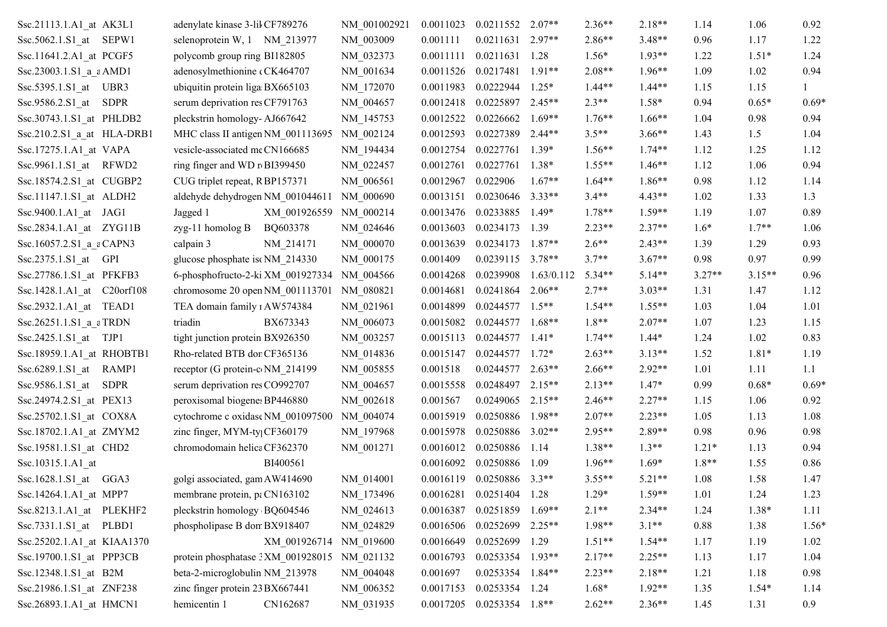| Ssc.21113.1.A1_at AK3L1      | adenylate kinase 3-lil CF789276   | NM 001002921 | 0.0011023 | 0.0211552                   | $2.07**$   | $2.36**$ | $2.18**$ | 1.14     | 1.06     | 0.92    |
|------------------------------|-----------------------------------|--------------|-----------|-----------------------------|------------|----------|----------|----------|----------|---------|
| Ssc.5062.1.S1 at SEPW1       | selenoprotein W, 1 NM 213977      | NM 003009    | 0.001111  | 0.0211631                   | $2.97**$   | $2.86**$ | $3.48**$ | 0.96     | 1.17     | 1.22    |
| Ssc.11641.2.A1 at PCGF5      | polycomb group ring BI182805      | NM 032373    | 0.0011111 | 0.0211631                   | 1.28       | $1.56*$  | $1.93**$ | 1.22     | $1.51*$  | 1.24    |
| Ssc.23003.1.S1 a aAMD1       | adenosylmethionine cCK464707      | NM 001634    | 0.0011526 | 0.0217481                   | $1.91**$   | $2.08**$ | $1.96**$ | 1.09     | 1.02     | 0.94    |
| Ssc.5395.1.S1_at UBR3        | ubiquitin protein liga BX665103   | NM 172070    | 0.0011983 | 0.0222944                   | $1.25*$    | $1.44**$ | $1.44**$ | 1.15     | 1.15     |         |
| Ssc.9586.2.S1 at SDPR        | serum deprivation res CF791763    | NM 004657    | 0.0012418 | 0.0225897                   | $2.45**$   | $2.3**$  | $1.58*$  | 0.94     | $0.65*$  | $0.69*$ |
| Ssc.30743.1.S1_at PHLDB2     | pleckstrin homology-AJ667642      | NM 145753    | 0.0012522 | 0.0226662                   | $1.69**$   | $1.76**$ | $1.66**$ | 1.04     | 0.98     | 0.94    |
| $Ssc.210.2.S1$ a at HLA-DRB1 | MHC class II antigen NM_001113695 | NM 002124    | 0.0012593 | 0.0227389                   | $2.44**$   | $3.5**$  | $3.66**$ | 1.43     | 1.5      | 1.04    |
| Ssc.17275.1.A1 at VAPA       | vesicle-associated meCN166685     | NM 194434    | 0.0012754 | 0.0227761                   | $1.39*$    | $1.56**$ | $1.74**$ | 1.12     | 1.25     | 1.12    |
| Ssc.9961.1.S1_at RFWD2       | ring finger and WD r BI399450     | NM 022457    | 0.0012761 | 0.0227761                   | $1.38*$    | $1.55**$ | $1.46**$ | 1.12     | 1.06     | 0.94    |
| Ssc.18574.2.S1 at CUGBP2     | CUG triplet repeat, R BP157371    | NM 006561    | 0.0012967 | 0.022906                    | $1.67**$   | $1.64**$ | $1.86**$ | 0.98     | 1.12     | 1.14    |
| Ssc.11147.1.S1 at ALDH2      | aldehyde dehydrogen NM 001044611  | NM 000690    | 0.0013151 | 0.0230646                   | $3.33**$   | $3.4**$  | $4.43**$ | 1.02     | 1.33     | 1.3     |
| Ssc.9400.1.A1 at JAG1        | XM_001926559<br>Jagged 1          | NM 000214    | 0.0013476 | 0.0233885                   | $1.49*$    | $1.78**$ | $1.59**$ | 1.19     | 1.07     | 0.89    |
| $Ssc.2834.1.A1_at ZYG11B$    | BQ603378<br>zyg-11 homolog $B$    | NM 024646    | 0.0013603 | 0.0234173                   | 1.39       | $2.23**$ | $2.37**$ | $1.6*$   | $1.7**$  | 1.06    |
| Ssc.16057.2.S1 a aCAPN3      | calpain 3<br>NM_214171            | NM 000070    | 0.0013639 | 0.0234173                   | $1.87**$   | $2.6**$  | $2.43**$ | 1.39     | 1.29     | 0.93    |
| Ssc.2375.1.S1_at GPI         | glucose phosphate is CNM 214330   | NM 000175    | 0.001409  | 0.0239115                   | $3.78**$   | $3.7**$  | $3.67**$ | 0.98     | 0.97     | 0.99    |
| Ssc.27786.1.S1_at PFKFB3     | 6-phosphofructo-2-ki XM_001927334 | NM 004566    | 0.0014268 | 0.0239908                   | 1.63/0.112 | $5.34**$ | $5.14**$ | $3.27**$ | $3.15**$ | 0.96    |
| Ssc.1428.1.A1_at C20orf108   | chromosome 20 open NM 001113701   | NM 080821    | 0.0014681 | 0.0241864                   | $2.06**$   | $2.7**$  | $3.03**$ | 1.31     | 1.47     | 1.12    |
| Ssc.2932.1.A1_at TEAD1       | TEA domain family 1 AW574384      | NM 021961    | 0.0014899 | 0.0244577                   | $1.5**$    | $1.54**$ | $1.55**$ | 1.03     | 1.04     | 1.01    |
| Ssc.26251.1.S1 a aTRDN       | BX673343<br>triadin               | NM 006073    | 0.0015082 | 0.0244577                   | $1.68**$   | $1.8**$  | $2.07**$ | 1.07     | 1.23     | 1.15    |
| Ssc.2425.1.S1_at TJP1        | tight junction protein BX926350   | NM 003257    | 0.0015113 | 0.0244577                   | $1.41*$    | $1.74**$ | $1.44*$  | 1.24     | 1.02     | 0.83    |
| Ssc.18959.1.A1 at RHOBTB1    | Rho-related BTB dor CF365136      | NM 014836    | 0.0015147 | 0.0244577                   | $1.72*$    | $2.63**$ | $3.13**$ | 1.52     | $1.81*$  | 1.19    |
| Ssc.6289.1.S1_at RAMP1       | receptor (G protein-c NM 214199)  | NM 005855    | 0.001518  | 0.0244577                   | $2.63**$   | $2.66**$ | $2.92**$ | 1.01     | 1.11     | 1.1     |
| Ssc.9586.1.S1 at SDPR        | serum deprivation res CO992707    | NM 004657    | 0.0015558 | 0.0248497                   | $2.15**$   | $2.13**$ | $1.47*$  | 0.99     | $0.68*$  | $0.69*$ |
| Ssc.24974.2.S1_at PEX13      | peroxisomal biogenes BP446880     | NM 002618    | 0.001567  | 0.0249065                   | $2.15**$   | $2.46**$ | $2.27**$ | 1.15     | 1.06     | 0.92    |
| Ssc.25702.1.S1 at COX8A      | cytochrome c oxidase NM 001097500 | NM 004074    | 0.0015919 | 0.0250886                   | $1.98**$   | $2.07**$ | $2.23**$ | 1.05     | 1.13     | 1.08    |
| Ssc.18702.1.A1_at ZMYM2      | zinc finger, MYM-ty CF360179      | NM_197968    | 0.0015978 | 0.0250886                   | $3.02**$   | $2.95**$ | $2.89**$ | 0.98     | 0.96     | 0.98    |
| Ssc.19581.1.S1 at CHD2       | chromodomain helica CF362370      | NM 001271    | 0.0016012 | 0.0250886                   | 1.14       | $1.38**$ | $1.3**$  | $1.21*$  | 1.13     | 0.94    |
| Ssc.10315.1.A1 at            | BI400561                          |              | 0.0016092 | 0.0250886                   | 1.09       | $1.96**$ | $1.69*$  | $1.8**$  | 1.55     | 0.86    |
| Ssc.1628.1.S1_at GGA3        | golgi associated, gam AW414690    | NM_014001    |           | 0.0016119  0.0250886  3.3** |            | $3.55**$ | $5.21**$ | 1.08     | 1.58     | 1.47    |
| Ssc.14264.1.A1_at MPP7       | membrane protein, pt CN163102     | NM_173496    | 0.0016281 | 0.0251404 1.28              |            | $1.29*$  | $1.59**$ | 1.01     | 1.24     | 1.23    |
| Ssc.8213.1.A1_at PLEKHF2     | pleckstrin homology BQ604546      | NM 024613    | 0.0016387 | 0.0251859                   | $1.69**$   | $2.1**$  | $2.34**$ | 1.24     | 1.38*    | 1.11    |
| Ssc.7331.1.S1_at PLBD1       | phospholipase B don BX918407      | NM 024829    | 0.0016506 | 0.0252699                   | $2.25**$   | 1.98**   | $3.1**$  | 0.88     | 1.38     | $1.56*$ |
| Ssc.25202.1.A1_at KIAA1370   | XM_001926714 NM_019600            |              | 0.0016649 | 0.0252699                   | 1.29       | $1.51**$ | $1.54**$ | 1.17     | 1.19     | 1.02    |
| Ssc.19700.1.S1_at PPP3CB     | protein phosphatase 3XM 001928015 | NM 021132    | 0.0016793 | 0.0253354 1.93**            |            | $2.17**$ | $2.25**$ | 1.13     | 1.17     | 1.04    |
| Ssc.12348.1.S1_at B2M        | beta-2-microglobulin NM_213978    | NM_004048    | 0.001697  | 0.0253354                   | $1.84**$   | $2.23**$ | $2.18**$ | 1.21     | 1.18     | 0.98    |
| Ssc.21986.1.S1 at ZNF238     | zinc finger protein 23 BX667441   | NM 006352    | 0.0017153 | 0.0253354 1.24              |            | $1.68*$  | $1.92**$ | 1.35     | $1.54*$  | 1.14    |
| Ssc.26893.1.A1 at HMCN1      | CN162687<br>hemicentin 1          | NM_031935    |           | 0.0017205  0.0253354  1.8** |            | $2.62**$ | $2.36**$ | 1.45     | 1.31     | 0.9     |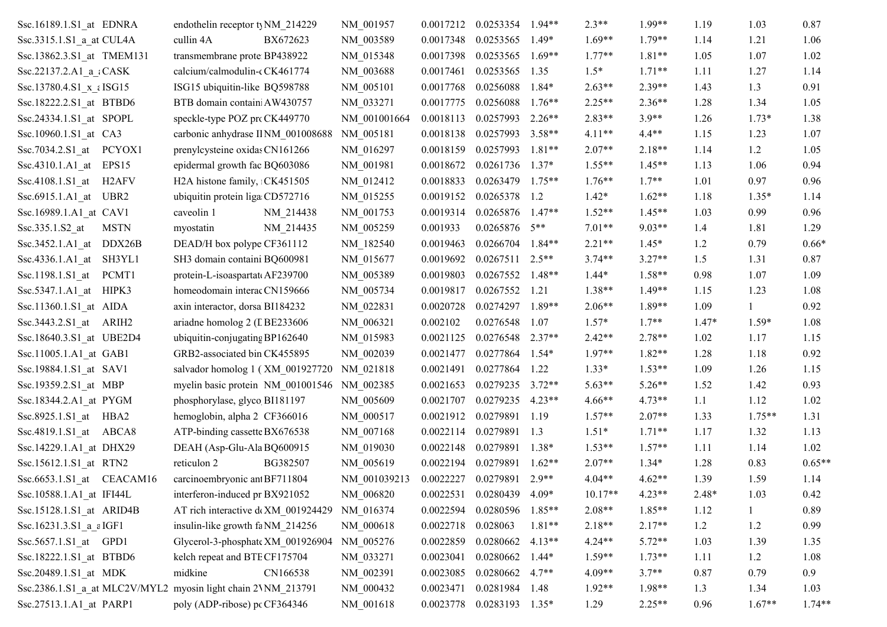| Ssc.16189.1.S1_at EDNRA                   | endothelin receptor ty NM 214229          | NM 001957    | 0.0017212 | 0.0253354                   | $1.94**$ | $2.3**$   | 1.99**   | 1.19    | 1.03     | 0.87     |
|-------------------------------------------|-------------------------------------------|--------------|-----------|-----------------------------|----------|-----------|----------|---------|----------|----------|
| $Ssc.3315.1.S1$ a at CUL4A                | cullin 4A<br>BX672623                     | NM 003589    | 0.0017348 | 0.0253565                   | $1.49*$  | $1.69**$  | $1.79**$ | 1.14    | 1.21     | 1.06     |
| Ssc.13862.3.S1_at TMEM131                 | transmembrane prote BP438922              | NM 015348    | 0.0017398 | 0.0253565                   | $1.69**$ | $1.77**$  | $1.81**$ | 1.05    | 1.07     | 1.02     |
| Ssc.22137.2.A1_a_¿CASK                    | calcium/calmodulin-cCK461774              | NM 003688    | 0.0017461 | 0.0253565                   | 1.35     | $1.5*$    | $1.71**$ | 1.11    | 1.27     | 1.14     |
| Ssc.13780.4.S1_x_εISG15                   | ISG15 ubiquitin-like BQ598788             | NM 005101    | 0.0017768 | 0.0256088                   | $1.84*$  | $2.63**$  | $2.39**$ | 1.43    | 1.3      | 0.91     |
| Ssc.18222.2.S1_at BTBD6                   | BTB domain contain AW430757               | NM 033271    | 0.0017775 | 0.0256088                   | $1.76**$ | $2.25**$  | $2.36**$ | 1.28    | 1.34     | 1.05     |
| Ssc.24334.1.S1_at SPOPL                   | speckle-type POZ pro CK449770             | NM 001001664 | 0.0018113 | 0.0257993                   | $2.26**$ | $2.83**$  | $3.9**$  | 1.26    | $1.73*$  | 1.38     |
| Ssc.10960.1.S1_at CA3                     | carbonic anhydrase IINM 001008688         | NM 005181    | 0.0018138 | 0.0257993                   | $3.58**$ | $4.11**$  | $4.4**$  | 1.15    | 1.23     | 1.07     |
| Ssc. 7034.2. S1 at PCYOX1                 | prenylcysteine oxidas CN161266            | NM 016297    | 0.0018159 | 0.0257993                   | $1.81**$ | $2.07**$  | $2.18**$ | 1.14    | 1.2      | 1.05     |
| EPS15<br>Ssc.4310.1. $A1$ at              | epidermal growth fac BQ603086             | NM 001981    | 0.0018672 | 0.0261736                   | $1.37*$  | $1.55**$  | $1.45**$ | 1.13    | 1.06     | 0.94     |
| Ssc.4108.1.S1_at H2AFV                    | H <sub>2</sub> A histone family, CK451505 | NM 012412    | 0.0018833 | 0.0263479                   | $1.75**$ | $1.76**$  | $1.7**$  | 1.01    | 0.97     | 0.96     |
| UBR2<br>$Ssc.6915.1.A1_at$                | ubiquitin protein liga CD572716           | NM 015255    | 0.0019152 | 0.0265378 1.2               |          | $1.42*$   | $1.62**$ | 1.18    | $1.35*$  | 1.14     |
| Ssc.16989.1.A1_at CAV1                    | caveolin 1<br>NM_214438                   | NM 001753    | 0.0019314 | 0.0265876                   | $1.47**$ | $1.52**$  | $1.45**$ | 1.03    | 0.99     | 0.96     |
| Ssc.335.1.S2_at<br><b>MSTN</b>            | NM 214435<br>myostatin                    | NM 005259    | 0.001933  | 0.0265876                   | $5**$    | $7.01**$  | $9.03**$ | 1.4     | 1.81     | 1.29     |
| Ssc.3452.1.A1_at DDX26B                   | DEAD/H box polype CF361112                | NM 182540    | 0.0019463 | 0.0266704                   | $1.84**$ | $2.21**$  | $1.45*$  | 1.2     | 0.79     | $0.66*$  |
| SH3YL1<br>Ssc.4336.1.A1 at                | SH3 domain containi BQ600981              | NM 015677    | 0.0019692 | 0.0267511                   | $2.5**$  | $3.74**$  | $3.27**$ | 1.5     | 1.31     | 0.87     |
| Ssc.1198.1.S1_at PCMT1                    | protein-L-isoaspartat AF239700            | NM 005389    | 0.0019803 | 0.0267552                   | $1.48**$ | $1.44*$   | $1.58**$ | 0.98    | 1.07     | 1.09     |
| Ssc.5347.1.A1_at<br>HIPK3                 | homeodomain interac CN159666              | NM 005734    | 0.0019817 | 0.0267552                   | 1.21     | $1.38**$  | $1.49**$ | 1.15    | 1.23     | 1.08     |
| Ssc.11360.1.S1 at AIDA                    | axin interactor, dorsa BI184232           | NM 022831    | 0.0020728 | 0.0274297                   | $1.89**$ | $2.06**$  | $1.89**$ | 1.09    | 1        | 0.92     |
| Ssc.3443.2.S1 at ARIH2                    | ariadne homolog 2 (I BE233606             | NM 006321    | 0.002102  | 0.0276548                   | 1.07     | $1.57*$   | $1.7**$  | $1.47*$ | $1.59*$  | 1.08     |
| Ssc.18640.3.S1_at UBE2D4                  | ubiquitin-conjugating BP162640            | NM 015983    | 0.0021125 | 0.0276548                   | $2.37**$ | $2.42**$  | $2.78**$ | 1.02    | 1.17     | 1.15     |
| Ssc.11005.1.A1 at GAB1                    | GRB2-associated bin CK455895              | NM 002039    | 0.0021477 | 0.0277864                   | $1.54*$  | $1.97**$  | $1.82**$ | 1.28    | 1.18     | 0.92     |
| Ssc.19884.1.S1_at SAV1                    | salvador homolog 1 (XM_001927720)         | NM 021818    | 0.0021491 | 0.0277864                   | 1.22     | $1.33*$   | $1.53**$ | 1.09    | 1.26     | 1.15     |
| Ssc.19359.2.S1 at MBP                     | myelin basic protein NM 001001546         | NM 002385    | 0.0021653 | 0.0279235                   | $3.72**$ | $5.63**$  | $5.26**$ | 1.52    | 1.42     | 0.93     |
| Ssc.18344.2.A1_at PYGM                    | phosphorylase, glyco BI181197             | NM_005609    | 0.0021707 | 0.0279235                   | $4.23**$ | $4.66**$  | $4.73**$ | 1.1     | 1.12     | 1.02     |
| Ssc.8925.1.S1_at HBA2                     | hemoglobin, alpha 2 CF366016              | NM 000517    | 0.0021912 | 0.0279891                   | 1.19     | $1.57**$  | $2.07**$ | 1.33    | $1.75**$ | 1.31     |
| Ssc.4819.1.S1_at ABCA8                    | ATP-binding cassette BX676538             | NM 007168    | 0.0022114 | 0.0279891                   | 1.3      | $1.51*$   | $1.71**$ | 1.17    | 1.32     | 1.13     |
| Ssc.14229.1.A1_at DHX29                   | DEAH (Asp-Glu-Ala BQ600915                | NM 019030    | 0.0022148 | 0.0279891                   | $1.38*$  | $1.53**$  | $1.57**$ | 1.11    | 1.14     | 1.02     |
| Ssc.15612.1.S1_at RTN2                    | reticulon 2<br>BG382507                   | NM 005619    | 0.0022194 | 0.0279891                   | $1.62**$ | $2.07**$  | $1.34*$  | 1.28    | 0.83     | $0.65**$ |
| $Ssc.6653.1.S1$ <sub>_at</sub> $CEACAM16$ | carcinoembryonic ant BF711804             | NM_001039213 |           | 0.0022227 0.0279891         | $2.9**$  | $4.04**$  | $4.62**$ | 1.39    | 1.59     | 1.14     |
| Ssc.10588.1.A1_at IFI44L                  | interferon-induced pr BX921052            | NM_006820    | 0.0022531 | 0.0280439                   | $4.09*$  | $10.17**$ | $4.23**$ | 2.48*   | 1.03     | 0.42     |
| Ssc.15128.1.S1 at ARID4B                  | AT rich interactive de XM 001924429       | NM 016374    | 0.0022594 | 0.0280596                   | $1.85**$ | $2.08**$  | $1.85**$ | 1.12    | 1        | 0.89     |
| Ssc.16231.3.S1 a aIGF1                    | insulin-like growth fa NM 214256          | NM 000618    | 0.0022718 | 0.028063                    | $1.81**$ | $2.18**$  | $2.17**$ | 1.2     | 1.2      | 0.99     |
| Ssc.5657.1.S1 at GPD1                     | Glycerol-3-phosphate XM 001926904         | NM 005276    | 0.0022859 | 0.0280662                   | $4.13**$ | $4.24**$  | $5.72**$ | 1.03    | 1.39     | 1.35     |
| Ssc.18222.1.S1 at BTBD6                   | kelch repeat and BTE CF175704             | NM 033271    | 0.0023041 | 0.0280662                   | $1.44*$  | $1.59**$  | $1.73**$ | 1.11    | 1.2      | 1.08     |
| Ssc.20489.1.S1 at MDK                     | midkine<br>CN166538                       | NM_002391    | 0.0023085 | 0.0280662                   | $4.7**$  | $4.09**$  | $3.7**$  | 0.87    | 0.79     | 0.9      |
| Ssc.2386.1.S1 a at MLC2V/MYL2             | myosin light chain 2VNM 213791            | NM 000432    | 0.0023471 | 0.0281984 1.48              |          | $1.92**$  | 1.98**   | 1.3     | 1.34     | 1.03     |
| Ssc.27513.1.A1_at PARP1                   | poly (ADP-ribose) pc CF364346             | NM_001618    |           | 0.0023778  0.0283193  1.35* |          | 1.29      | $2.25**$ | 0.96    | $1.67**$ | $1.74**$ |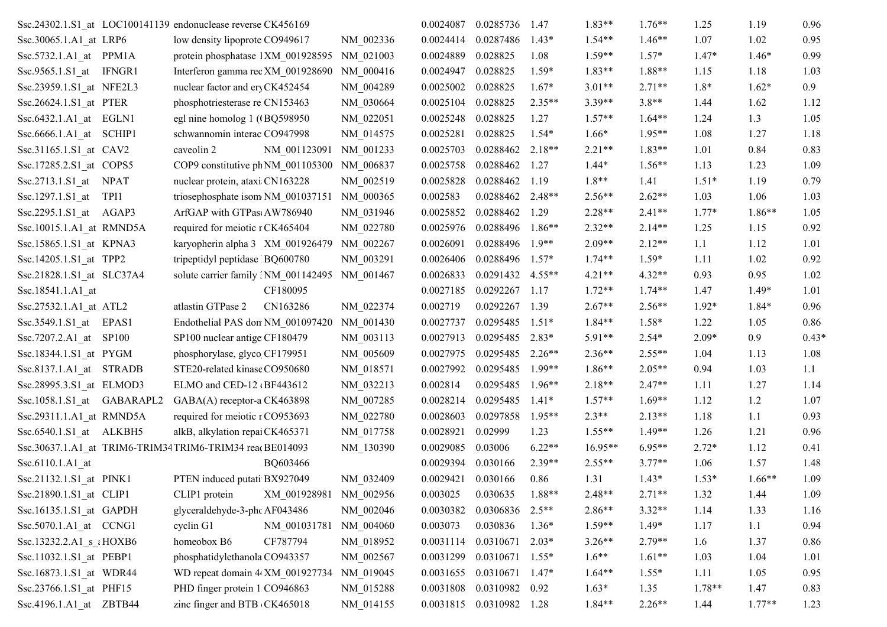| Ssc.24302.1.S1 at LOC100141139 endonuclease reverse CK456169 |                                             |           | 0.0024087          | 0.0285736                  | 1.47     | $1.83**$  | $1.76**$ | 1.25     | 1.19     | 0.96    |
|--------------------------------------------------------------|---------------------------------------------|-----------|--------------------|----------------------------|----------|-----------|----------|----------|----------|---------|
| Ssc.30065.1.A1 at LRP6                                       | low density lipoprote CO949617              | NM 002336 | 0.0024414          | 0.0287486                  | $1.43*$  | $1.54**$  | $1.46**$ | 1.07     | 1.02     | 0.95    |
| Ssc.5732.1.A1 at PPM1A                                       | protein phosphatase 1XM_001928595 NM_021003 |           | 0.0024889          | 0.028825                   | 1.08     | $1.59**$  | $1.57*$  | $1.47*$  | $1.46*$  | 0.99    |
| Ssc.9565.1.S1_at IFNGR1                                      | Interferon gamma rec XM 001928690           | NM 000416 | 0.0024947          | 0.028825                   | $1.59*$  | $1.83**$  | 1.88**   | 1.15     | 1.18     | 1.03    |
| Ssc.23959.1.S1_at NFE2L3                                     | nuclear factor and ery CK452454             | NM_004289 | 0.0025002          | 0.028825                   | $1.67*$  | $3.01**$  | $2.71**$ | $1.8*$   | $1.62*$  | 0.9     |
| Ssc.26624.1.S1_at PTER                                       | phosphotriesterase re CN153463              | NM 030664 | 0.0025104          | 0.028825                   | $2.35**$ | $3.39**$  | $3.8**$  | 1.44     | 1.62     | 1.12    |
| $Ssc.6432.1.A1_at$ EGLN1                                     | egl nine homolog 1 (GQ598950                | NM 022051 | 0.0025248          | 0.028825                   | 1.27     | $1.57**$  | $1.64**$ | 1.24     | 1.3      | 1.05    |
| Ssc.6666.1.A1_at SCHIP1                                      | schwannomin interac CO947998                | NM 014575 | 0.0025281          | 0.028825                   | $1.54*$  | $1.66*$   | $1.95**$ | 1.08     | 1.27     | 1.18    |
| Ssc.31165.1.S1_at CAV2                                       | caveolin 2<br>NM_001123091                  | NM 001233 | 0.0025703          | 0.0288462                  | $2.18**$ | $2.21**$  | $1.83**$ | 1.01     | 0.84     | 0.83    |
| Ssc.17285.2.S1_at COPS5                                      | COP9 constitutive ph NM_001105300           | NM 006837 | 0.0025758          | 0.0288462                  | 1.27     | $1.44*$   | $1.56**$ | 1.13     | 1.23     | 1.09    |
| $Ssc.2713.1.S1$ <sub>_at</sub> NPAT                          | nuclear protein, ataxi CN163228             | NM 002519 | 0.0025828          | 0.0288462                  | 1.19     | $1.8**$   | 1.41     | $1.51*$  | 1.19     | 0.79    |
| Ssc.1297.1.S1 at TPI1                                        | triosephosphate isom NM 001037151           | NM 000365 | 0.002583           | 0.0288462                  | $2.48**$ | $2.56**$  | $2.62**$ | 1.03     | 1.06     | 1.03    |
| Ssc.2295.1.S1_at AGAP3                                       | ArfGAP with GTPas AW786940                  | NM 031946 | 0.0025852          | 0.0288462                  | 1.29     | $2.28**$  | $2.41**$ | $1.77*$  | $1.86**$ | 1.05    |
| Ssc.10015.1.A1 at RMND5A                                     | required for meiotic r CK465404             | NM 022780 | 0.0025976          | 0.0288496                  | $1.86**$ | $2.32**$  | $2.14**$ | 1.25     | 1.15     | 0.92    |
| Ssc.15865.1.S1_at KPNA3                                      | karyopherin alpha 3 XM 001926479            | NM 002267 | 0.0026091          | 0.0288496                  | $1.9**$  | $2.09**$  | $2.12**$ | 1.1      | 1.12     | 1.01    |
| Ssc.14205.1.S1 at TPP2                                       | tripeptidyl peptidase BQ600780              | NM_003291 | 0.0026406          | 0.0288496                  | $1.57*$  | $1.74**$  | $1.59*$  | 1.11     | 1.02     | 0.92    |
| Ssc.21828.1.S1_at SLC37A4                                    | solute carrier family . NM_001142495        | NM 001467 | 0.0026833          | 0.0291432                  | $4.55**$ | $4.21**$  | $4.32**$ | 0.93     | 0.95     | 1.02    |
| Ssc.18541.1.A1 at                                            | CF180095                                    |           | 0.0027185          | 0.0292267                  | 1.17     | $1.72**$  | $1.74**$ | 1.47     | $1.49*$  | 1.01    |
| Ssc.27532.1.A1_at ATL2                                       | atlastin GTPase 2<br>CN163286               | NM 022374 | 0.002719           | 0.0292267                  | 1.39     | $2.67**$  | $2.56**$ | $1.92*$  | $1.84*$  | 0.96    |
| Ssc.3549.1.S1 at EPAS1                                       | Endothelial PAS don NM 001097420            | NM 001430 | 0.0027737          | 0.0295485                  | $1.51*$  | $1.84**$  | $1.58*$  | 1.22     | 1.05     | 0.86    |
| Ssc.7207.2.A1_at SP100                                       | SP100 nuclear antige CF180479               | NM 003113 | 0.0027913          | 0.0295485                  | 2.83*    | $5.91**$  | $2.54*$  | $2.09*$  | 0.9      | $0.43*$ |
| Ssc.18344.1.S1 at PYGM                                       | phosphorylase, glyco CF179951               | NM 005609 | 0.0027975          | 0.0295485                  | $2.26**$ | $2.36**$  | $2.55**$ | 1.04     | 1.13     | 1.08    |
| Ssc.8137.1.A1_at STRADB                                      | STE20-related kinase CO950680               | NM 018571 | 0.0027992          | 0.0295485                  | $1.99**$ | $1.86**$  | $2.05**$ | 0.94     | 1.03     | 1.1     |
| Ssc.28995.3.S1 at ELMOD3                                     | ELMO and CED-12 (BF443612                   | NM 032213 | 0.002814           | 0.0295485                  | $1.96**$ | $2.18**$  | $2.47**$ | 1.11     | 1.27     | 1.14    |
| Ssc.1058.1.S1_at GABARAPL2                                   | GABA(A) receptor-a CK463898                 | NM_007285 | 0.0028214          | 0.0295485                  | $1.41*$  | $1.57**$  | $1.69**$ | 1.12     | 1.2      | 1.07    |
| Ssc.29311.1.A1 at RMND5A                                     | required for meiotic r CO953693             | NM 022780 | 0.0028603          | 0.0297858                  | $1.95**$ | $2.3**$   | $2.13**$ | 1.18     | 1.1      | 0.93    |
| Ssc.6540.1.S1_at ALKBH5                                      | alkB, alkylation repai CK465371             | NM 017758 | 0.0028921          | 0.02999                    | 1.23     | $1.55**$  | $1.49**$ | 1.26     | 1.21     | 0.96    |
| Ssc.30637.1.A1 at TRIM6-TRIM34TRIM6-TRIM34 reacBE014093      |                                             | NM 130390 | 0.0029085          | 0.03006                    | $6.22**$ | $16.95**$ | $6.95**$ | $2.72*$  | 1.12     | 0.41    |
| Ssc.6110.1.A1 at                                             | BQ603466                                    |           | 0.0029394          | 0.030166                   | $2.39**$ | $2.55**$  | $3.77**$ | 1.06     | 1.57     | 1.48    |
| Ssc.21132.1.S1_at PINK1                                      | PTEN induced putati BX927049                | NM_032409 | 0.0029421 0.030166 |                            | 0.86     | 1.31      | $1.43*$  | $1.53*$  | $1.66**$ | 1.09    |
| Ssc.21890.1.S1 at CLIP1                                      | CLIP1 protein<br>XM 001928981               | NM_002956 | 0.003025           | 0.030635                   | 1.88**   | $2.48**$  | $2.71**$ | 1.32     | 1.44     | 1.09    |
| Ssc.16135.1.S1 at GAPDH                                      | glyceraldehyde-3-phc AF043486               | NM_002046 | 0.0030382          | 0.0306836                  | $2.5**$  | $2.86**$  | $3.32**$ | 1.14     | 1.33     | 1.16    |
| Ssc.5070.1.A1 at CCNG1                                       | cyclin G1<br>NM 001031781                   | NM 004060 | 0.003073           | 0.030836                   | $1.36*$  | $1.59**$  | 1.49*    | 1.17     | 1.1      | 0.94    |
| Ssc.13232.2.A1_s_¿HOXB6                                      | homeobox B6<br>CF787794                     | NM_018952 | 0.0031114          | 0.0310671                  | $2.03*$  | $3.26**$  | $2.79**$ | 1.6      | 1.37     | 0.86    |
| Ssc.11032.1.S1 at PEBP1                                      | phosphatidylethanola CO943357               | NM_002567 | 0.0031299          | 0.0310671                  | $1.55*$  | $1.6**$   | $1.61**$ | 1.03     | 1.04     | 1.01    |
| Ssc.16873.1.S1_at WDR44                                      | WD repeat domain 4 XM 001927734             | NM_019045 | 0.0031655          | 0.0310671                  | $1.47*$  | $1.64**$  | $1.55*$  | 1.11     | 1.05     | 0.95    |
| Ssc.23766.1.S1 at PHF15                                      | PHD finger protein 1 CO946863               | NM 015288 | 0.0031808          | 0.0310982 0.92             |          | $1.63*$   | 1.35     | $1.78**$ | 1.47     | 0.83    |
| Ssc.4196.1.A1_at ZBTB44                                      | zinc finger and BTB CK465018                | NM 014155 |                    | 0.0031815  0.0310982  1.28 |          | $1.84**$  | $2.26**$ | 1.44     | $1.77**$ | 1.23    |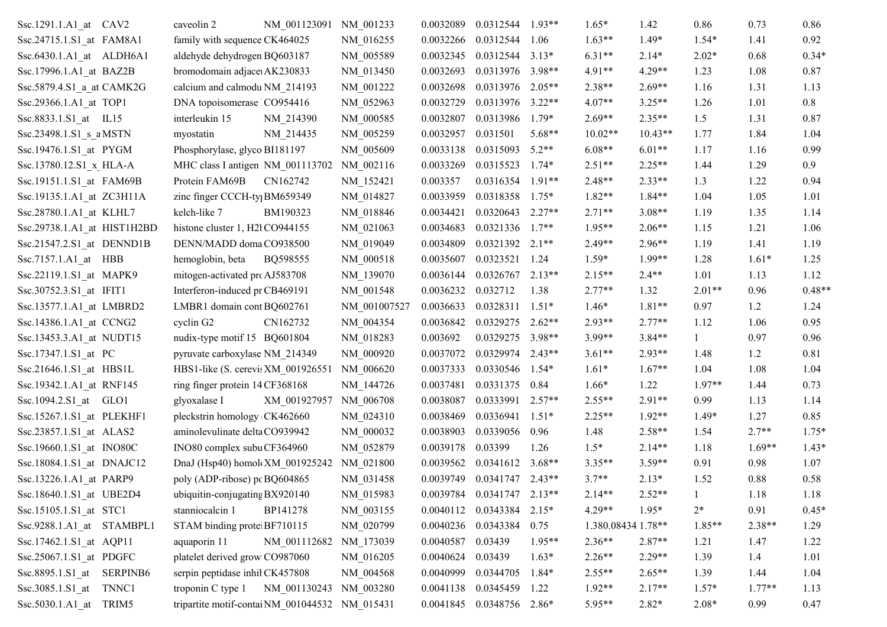| Ssc.1291.1.A1_at CAV2                   | caveolin 2<br>NM 001123091                     | NM 001233    | 0.0032089         | 0.0312544                        | $1.93**$ | $1.65*$            | 1.42      | 0.86         | 0.73     | 0.86     |
|-----------------------------------------|------------------------------------------------|--------------|-------------------|----------------------------------|----------|--------------------|-----------|--------------|----------|----------|
| Ssc.24715.1.S1 at FAM8A1                | family with sequence CK464025                  | NM 016255    | 0.0032266         | 0.0312544                        | 1.06     | $1.63**$           | $1.49*$   | $1.54*$      | 1.41     | 0.92     |
| Ssc.6430.1.A1_at ALDH6A1                | aldehyde dehydrogen BQ603187                   | NM 005589    | 0.0032345         | 0.0312544                        | $3.13*$  | $6.31**$           | $2.14*$   | $2.02*$      | 0.68     | $0.34*$  |
| Ssc.17996.1.A1_at BAZ2B                 | bromodomain adjace AK230833                    | NM 013450    | 0.0032693         | 0.0313976                        | $3.98**$ | 4.91**             | $4.29**$  | 1.23         | 1.08     | 0.87     |
| Ssc.5879.4.S1_a_at CAMK2G               | calcium and calmodu NM 214193                  | NM 001222    | 0.0032698         | 0.0313976                        | $2.05**$ | $2.38**$           | $2.69**$  | 1.16         | 1.31     | 1.13     |
| Ssc.29366.1.A1_at TOP1                  | DNA topoisomerase CO954416                     | NM 052963    | 0.0032729         | 0.0313976                        | $3.22**$ | $4.07**$           | $3.25**$  | 1.26         | 1.01     | 0.8      |
| Ssc.8833.1.S1_at IL15                   | interleukin 15<br>NM 214390                    | NM 000585    | 0.0032807         | 0.0313986                        | $1.79*$  | $2.69**$           | $2.35**$  | 1.5          | 1.31     | 0.87     |
| Ssc.23498.1.S1 s a MSTN                 | NM 214435<br>myostatin                         | NM 005259    | 0.0032957         | 0.031501                         | $5.68**$ | $10.02**$          | $10.43**$ | 1.77         | 1.84     | 1.04     |
| Ssc.19476.1.S1_at PYGM                  | Phosphorylase, glyco BI181197                  | NM 005609    | 0.0033138         | 0.0315093                        | $5.2**$  | $6.08**$           | $6.01**$  | 1.17         | 1.16     | 0.99     |
| Ssc.13780.12.S1_x_HLA-A                 | MHC class I antigen NM_001113702               | NM 002116    | 0.0033269         | 0.0315523                        | $1.74*$  | $2.51**$           | $2.25**$  | 1.44         | 1.29     | 0.9      |
| Ssc.19151.1.S1_at FAM69B                | CN162742<br>Protein FAM69B                     | NM 152421    | 0.003357          | 0.0316354                        | $1.91**$ | 2.48**             | $2.33**$  | 1.3          | 1.22     | 0.94     |
| Ssc.19135.1.A1_at ZC3H11A               | zinc finger CCCH-ty <sub>l</sub> BM659349      | NM 014827    | 0.0033959         | 0.0318358                        | $1.75*$  | $1.82**$           | $1.84**$  | 1.04         | 1.05     | 1.01     |
| Ssc.28780.1.A1 at KLHL7                 | kelch-like 7<br>BM190323                       | NM 018846    | 0.0034421         | 0.0320643                        | $2.27**$ | $2.71**$           | $3.08**$  | 1.19         | 1.35     | 1.14     |
| Ssc.29738.1.A1_at HIST1H2BD             | histone cluster 1, H2l CO944155                | NM 021063    | 0.0034683         | 0.0321336                        | $1.7**$  | $1.95**$           | $2.06**$  | 1.15         | 1.21     | 1.06     |
| Ssc.21547.2.S1_at DENND1B               | DENN/MADD doma CO938500                        | NM 019049    | 0.0034809         | 0.0321392                        | $2.1**$  | $2.49**$           | $2.96**$  | 1.19         | 1.41     | 1.19     |
| Ssc.7157.1.A1_at HBB                    | hemoglobin, beta<br>BQ598555                   | NM 000518    | 0.0035607         | 0.0323521                        | 1.24     | $1.59*$            | $1.99**$  | 1.28         | $1.61*$  | 1.25     |
| Ssc.22119.1.S1_at MAPK9                 | mitogen-activated pro AJ583708                 | NM_139070    | 0.0036144         | 0.0326767                        | $2.13**$ | $2.15**$           | $2.4**$   | 1.01         | 1.13     | 1.12     |
| Ssc.30752.3.S1 at IFIT1                 | Interferon-induced pr CB469191                 | NM 001548    | 0.0036232         | 0.032712                         | 1.38     | $2.77**$           | 1.32      | $2.01**$     | 0.96     | $0.48**$ |
| Ssc.13577.1.A1_at LMBRD2                | LMBR1 domain cont BQ602761                     | NM 001007527 | 0.0036633         | 0.0328311                        | $1.51*$  | $1.46*$            | $1.81**$  | 0.97         | 1.2      | 1.24     |
| Ssc.14386.1.A1_at CCNG2                 | cyclin G <sub>2</sub><br>CN162732              | NM 004354    | 0.0036842         | 0.0329275                        | $2.62**$ | $2.93**$           | $2.77**$  | 1.12         | 1.06     | 0.95     |
| Ssc.13453.3.A1_at NUDT15                | nudix-type motif 15 BQ601804                   | NM 018283    | 0.003692          | 0.0329275                        | $3.98**$ | 3.99**             | $3.84**$  | $\mathbf{1}$ | 0.97     | 0.96     |
| Ssc.17347.1.S1_at PC                    | pyruvate carboxylase NM 214349                 | NM 000920    | 0.0037072         | 0.0329974                        | $2.43**$ | $3.61**$           | $2.93**$  | 1.48         | 1.2      | 0.81     |
| $Ssc.21646.1.S1$ <sub>_at</sub> HBS1L   | HBS1-like (S. cerevis XM_001926551             | NM_006620    | 0.0037333         | 0.0330546                        | $1.54*$  | $1.61*$            | $1.67**$  | 1.04         | 1.08     | 1.04     |
| Ssc.19342.1.A1 at RNF145                | ring finger protein 14 CF368168                | NM_144726    | 0.0037481         | 0.0331375                        | 0.84     | $1.66*$            | 1.22      | $1.97**$     | 1.44     | 0.73     |
| Ssc.1094.2.S1_at GLO1                   | XM 001927957<br>glyoxalase I                   | NM 006708    | 0.0038087         | 0.0333991                        | $2.57**$ | $2.55**$           | $2.91**$  | 0.99         | 1.13     | 1.14     |
| $Ssc.15267.1.S1$ <sub>_at</sub> PLEKHF1 | pleckstrin homology CK462660                   | NM_024310    | 0.0038469         | 0.0336941                        | $1.51*$  | $2.25**$           | $1.92**$  | $1.49*$      | 1.27     | 0.85     |
| Ssc.23857.1.S1_at ALAS2                 | aminolevulinate delta CO939942                 | NM 000032    | 0.0038903         | 0.0339056                        | 0.96     | 1.48               | $2.58**$  | 1.54         | $2.7**$  | $1.75*$  |
| Ssc.19660.1.S1 at INO80C                | INO80 complex subu CF364960                    | NM 052879    | 0.0039178         | 0.03399                          | 1.26     | $1.5*$             | $2.14**$  | 1.18         | $1.69**$ | $1.43*$  |
| Ssc.18084.1.S1_at DNAJC12               | DnaJ (Hsp40) homol XM 001925242                | NM 021800    | 0.0039562         | 0.0341612                        | $3.68**$ | $3.35**$           | $3.59**$  | 0.91         | 0.98     | 1.07     |
| Ssc.13226.1.A1_at PARP9                 | poly (ADP-ribose) pc BQ604865                  | NM_031458    |                   | 0.0039749  0.0341747  2.43**     |          | $3.7**$            | $2.13*$   | 1.52         | 0.88     | 0.58     |
| Ssc.18640.1.S1_at UBE2D4                | ubiquitin-conjugating BX920140                 | NM_015983    |                   | $0.0039784$ $0.0341747$ $2.13**$ |          | $2.14**$           | $2.52**$  | -1           | 1.18     | 1.18     |
| Ssc.15105.1.S1_at STC1                  | stanniocalcin 1<br>BP141278                    | NM 003155    |                   | 0.0040112 0.0343384 2.15*        |          | 4.29**             | $1.95*$   | $2*$         | 0.91     | $0.45*$  |
| Ssc.9288.1.A1 at STAMBPL1               | STAM binding prote BF710115                    | NM 020799    |                   | 0.0040236 0.0343384              | 0.75     | 1.380.08434 1.78** |           | $1.85**$     | $2.38**$ | 1.29     |
| Ssc.17462.1.S1 at AQP11                 | aquaporin 11<br>NM 001112682                   | NM 173039    | 0.0040587 0.03439 |                                  | $1.95**$ | $2.36**$           | $2.87**$  | 1.21         | 1.47     | 1.22     |
| Ssc.25067.1.S1 at PDGFC                 | platelet derived grow CO987060                 | NM 016205    | 0.0040624         | 0.03439                          | $1.63*$  | $2.26**$           | $2.29**$  | 1.39         | 1.4      | 1.01     |
| Ssc.8895.1.S1_at SERPINB6               | serpin peptidase inhil CK457808                | NM 004568    | 0.0040999         | 0.0344705                        | $1.84*$  | $2.55**$           | $2.65**$  | 1.39         | 1.44     | 1.04     |
| Ssc.3085.1.S1 at TNNC1                  | troponin C type 1<br>NM 001130243 NM 003280    |              |                   | 0.0041138 0.0345459              | 1.22     | $1.92**$           | $2.17**$  | $1.57*$      | $1.77**$ | 1.13     |
| Ssc.5030.1.A1_at TRIM5                  | tripartite motif-contai NM_001044532 NM_015431 |              |                   | 0.0041845  0.0348756  2.86*      |          | 5.95**             | $2.82*$   | $2.08*$      | 0.99     | 0.47     |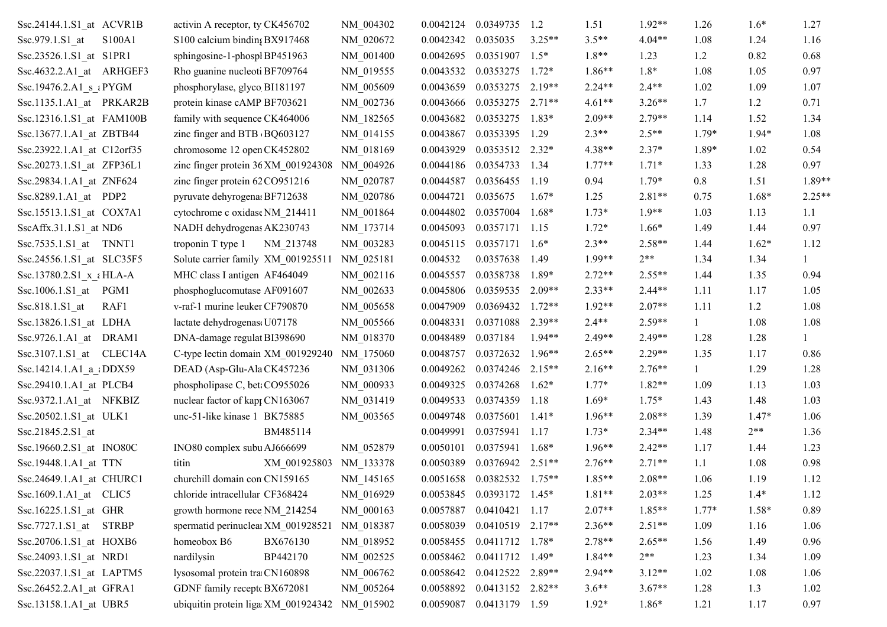| Ssc.24144.1.S1 at ACVR1B   | activin A receptor, ty CK456702               | NM 004302 | 0.0042124 | 0.0349735 1.2                |          | 1.51     | $1.92**$ | 1.26         | $1.6*$  | 1.27         |
|----------------------------|-----------------------------------------------|-----------|-----------|------------------------------|----------|----------|----------|--------------|---------|--------------|
| Ssc.979.1.S1 at<br>S100A1  | S100 calcium binding BX917468                 | NM 020672 | 0.0042342 | 0.035035                     | $3.25**$ | $3.5**$  | $4.04**$ | 1.08         | 1.24    | 1.16         |
| Ssc.23526.1.S1 at S1PR1    | sphingosine-1-phospl BP451963                 | NM 001400 | 0.0042695 | 0.0351907                    | $1.5*$   | $1.8**$  | 1.23     | 1.2          | 0.82    | 0.68         |
| Ssc.4632.2.A1_at ARHGEF3   | Rho guanine nucleoti BF709764                 | NM 019555 | 0.0043532 | 0.0353275                    | $1.72*$  | $1.86**$ | $1.8*$   | 1.08         | 1.05    | 0.97         |
| Ssc.19476.2.A1 s &PYGM     | phosphorylase, glyco BI181197                 | NM 005609 | 0.0043659 | 0.0353275                    | $2.19**$ | $2.24**$ | $2.4**$  | 1.02         | 1.09    | 1.07         |
| Ssc.1135.1.A1_at PRKAR2B   | protein kinase cAMP BF703621                  | NM 002736 | 0.0043666 | 0.0353275                    | $2.71**$ | $4.61**$ | $3.26**$ | 1.7          | 1.2     | 0.71         |
| Ssc.12316.1.S1_at FAM100B  | family with sequence CK464006                 | NM 182565 | 0.0043682 | 0.0353275                    | $1.83*$  | $2.09**$ | $2.79**$ | 1.14         | 1.52    | 1.34         |
| Ssc.13677.1.A1_at ZBTB44   | zinc finger and BTB BQ603127                  | NM 014155 | 0.0043867 | 0.0353395                    | 1.29     | $2.3**$  | $2.5**$  | $1.79*$      | $1.94*$ | 1.08         |
| Ssc.23922.1.A1 at C12orf35 | chromosome 12 open CK452802                   | NM 018169 | 0.0043929 | $0.0353512$ $2.32*$          |          | 4.38**   | $2.37*$  | 1.89*        | 1.02    | 0.54         |
| Ssc.20273.1.S1_at ZFP36L1  | zinc finger protein 36 XM 001924308           | NM 004926 | 0.0044186 | 0.0354733                    | 1.34     | $1.77**$ | $1.71*$  | 1.33         | 1.28    | 0.97         |
| Ssc.29834.1.A1_at ZNF624   | zinc finger protein 62 CO951216               | NM 020787 | 0.0044587 | 0.0356455                    | 1.19     | 0.94     | $1.79*$  | 0.8          | 1.51    | $1.89**$     |
| Ssc.8289.1.A1_at PDP2      | pyruvate dehyrogenas BF712638                 | NM 020786 | 0.0044721 | 0.035675                     | $1.67*$  | 1.25     | $2.81**$ | 0.75         | $1.68*$ | $2.25**$     |
| Ssc.15513.1.S1 at COX7A1   | cytochrome c oxidase NM 214411                | NM 001864 | 0.0044802 | 0.0357004                    | $1.68*$  | $1.73*$  | $1.9**$  | 1.03         | 1.13    | 1.1          |
| SscAffx.31.1.S1_at ND6     | NADH dehydrogenas AK230743                    | NM_173714 | 0.0045093 | 0.0357171                    | 1.15     | $1.72*$  | $1.66*$  | 1.49         | 1.44    | 0.97         |
| Ssc.7535.1.S1_at TNNT1     | troponin T type 1<br>NM_213748                | NM 003283 | 0.0045115 | 0.0357171                    | $1.6*$   | $2.3**$  | $2.58**$ | 1.44         | $1.62*$ | 1.12         |
| Ssc.24556.1.S1 at SLC35F5  | Solute carrier family XM 001925511            | NM 025181 | 0.004532  | 0.0357638                    | 1.49     | $1.99**$ | $2**$    | 1.34         | 1.34    | $\mathbf{1}$ |
| Ssc.13780.2.S1 x εHLA-A    | MHC class I antigen AF464049                  | NM 002116 | 0.0045557 | 0.0358738                    | $1.89*$  | $2.72**$ | $2.55**$ | 1.44         | 1.35    | 0.94         |
| Ssc.1006.1.S1 at PGM1      | phosphoglucomutase AF091607                   | NM 002633 | 0.0045806 | 0.0359535                    | $2.09**$ | $2.33**$ | $2.44**$ | 1.11         | 1.17    | 1.05         |
| Ssc.818.1.S1_at<br>RAF1    | v-raf-1 murine leuker CF790870                | NM 005658 | 0.0047909 | 0.0369432                    | $1.72**$ | $1.92**$ | $2.07**$ | 1.11         | 1.2     | 1.08         |
| Ssc.13826.1.S1 at LDHA     | lactate dehydrogenas U07178                   | NM 005566 | 0.0048331 | 0.0371088                    | $2.39**$ | $2.4**$  | $2.59**$ | $\mathbf{1}$ | 1.08    | 1.08         |
| Ssc.9726.1.A1_at DRAM1     | DNA-damage regulat BI398690                   | NM 018370 | 0.0048489 | 0.037184                     | $1.94**$ | $2.49**$ | $2.49**$ | 1.28         | 1.28    | 1            |
| $Ssc.3107.1.S1_at$ CLEC14A | C-type lectin domain XM_001929240             | NM 175060 | 0.0048757 | 0.0372632                    | $1.96**$ | $2.65**$ | $2.29**$ | 1.35         | 1.17    | 0.86         |
| Ssc.14214.1.A1_a_iDDX59    | DEAD (Asp-Glu-Ala CK457236                    | NM 031306 | 0.0049262 | 0.0374246                    | $2.15**$ | $2.16**$ | $2.76**$ | 1            | 1.29    | 1.28         |
| Ssc.29410.1.A1 at PLCB4    | phospholipase C, bet CO955026                 | NM 000933 | 0.0049325 | 0.0374268                    | $1.62*$  | $1.77*$  | $1.82**$ | 1.09         | 1.13    | 1.03         |
| $Ssc.9372.1.A1_at$ NFKBIZ  | nuclear factor of kapp CN163067               | NM 031419 | 0.0049533 | 0.0374359                    | 1.18     | $1.69*$  | $1.75*$  | 1.43         | 1.48    | 1.03         |
| Ssc.20502.1.S1 at ULK1     | unc-51-like kinase 1 BK75885                  | NM 003565 | 0.0049748 | 0.0375601                    | $1.41*$  | $1.96**$ | $2.08**$ | 1.39         | $1.47*$ | 1.06         |
| Ssc.21845.2.S1_at          | BM485114                                      |           | 0.0049991 | 0.0375941                    | 1.17     | $1.73*$  | $2.34**$ | 1.48         | $2**$   | 1.36         |
| Ssc.19660.2.S1 at INO80C   | INO80 complex subu AJ666699                   | NM 052879 | 0.0050101 | 0.0375941                    | $1.68*$  | $1.96**$ | $2.42**$ | 1.17         | 1.44    | 1.23         |
| Ssc.19448.1.A1_at TTN      | titin<br>XM 001925803                         | NM 133378 | 0.0050389 | 0.0376942                    | $2.51**$ | $2.76**$ | $2.71**$ | 1.1          | 1.08    | 0.98         |
| Ssc.24649.1.A1_at CHURC1   | churchill domain con CN159165                 | NM_145165 |           | 0.0051658  0.0382532  1.75** |          | $1.85**$ | $2.08**$ | 1.06         | 1.19    | 1.12         |
| Ssc.1609.1.A1 at CLIC5     | chloride intracellular CF368424               | NM 016929 |           | 0.0053845  0.0393172  1.45*  |          | $1.81**$ | $2.03**$ | 1.25         | $1.4*$  | 1.12         |
| Ssc.16225.1.S1_at GHR      | growth hormone rece NM_214254                 | NM 000163 | 0.0057887 | 0.0410421                    | 1.17     | $2.07**$ | $1.85**$ | $1.77*$      | $1.58*$ | 0.89         |
| Ssc.7727.1.S1 at STRBP     | spermatid perinuclear XM 001928521            | NM 018387 | 0.0058039 | $0.0410519$ 2.17**           |          | $2.36**$ | $2.51**$ | 1.09         | 1.16    | 1.06         |
| Ssc.20706.1.S1 at HOXB6    | BX676130<br>homeobox B6                       | NM 018952 | 0.0058455 | 0.0411712                    | $1.78*$  | $2.78**$ | $2.65**$ | 1.56         | 1.49    | 0.96         |
| Ssc.24093.1.S1 at NRD1     | nardilysin<br>BP442170                        | NM 002525 | 0.0058462 | 0.0411712 1.49*              |          | 1.84**   | $2**$    | 1.23         | 1.34    | 1.09         |
| Ssc.22037.1.S1_at LAPTM5   | lysosomal protein tra CN160898                | NM 006762 | 0.0058642 | 0.0412522                    | $2.89**$ | 2.94**   | $3.12**$ | 1.02         | 1.08    | 1.06         |
| Ssc.26452.2.A1 at GFRA1    | GDNF family recept BX672081                   | NM 005264 |           | 0.0058892  0.0413152  2.82** |          | $3.6**$  | $3.67**$ | 1.28         | 1.3     | 1.02         |
| Ssc.13158.1.A1_at UBR5     | ubiquitin protein liga XM_001924342 NM_015902 |           |           | 0.0059087  0.0413179  1.59   |          | $1.92*$  | 1.86*    | 1.21         | 1.17    | 0.97         |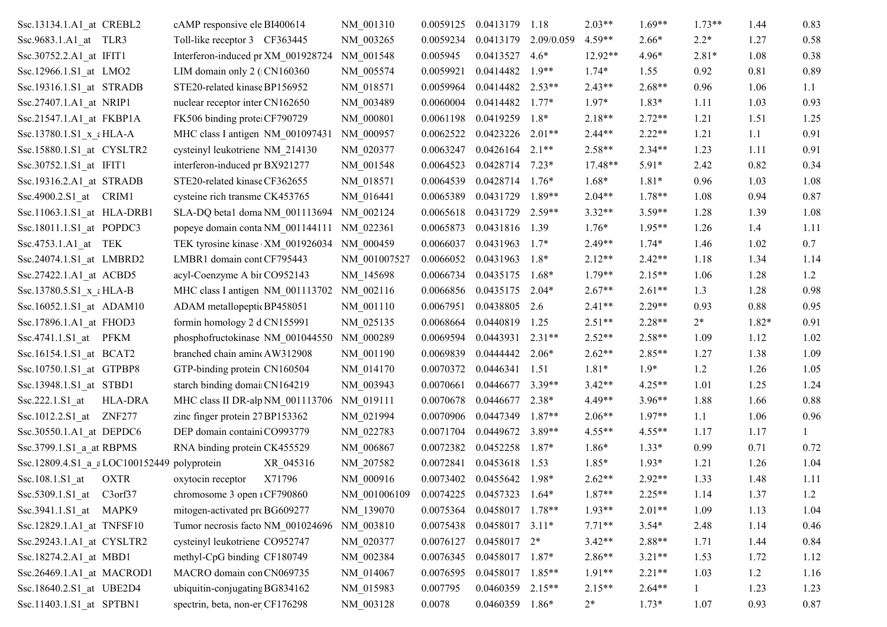| Ssc.13134.1.A1 at CREBL2                   | cAMP responsive ele BI400614       | NM 001310    | 0.0059125 | 0.0413179                   | 1.18       | $2.03**$  | $1.69**$ | $1.73**$ | 1.44  | 0.83 |
|--------------------------------------------|------------------------------------|--------------|-----------|-----------------------------|------------|-----------|----------|----------|-------|------|
| Ssc.9683.1.A1 at TLR3                      | Toll-like receptor 3 CF363445      | NM 003265    | 0.0059234 | 0.0413179                   | 2.09/0.059 | $4.59**$  | $2.66*$  | $2.2*$   | 1.27  | 0.58 |
| Ssc.30752.2.A1 at IFIT1                    | Interferon-induced pr XM_001928724 | NM 001548    | 0.005945  | 0.0413527                   | $4.6*$     | 12.92**   | $4.96*$  | $2.81*$  | 1.08  | 0.38 |
| Ssc.12966.1.S1_at LMO2                     | LIM domain only 2 (CN160360        | NM 005574    | 0.0059921 | 0.0414482                   | $1.9**$    | $1.74*$   | 1.55     | 0.92     | 0.81  | 0.89 |
| Ssc.19316.1.S1_at STRADB                   | STE20-related kinase BP156952      | NM 018571    | 0.0059964 | 0.0414482                   | $2.53**$   | $2.43**$  | $2.68**$ | 0.96     | 1.06  | 1.1  |
| Ssc.27407.1.A1 at NRIP1                    | nuclear receptor inter CN162650    | NM 003489    | 0.0060004 | 0.0414482                   | $1.77*$    | $1.97*$   | $1.83*$  | 1.11     | 1.03  | 0.93 |
| $Ssc.21547.1.A1$ <sub>_at</sub> $FKBPIA$   | FK506 binding prote CF790729       | NM 000801    | 0.0061198 | 0.0419259                   | $1.8*$     | $2.18**$  | $2.72**$ | 1.21     | 1.51  | 1.25 |
| Ssc.13780.1.S1 $x$ $\in$ HLA-A             | MHC class I antigen NM 001097431   | NM 000957    | 0.0062522 | 0.0423226                   | $2.01**$   | $2.44**$  | $2.22**$ | 1.21     | 1.1   | 0.91 |
| Ssc.15880.1.S1_at CYSLTR2                  | cysteinyl leukotriene NM 214130    | NM 020377    | 0.0063247 | 0.0426164                   | $2.1**$    | $2.58**$  | $2.34**$ | 1.23     | 1.11  | 0.91 |
| Ssc.30752.1.S1 at IFIT1                    | interferon-induced pr BX921277     | NM 001548    | 0.0064523 | 0.0428714                   | $7.23*$    | $17.48**$ | $5.91*$  | 2.42     | 0.82  | 0.34 |
| $Ssc.19316.2.A1_at$ STRADB                 | STE20-related kinase CF362655      | NM 018571    | 0.0064539 | 0.0428714                   | $1.76*$    | 1.68*     | $1.81*$  | 0.96     | 1.03  | 1.08 |
| Ssc.4900.2.S1_at CRIM1                     | cysteine rich transme CK453765     | NM_016441    | 0.0065389 | 0.0431729                   | $1.89**$   | $2.04**$  | $1.78**$ | 1.08     | 0.94  | 0.87 |
| Ssc.11063.1.S1_at HLA-DRB1                 | SLA-DQ beta1 doma NM_001113694     | NM 002124    | 0.0065618 | 0.0431729                   | $2.59**$   | $3.32**$  | $3.59**$ | 1.28     | 1.39  | 1.08 |
| Ssc.18011.1.S1 at POPDC3                   | popeye domain conta NM_001144111   | NM_022361    | 0.0065873 | 0.0431816                   | 1.39       | $1.76*$   | $1.95**$ | 1.26     | 1.4   | 1.11 |
| Ssc. 4753.1. A1_at TEK                     | TEK tyrosine kinase XM_001926034   | NM 000459    | 0.0066037 | 0.0431963                   | $1.7*$     | $2.49**$  | $1.74*$  | 1.46     | 1.02  | 0.7  |
| Ssc.24074.1.S1 at LMBRD2                   | LMBR1 domain cont CF795443         | NM 001007527 | 0.0066052 | 0.0431963                   | $1.8*$     | $2.12**$  | $2.42**$ | 1.18     | 1.34  | 1.14 |
| Ssc.27422.1.A1_at ACBD5                    | acyl-Coenzyme A bir CO952143       | NM 145698    | 0.0066734 | 0.0435175                   | $1.68*$    | $1.79**$  | $2.15**$ | 1.06     | 1.28  | 1.2  |
| Ssc.13780.5.S1_x_εHLA-B                    | MHC class I antigen NM 001113702   | NM 002116    | 0.0066856 | 0.0435175                   | $2.04*$    | $2.67**$  | $2.61**$ | 1.3      | 1.28  | 0.98 |
| Ssc.16052.1.S1_at ADAM10                   | ADAM metallopeptic BP458051        | NM 001110    | 0.0067951 | 0.0438805 2.6               |            | $2.41**$  | $2.29**$ | 0.93     | 0.88  | 0.95 |
| Ssc.17896.1.A1 at FHOD3                    | formin homology 2 d CN155991       | NM 025135    | 0.0068664 | 0.0440819                   | 1.25       | $2.51**$  | $2.28**$ | $2^*$    | 1.82* | 0.91 |
| Ssc. 4741.1. S1_at PFKM                    | phosphofructokinase NM_001044550   | NM 000289    | 0.0069594 | 0.0443931                   | $2.31**$   | $2.52**$  | $2.58**$ | 1.09     | 1.12  | 1.02 |
| Ssc.16154.1.S1 at BCAT2                    | branched chain amin AW312908       | NM 001190    | 0.0069839 | 0.0444442                   | $2.06*$    | $2.62**$  | $2.85**$ | 1.27     | 1.38  | 1.09 |
| Ssc.10750.1.S1_at GTPBP8                   | GTP-binding protein CN160504       | NM 014170    | 0.0070372 | 0.0446341                   | 1.51       | $1.81*$   | $1.9*$   | 1.2      | 1.26  | 1.05 |
| Ssc.13948.1.S1 at STBD1                    | starch binding domai CN164219      | NM 003943    | 0.0070661 | 0.0446677                   | $3.39**$   | $3.42**$  | $4.25**$ | 1.01     | 1.25  | 1.24 |
| $Ssc.222.1.S1$ _at<br>HLA-DRA              | MHC class II DR-alp NM_001113706   | NM_019111    | 0.0070678 | 0.0446677                   | $2.38*$    | $4.49**$  | $3.96**$ | 1.88     | 1.66  | 0.88 |
| Ssc.1012.2.S1 at ZNF277                    | zinc finger protein 27 BP153362    | NM 021994    | 0.0070906 | 0.0447349                   | $1.87**$   | $2.06**$  | $1.97**$ | 1.1      | 1.06  | 0.96 |
| Ssc.30550.1.A1 at DEPDC6                   | DEP domain containi CO993779       | NM 022783    | 0.0071704 | 0.0449672                   | $3.89**$   | $4.55**$  | $4.55**$ | 1.17     | 1.17  | 1    |
| Ssc.3799.1.S1 a at RBPMS                   | RNA binding protein CK455529       | NM 006867    | 0.0072382 | 0.0452258                   | $1.87*$    | $1.86*$   | $1.33*$  | 0.99     | 0.71  | 0.72 |
| Ssc.12809.4.S1 a aLOC100152449 polyprotein | XR_045316                          | NM 207582    | 0.0072841 | 0.0453618                   | 1.53       | 1.85*     | $1.93*$  | 1.21     | 1.26  | 1.04 |
| $Ssc.108.1.S1_at$ OXTR                     | oxytocin receptor X71796           | NM 000916    |           | 0.0073402  0.0455642  1.98* |            | $2.62**$  | 2.92**   | 1.33     | 1.48  | 1.11 |
| Ssc.5309.1.S1_at<br>$C3$ orf $37$          | chromosome 3 open 1 CF790860       | NM 001006109 | 0.0074225 | 0.0457323 1.64*             |            | 1.87**    | $2.25**$ | 1.14     | 1.37  | 1.2  |
| Ssc.3941.1.S1_at MAPK9                     | mitogen-activated pro BG609277     | NM 139070    | 0.0075364 | 0.0458017                   | $1.78**$   | $1.93**$  | $2.01**$ | 1.09     | 1.13  | 1.04 |
| Ssc.12829.1.A1_at TNFSF10                  | Tumor necrosis facto NM 001024696  | NM 003810    | 0.0075438 | $0.0458017$ 3.11*           |            | $7.71**$  | $3.54*$  | 2.48     | 1.14  | 0.46 |
| Ssc.29243.1.A1_at CYSLTR2                  | cysteinyl leukotriene CO952747     | NM 020377    | 0.0076127 | $0.0458017$ 2*              |            | $3.42**$  | 2.88**   | 1.71     | 1.44  | 0.84 |
| Ssc.18274.2.A1_at MBD1                     | methyl-CpG binding CF180749        | NM 002384    | 0.0076345 | $0.0458017$ 1.87*           |            | $2.86**$  | $3.21**$ | 1.53     | 1.72  | 1.12 |
| Ssc.26469.1.A1_at MACROD1                  | MACRO domain con CN069735          | NM 014067    | 0.0076595 | 0.0458017                   | $1.85**$   | $1.91**$  | $2.21**$ | 1.03     | 1.2   | 1.16 |
| Ssc.18640.2.S1 at UBE2D4                   | ubiquitin-conjugating BG834162     | NM 015983    | 0.007795  | $0.0460359$ 2.15**          |            | $2.15**$  | $2.64**$ |          | 1.23  | 1.23 |
| Ssc.11403.1.S1_at SPTBN1                   | spectrin, beta, non-er CF176298    | NM_003128    | 0.0078    | 0.0460359 1.86*             |            | $2^*$     | $1.73*$  | 1.07     | 0.93  | 0.87 |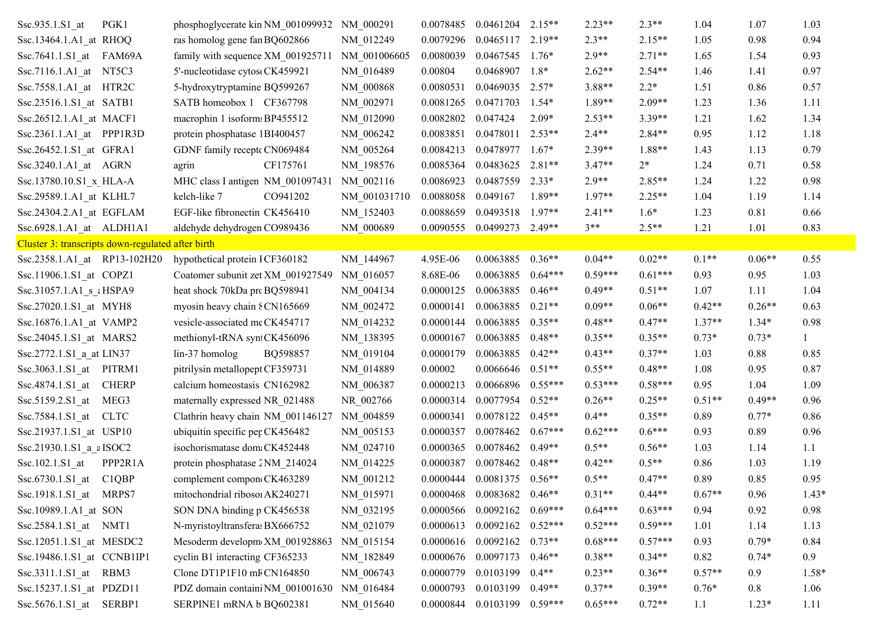| Ssc.935.1.S1_at                                   | PGK1         | phosphoglycerate kin NM 001099932 |          | NM 000291    | 0.0078485 | $0.0461204$ 2.15**               |           | $2.23**$  | $2.3**$   | 1.04     | 1.07     | 1.03    |
|---------------------------------------------------|--------------|-----------------------------------|----------|--------------|-----------|----------------------------------|-----------|-----------|-----------|----------|----------|---------|
| Ssc.13464.1.A1 at RHOQ                            |              | ras homolog gene fan BQ602866     |          | NM 012249    | 0.0079296 | 0.0465117                        | $2.19**$  | $2.3**$   | $2.15**$  | 1.05     | 0.98     | 0.94    |
| Ssc.7641.1.S1_at FAM69A                           |              | family with sequence XM 001925711 |          | NM 001006605 | 0.0080039 | 0.0467545                        | $1.76*$   | $2.9**$   | $2.71**$  | 1.65     | 1.54     | 0.93    |
| Ssc. 7116.1.A1 at NT5C3                           |              | 5'-nucleotidase cytos CK459921    |          | NM 016489    | 0.00804   | 0.0468907                        | $1.8*$    | $2.62**$  | $2.54**$  | 1.46     | 1.41     | 0.97    |
| Ssc. 7558.1.A1 at HTR2C                           |              | 5-hydroxytryptamine BQ599267      |          | NM 000868    | 0.0080531 | 0.0469035                        | $2.57*$   | $3.88**$  | $2.2*$    | 1.51     | 0.86     | 0.57    |
| Ssc.23516.1.S1_at SATB1                           |              | SATB homeobox 1 CF367798          |          | NM 002971    | 0.0081265 | 0.0471703                        | $1.54*$   | $1.89**$  | $2.09**$  | 1.23     | 1.36     | 1.11    |
| Ssc.26512.1.A1 at MACF1                           |              | macrophin 1 isoform: BP455512     |          | NM 012090    | 0.0082802 | 0.047424                         | $2.09*$   | $2.53**$  | $3.39**$  | 1.21     | 1.62     | 1.34    |
| Ssc.2361.1.A1 at PPP1R3D                          |              | protein phosphatase 1BI400457     |          | NM 006242    | 0.0083851 | 0.0478011                        | $2.53**$  | $2.4**$   | $2.84**$  | 0.95     | 1.12     | 1.18    |
| Ssc.26452.1.S1 at GFRA1                           |              | GDNF family recept CN069484       |          | NM 005264    | 0.0084213 | 0.0478977                        | $1.67*$   | 2.39**    | $1.88**$  | 1.43     | 1.13     | 0.79    |
| Ssc.3240.1.A1_at AGRN                             |              | agrin                             | CF175761 | NM_198576    | 0.0085364 | 0.0483625                        | $2.81**$  | $3.47**$  | $2*$      | 1.24     | 0.71     | 0.58    |
| Ssc.13780.10.S1_x_HLA-A                           |              | MHC class I antigen NM_001097431  |          | NM 002116    | 0.0086923 | 0.0487559                        | $2.33*$   | $2.9**$   | $2.85**$  | 1.24     | 1.22     | 0.98    |
| Ssc.29589.1.A1 at KLHL7                           |              | kelch-like 7                      | CO941202 | NM 001031710 | 0.0088058 | 0.049167                         | $1.89**$  | $1.97**$  | $2.25**$  | 1.04     | 1.19     | 1.14    |
| Ssc.24304.2.A1 at EGFLAM                          |              | EGF-like fibronectin CK456410     |          | NM 152403    | 0.0088659 | 0.0493518                        | $1.97**$  | $2.41**$  | $1.6*$    | 1.23     | 0.81     | 0.66    |
| Ssc.6928.1.A1 at ALDH1A1                          |              | aldehyde dehydrogen CO989436      |          | NM 000689    | 0.0090555 | 0.0499273                        | $2.49**$  | $3**$     | $2.5**$   | 1.21     | 1.01     | 0.83    |
| Cluster 3: transcripts down-regulated after birth |              |                                   |          |              |           |                                  |           |           |           |          |          |         |
| Ssc.2358.1.A1_at RP13-102H20                      |              | hypothetical protein ICF360182    |          | NM 144967    | 4.95E-06  | 0.0063885                        | $0.36**$  | $0.04**$  | $0.02**$  | $0.1**$  | $0.06**$ | 0.55    |
| Ssc.11906.1.S1 at COPZ1                           |              | Coatomer subunit zet XM 001927549 |          | NM 016057    | 8.68E-06  | 0.0063885                        | $0.64***$ | $0.59***$ | $0.61***$ | 0.93     | 0.95     | 1.03    |
| Ssc.31057.1.A1_s_tHSPA9                           |              | heat shock 70kDa prc BQ598941     |          | NM 004134    | 0.0000125 | 0.0063885                        | $0.46**$  | $0.49**$  | $0.51**$  | 1.07     | 1.11     | 1.04    |
| Ssc.27020.1.S1 at MYH8                            |              | myosin heavy chain $\{CN165669\}$ |          | NM 002472    | 0.0000141 | 0.0063885                        | $0.21**$  | $0.09**$  | $0.06**$  | $0.42**$ | $0.26**$ | 0.63    |
| Ssc.16876.1.A1 at VAMP2                           |              | vesicle-associated meCK454717     |          | NM 014232    | 0.0000144 | 0.0063885                        | $0.35**$  | $0.48**$  | $0.47**$  | $1.37**$ | $1.34*$  | 0.98    |
| Ssc.24045.1.S1_at MARS2                           |              | methionyl-tRNA syn CK456096       |          | NM 138395    | 0.0000167 | 0.0063885                        | $0.48**$  | $0.35**$  | $0.35**$  | $0.73*$  | $0.73*$  |         |
| Ssc.2772.1.S1_a_at LIN37                          |              | $lin-37$ homolog                  | BQ598857 | NM 019104    | 0.0000179 | 0.0063885                        | $0.42**$  | $0.43**$  | $0.37**$  | 1.03     | 0.88     | 0.85    |
| Ssc.3063.1.S1 at PITRM1                           |              | pitrilysin metallopept CF359731   |          | NM 014889    | 0.00002   | 0.0066646                        | $0.51**$  | $0.55**$  | $0.48**$  | 1.08     | 0.95     | 0.87    |
| Ssc.4874.1.S1 at                                  | <b>CHERP</b> | calcium homeostasis CN162982      |          | NM 006387    | 0.0000213 | 0.0066896                        | $0.55***$ | $0.53***$ | $0.58***$ | 0.95     | 1.04     | 1.09    |
| Ssc.5159.2.S1_at                                  | MEG3         | maternally expressed NR_021488    |          | NR_002766    | 0.0000314 | 0.0077954                        | $0.52**$  | $0.26**$  | $0.25**$  | $0.51**$ | $0.49**$ | 0.96    |
| Ssc.7584.1.S1 at                                  | <b>CLTC</b>  | Clathrin heavy chain NM 001146127 |          | NM 004859    | 0.0000341 | 0.0078122                        | $0.45**$  | $0.4**$   | $0.35**$  | 0.89     | $0.77*$  | 0.86    |
| Ssc.21937.1.S1_at USP10                           |              | ubiquitin specific per CK456482   |          | NM 005153    | 0.0000357 | 0.0078462                        | $0.67***$ | $0.62***$ | $0.6***$  | 0.93     | 0.89     | 0.96    |
| Ssc.21930.1.S1 a aISOC2                           |              | isochorismatase dom: CK452448     |          | NM 024710    | 0.0000365 | 0.0078462                        | $0.49**$  | $0.5**$   | $0.56**$  | 1.03     | 1.14     | 1.1     |
| Ssc.102.1.S1_at                                   | PPP2R1A      | protein phosphatase 2NM 214024    |          | NM 014225    | 0.0000387 | 0.0078462                        | $0.48**$  | $0.42**$  | $0.5**$   | 0.86     | 1.03     | 1.19    |
| Ssc.6730.1.S1_at C1QBP                            |              | complement compon CK463289        |          | NM_001212    |           | $0.0000444$ $0.0081375$ $0.56**$ |           | $0.5**$   | $0.47**$  | 0.89     | 0.85     | 0.95    |
| Ssc.1918.1.S1_at MRPS7                            |              | mitochondrial ribosol AK240271    |          | NM_015971    |           | 0.0000468 0.0083682              | $0.46**$  | $0.31**$  | $0.44**$  | $0.67**$ | 0.96     | $1.43*$ |
| Ssc.10989.1.A1 at SON                             |              | SON DNA binding p CK456538        |          | NM 032195    | 0.0000566 | 0.0092162                        | $0.69***$ | $0.64***$ | $0.63***$ | 0.94     | 0.92     | 0.98    |
| Ssc.2584.1.S1 at NMT1                             |              | N-myristoyltransfera: BX666752    |          | NM 021079    | 0.0000613 | 0.0092162                        | $0.52***$ | $0.52***$ | $0.59***$ | 1.01     | 1.14     | 1.13    |
| Ssc.12051.1.S1 at MESDC2                          |              | Mesoderm developm XM 001928863    |          | NM 015154    | 0.0000616 | 0.0092162                        | $0.73**$  | $0.68***$ | $0.57***$ | 0.93     | $0.79*$  | 0.84    |
| Ssc.19486.1.S1_at CCNB1IP1                        |              | cyclin B1 interacting CF365233    |          | NM 182849    | 0.0000676 | 0.0097173                        | $0.46**$  | $0.38**$  | $0.34**$  | 0.82     | $0.74*$  | 0.9     |
| Ssc.3311.1.S1 at RBM3                             |              | Clone DT1P1F10 mF CN164850        |          | NM 006743    | 0.0000779 | 0.0103199                        | $0.4**$   | $0.23**$  | $0.36**$  | $0.57**$ | 0.9      | $1.58*$ |
| Ssc.15237.1.S1 at PDZD11                          |              | PDZ domain containi NM 001001630  |          | NM 016484    | 0.0000793 | 0.0103199                        | $0.49**$  | $0.37**$  | $0.39**$  | $0.76*$  | 0.8      | 1.06    |
| Ssc.5676.1.S1_at SERBP1                           |              | SERPINE1 mRNA b BQ602381          |          | NM 015640    |           | 0.0000844 0.0103199              | $0.59***$ | $0.65***$ | $0.72**$  | 1.1      | $1.23*$  | 1.11    |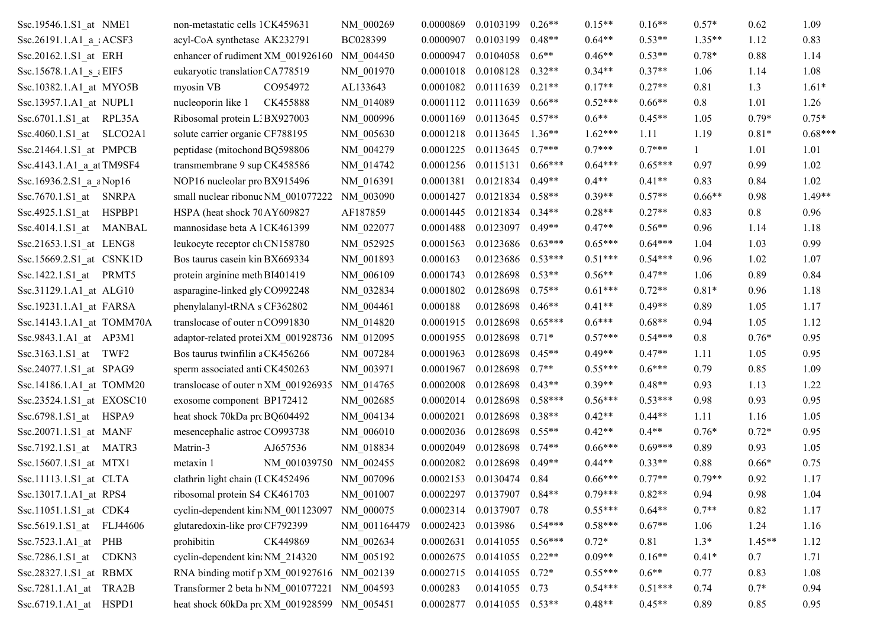| Ssc.19546.1.S1_at NME1       | non-metastatic cells 1CK459631              | NM_000269    | 0.0000869 | 0.0103199                | $0.26**$  | $0.15**$  | $0.16**$  | $0.57*$  | 0.62     | 1.09      |
|------------------------------|---------------------------------------------|--------------|-----------|--------------------------|-----------|-----------|-----------|----------|----------|-----------|
| Ssc.26191.1.A1 a : ACSF3     | acyl-CoA synthetase AK232791                | BC028399     | 0.0000907 | 0.0103199                | $0.48**$  | $0.64**$  | $0.53**$  | $1.35**$ | 1.12     | 0.83      |
| Ssc.20162.1.S1_at ERH        | enhancer of rudiment XM 001926160           | NM 004450    | 0.0000947 | 0.0104058                | $0.6**$   | $0.46**$  | $0.53**$  | $0.78*$  | 0.88     | 1.14      |
| Ssc.15678.1.A1 s ¿EIF5       | eukaryotic translation CA778519             | NM 001970    | 0.0001018 | 0.0108128                | $0.32**$  | $0.34**$  | $0.37**$  | 1.06     | 1.14     | 1.08      |
| Ssc.10382.1.A1_at MYO5B      | CO954972<br>myosin VB                       | AL133643     | 0.0001082 | 0.0111639                | $0.21**$  | $0.17**$  | $0.27**$  | 0.81     | 1.3      | $1.61*$   |
| Ssc.13957.1.A1 at NUPL1      | nucleoporin like 1<br>CK455888              | NM 014089    | 0.0001112 | 0.0111639                | $0.66**$  | $0.52***$ | $0.66**$  | 0.8      | 1.01     | 1.26      |
| Ssc.6701.1.S1_at RPL35A      | Ribosomal protein L: BX927003               | NM 000996    | 0.0001169 | 0.0113645                | $0.57**$  | $0.6**$   | $0.45**$  | 1.05     | $0.79*$  | $0.75*$   |
| $Ssc.4060.1.S1$ at $SLCO2A1$ | solute carrier organic CF788195             | NM 005630    | 0.0001218 | 0.0113645                | $1.36**$  | $1.62***$ | 1.11      | 1.19     | $0.81*$  | $0.68***$ |
| Ssc.21464.1.S1_at PMPCB      | peptidase (mitochond BQ598806               | NM 004279    | 0.0001225 | 0.0113645                | $0.7***$  | $0.7***$  | $0.7***$  |          | 1.01     | 1.01      |
| Ssc.4143.1.A1_a_at TM9SF4    | transmembrane 9 sup CK458586                | NM 014742    | 0.0001256 | 0.0115131                | $0.66***$ | $0.64***$ | $0.65***$ | 0.97     | 0.99     | 1.02      |
| Ssc.16936.2.S1_a_aNop16      | NOP16 nucleolar pro BX915496                | NM 016391    | 0.0001381 | 0.0121834                | $0.49**$  | $0.4**$   | $0.41**$  | 0.83     | 0.84     | 1.02      |
| Ssc. 7670.1. S1_at SNRPA     | small nuclear ribonuc NM 001077222          | NM 003090    | 0.0001427 | 0.0121834                | $0.58**$  | $0.39**$  | $0.57**$  | $0.66**$ | 0.98     | 1.49**    |
| Ssc.4925.1.S1 at HSPBP1      | HSPA (heat shock 70 AY609827)               | AF187859     | 0.0001445 | 0.0121834                | $0.34**$  | $0.28**$  | $0.27**$  | 0.83     | 0.8      | 0.96      |
| Ssc.4014.1.S1_at MANBAL      | mannosidase beta A 1 CK461399               | NM_022077    | 0.0001488 | 0.0123097                | $0.49**$  | $0.47**$  | $0.56**$  | 0.96     | 1.14     | 1.18      |
| Ssc.21653.1.S1 at LENG8      | leukocyte receptor cli CN158780             | NM 052925    | 0.0001563 | 0.0123686                | $0.63***$ | $0.65***$ | $0.64***$ | 1.04     | 1.03     | 0.99      |
| Ssc.15669.2.S1_at CSNK1D     | Bos taurus casein kin BX669334              | NM_001893    | 0.000163  | 0.0123686                | $0.53***$ | $0.51***$ | $0.54***$ | 0.96     | 1.02     | 1.07      |
| Ssc.1422.1.S1_at PRMT5       | protein arginine meth BI401419              | NM_006109    | 0.0001743 | 0.0128698                | $0.53**$  | $0.56**$  | $0.47**$  | 1.06     | 0.89     | 0.84      |
| Ssc.31129.1.A1_at ALG10      | asparagine-linked gly CO992248              | NM_032834    | 0.0001802 | 0.0128698                | $0.75**$  | $0.61***$ | $0.72**$  | $0.81*$  | 0.96     | 1.18      |
| Ssc.19231.1.A1_at FARSA      | phenylalanyl-tRNA s CF362802                | NM 004461    | 0.000188  | 0.0128698                | $0.46**$  | $0.41**$  | $0.49**$  | 0.89     | 1.05     | 1.17      |
| Ssc.14143.1.A1_at TOMM70A    | translocase of outer nCO991830              | NM_014820    | 0.0001915 | 0.0128698                | $0.65***$ | $0.6***$  | $0.68**$  | 0.94     | 1.05     | 1.12      |
| Ssc.9843.1.A1_at AP3M1       | adaptor-related protei XM 001928736         | NM 012095    | 0.0001955 | 0.0128698                | $0.71*$   | $0.57***$ | $0.54***$ | 0.8      | $0.76*$  | 0.95      |
| Ssc.3163.1.S1_at TWF2        | Bos taurus twinfilin a CK456266             | NM 007284    | 0.0001963 | 0.0128698                | $0.45**$  | $0.49**$  | $0.47**$  | 1.11     | 1.05     | 0.95      |
| Ssc.24077.1.S1_at SPAG9      | sperm associated anti CK450263              | NM 003971    | 0.0001967 | 0.0128698                | $0.7**$   | $0.55***$ | $0.6***$  | 0.79     | 0.85     | 1.09      |
| Ssc.14186.1.A1 at TOMM20     | translocase of outer n XM 001926935         | NM 014765    | 0.0002008 | 0.0128698                | $0.43**$  | $0.39**$  | $0.48**$  | 0.93     | 1.13     | 1.22      |
| Ssc.23524.1.S1_at EXOSC10    | exosome component BP172412                  | NM 002685    | 0.0002014 | 0.0128698                | $0.58***$ | $0.56***$ | $0.53***$ | 0.98     | 0.93     | 0.95      |
| Ssc.6798.1.S1_at HSPA9       | heat shock 70kDa prc BQ604492               | NM_004134    | 0.0002021 | 0.0128698                | $0.38**$  | $0.42**$  | $0.44**$  | 1.11     | 1.16     | 1.05      |
| Ssc.20071.1.S1_at MANF       | mesencephalic astroc CO993738               | NM 006010    | 0.0002036 | 0.0128698                | $0.55**$  | $0.42**$  | $0.4**$   | $0.76*$  | $0.72*$  | 0.95      |
| Ssc.7192.1.S1_at MATR3       | Matrin-3<br>AJ657536                        | NM 018834    | 0.0002049 | 0.0128698                | $0.74**$  | $0.66***$ | $0.69***$ | 0.89     | 0.93     | 1.05      |
| Ssc.15607.1.S1_at MTX1       | NM 001039750<br>metaxin 1                   | NM 002455    | 0.0002082 | 0.0128698                | $0.49**$  | $0.44**$  | $0.33**$  | 0.88     | $0.66*$  | 0.75      |
| Ssc.11113.1.S1_at CLTA       | clathrin light chain (I CK452496            | NM_007096    |           | 0.0002153 0.0130474 0.84 |           | $0.66***$ | $0.77**$  | $0.79**$ | 0.92     | 1.17      |
| Ssc.13017.1.A1_at RPS4       | ribosomal protein S4 CK461703               | NM_001007    | 0.0002297 | 0.0137907                | $0.84**$  | $0.79***$ | $0.82**$  | 0.94     | 0.98     | 1.04      |
| Ssc.11051.1.S1_at CDK4       | cyclin-dependent kin NM_001123097           | NM 000075    | 0.0002314 | 0.0137907                | 0.78      | $0.55***$ | $0.64**$  | $0.7**$  | 0.82     | 1.17      |
| Ssc.5619.1.S1_at FLJ44606    | glutaredoxin-like pro CF792399              | NM 001164479 | 0.0002423 | 0.013986                 | $0.54***$ | $0.58***$ | $0.67**$  | 1.06     | 1.24     | 1.16      |
| Ssc.7523.1.A1_at PHB         | prohibitin<br>CK449869                      | NM 002634    | 0.0002631 | 0.0141055                | $0.56***$ | $0.72*$   | 0.81      | $1.3*$   | $1.45**$ | 1.12      |
| Ssc.7286.1.S1_at CDKN3       | cyclin-dependent kin NM 214320              | NM 005192    | 0.0002675 | 0.0141055                | $0.22**$  | $0.09**$  | $0.16**$  | $0.41*$  | 0.7      | 1.71      |
| Ssc.28327.1.S1 at RBMX       | RNA binding motif p XM_001927616            | NM 002139    | 0.0002715 | 0.0141055                | $0.72*$   | $0.55***$ | $0.6**$   | 0.77     | 0.83     | 1.08      |
| Ssc.7281.1.A1 at TRA2B       | Transformer 2 beta h NM 001077221           | NM 004593    | 0.000283  | 0.0141055                | 0.73      | $0.54***$ | $0.51***$ | 0.74     | $0.7*$   | 0.94      |
| Ssc.6719.1.A1 at HSPD1       | heat shock 60kDa prc XM_001928599 NM_005451 |              | 0.0002877 | $0.0141055$ $0.53**$     |           | $0.48**$  | $0.45**$  | 0.89     | 0.85     | 0.95      |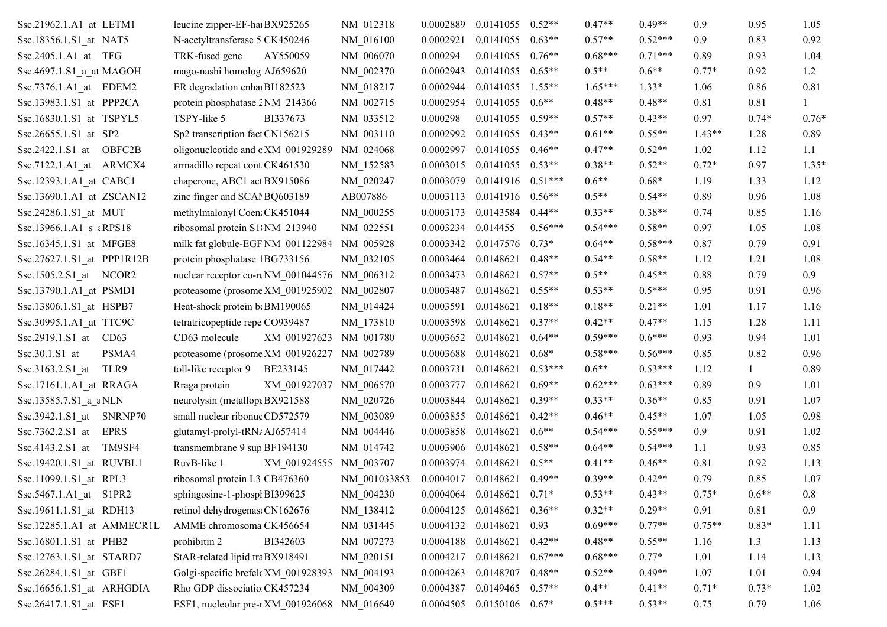| Ssc.21962.1.A1 at LETM1         | leucine zipper-EF-ha BX925265                | NM 012318    | 0.0002889 | 0.0141055                        | $0.52**$  | $0.47**$  | $0.49**$  | 0.9      | 0.95    | 1.05    |
|---------------------------------|----------------------------------------------|--------------|-----------|----------------------------------|-----------|-----------|-----------|----------|---------|---------|
| Ssc.18356.1.S1_at NAT5          | N-acetyltransferase 5 CK450246               | NM 016100    | 0.0002921 | 0.0141055                        | $0.63**$  | $0.57**$  | $0.52***$ | 0.9      | 0.83    | 0.92    |
| Ssc.2405.1.A1_at TFG            | TRK-fused gene<br>AY550059                   | NM 006070    | 0.000294  | 0.0141055                        | $0.76**$  | $0.68***$ | $0.71***$ | 0.89     | 0.93    | 1.04    |
| Ssc.4697.1.S1 a at MAGOH        | mago-nashi homolog AJ659620                  | NM 002370    | 0.0002943 | 0.0141055                        | $0.65**$  | $0.5**$   | $0.6**$   | $0.77*$  | 0.92    | 1.2     |
| Ssc. 7376.1.A1 at EDEM2         | ER degradation enhal BI182523                | NM 018217    | 0.0002944 | 0.0141055                        | $1.55**$  | $1.65***$ | $1.33*$   | 1.06     | 0.86    | 0.81    |
| Ssc.13983.1.S1_at PPP2CA        | protein phosphatase 2 NM_214366              | NM 002715    | 0.0002954 | 0.0141055                        | $0.6**$   | $0.48**$  | $0.48**$  | 0.81     | 0.81    |         |
| Ssc.16830.1.S1 at TSPYL5        | TSPY-like 5<br>BI337673                      | NM 033512    | 0.000298  | 0.0141055                        | $0.59**$  | $0.57**$  | $0.43**$  | 0.97     | $0.74*$ | $0.76*$ |
| Ssc.26655.1.S1 at SP2           | Sp2 transcription fact CN156215              | NM 003110    | 0.0002992 | 0.0141055                        | $0.43**$  | $0.61**$  | $0.55**$  | $1.43**$ | 1.28    | 0.89    |
| Ssc.2422.1.S1 at<br>OBFC2B      | oligonucleotide and c XM 001929289           | NM 024068    | 0.0002997 | 0.0141055                        | $0.46**$  | $0.47**$  | $0.52**$  | 1.02     | 1.12    | 1.1     |
| Ssc.7122.1.A1_at ARMCX4         | armadillo repeat cont CK461530               | NM_152583    | 0.0003015 | 0.0141055                        | $0.53**$  | $0.38**$  | $0.52**$  | $0.72*$  | 0.97    | $1.35*$ |
| Ssc.12393.1.A1_at CABC1         | chaperone, ABC1 act BX915086                 | NM 020247    | 0.0003079 | 0.0141916                        | $0.51***$ | $0.6**$   | $0.68*$   | 1.19     | 1.33    | 1.12    |
| Ssc.13690.1.A1_at ZSCAN12       | zinc finger and SCAI BQ603189                | AB007886     | 0.0003113 | 0.0141916                        | $0.56**$  | $0.5**$   | $0.54**$  | 0.89     | 0.96    | 1.08    |
| Ssc.24286.1.S1 at MUT           | methylmalonyl Coen: CK451044                 | NM 000255    | 0.0003173 | 0.0143584                        | $0.44**$  | $0.33**$  | $0.38**$  | 0.74     | 0.85    | 1.16    |
| Ssc.13966.1.A1 s & RPS18        | ribosomal protein S1 NM 213940               | NM 022551    | 0.0003234 | 0.014455                         | $0.56***$ | $0.54***$ | $0.58**$  | 0.97     | 1.05    | 1.08    |
| Ssc.16345.1.S1_at MFGE8         | milk fat globule-EGF NM 001122984            | NM 005928    | 0.0003342 | 0.0147576                        | $0.73*$   | $0.64**$  | $0.58***$ | 0.87     | 0.79    | 0.91    |
| Ssc.27627.1.S1 at PPP1R12B      | protein phosphatase 1BG733156                | NM 032105    | 0.0003464 | 0.0148621                        | $0.48**$  | $0.54**$  | $0.58**$  | 1.12     | 1.21    | 1.08    |
| Ssc.1505.2.S1_at NCOR2          | nuclear receptor co-reNM 001044576 NM 006312 |              | 0.0003473 | 0.0148621                        | $0.57**$  | $0.5**$   | $0.45**$  | 0.88     | 0.79    | 0.9     |
| Ssc.13790.1.A1_at PSMD1         | proteasome (prosome XM_001925902             | NM 002807    | 0.0003487 | 0.0148621                        | $0.55**$  | $0.53**$  | $0.5***$  | 0.95     | 0.91    | 0.96    |
| Ssc.13806.1.S1_at HSPB7         | Heat-shock protein b BM190065                | NM 014424    | 0.0003591 | 0.0148621                        | $0.18**$  | $0.18**$  | $0.21**$  | 1.01     | 1.17    | 1.16    |
| Ssc.30995.1.A1 at TTC9C         | tetratricopeptide repe CO939487              | NM 173810    | 0.0003598 | 0.0148621                        | $0.37**$  | $0.42**$  | $0.47**$  | 1.15     | 1.28    | 1.11    |
| Ssc.2919.1.S1 at<br>CD63        | CD63 molecule<br>XM 001927623                | NM 001780    | 0.0003652 | 0.0148621                        | $0.64**$  | $0.59***$ | $0.6***$  | 0.93     | 0.94    | 1.01    |
| PSMA4<br>Ssc.30.1.S1 at         | proteasome (prosome XM 001926227 NM 002789   |              | 0.0003688 | 0.0148621                        | $0.68*$   | $0.58***$ | $0.56***$ | 0.85     | 0.82    | 0.96    |
| Ssc.3163.2.S1_at<br>TLR9        | toll-like receptor 9<br>BE233145             | NM 017442    | 0.0003731 | 0.0148621                        | $0.53***$ | $0.6**$   | $0.53***$ | 1.12     |         | 0.89    |
| Ssc.17161.1.A1 at RRAGA         | Rraga protein<br>XM 001927037 NM 006570      |              | 0.0003777 | 0.0148621                        | $0.69**$  | $0.62***$ | $0.63***$ | 0.89     | 0.9     | 1.01    |
| Ssc.13585.7.S1_a_aNLN           | neurolysin (metallop BX921588                | NM 020726    | 0.0003844 | 0.0148621                        | $0.39**$  | $0.33**$  | $0.36**$  | 0.85     | 0.91    | 1.07    |
| Ssc.3942.1.S1_at SNRNP70        | small nuclear ribonuc CD572579               | NM 003089    | 0.0003855 | 0.0148621                        | $0.42**$  | $0.46**$  | $0.45**$  | 1.07     | 1.05    | 0.98    |
| Ssc.7362.2.S1_at<br><b>EPRS</b> | glutamyl-prolyl-tRN/AJ657414                 | NM 004446    | 0.0003858 | 0.0148621                        | $0.6**$   | $0.54***$ | $0.55***$ | 0.9      | 0.91    | 1.02    |
| Ssc.4143.2.S1_at TM9SF4         | transmembrane 9 sup BF194130                 | NM 014742    | 0.0003906 | 0.0148621                        | $0.58**$  | $0.64**$  | $0.54***$ | 1.1      | 0.93    | 0.85    |
| Ssc.19420.1.S1 at RUVBL1        | RuvB-like 1<br>XM_001924555                  | NM 003707    | 0.0003974 | 0.0148621                        | $0.5**$   | $0.41**$  | $0.46**$  | 0.81     | 0.92    | 1.13    |
| Ssc.11099.1.S1 at RPL3          | ribosomal protein L3 CB476360                | NM_001033853 |           | $0.0004017$ $0.0148621$ $0.49**$ |           | $0.39**$  | $0.42**$  | 0.79     | 0.85    | 1.07    |
| Ssc.5467.1.A1_at S1PR2          | sphingosine-1-phospl BI399625                | NM 004230    | 0.0004064 | 0.0148621                        | $0.71*$   | $0.53**$  | $0.43**$  | $0.75*$  | $0.6**$ | 0.8     |
| Ssc.19611.1.S1 at RDH13         | retinol dehydrogenas CN162676                | NM 138412    | 0.0004125 | 0.0148621                        | $0.36**$  | $0.32**$  | $0.29**$  | 0.91     | 0.81    | 0.9     |
| Ssc.12285.1.A1 at AMMECR1L      | AMME chromosoma CK456654                     | NM 031445    | 0.0004132 | 0.0148621                        | 0.93      | $0.69***$ | $0.77**$  | $0.75**$ | $0.83*$ | 1.11    |
| Ssc.16801.1.S1 at PHB2          | prohibitin 2<br>BI342603                     | NM 007273    | 0.0004188 | 0.0148621                        | $0.42**$  | $0.48**$  | $0.55**$  | 1.16     | 1.3     | 1.13    |
| Ssc.12763.1.S1_at STARD7        | StAR-related lipid tra BX918491              | NM 020151    | 0.0004217 | 0.0148621                        | $0.67***$ | $0.68***$ | $0.77*$   | 1.01     | 1.14    | 1.13    |
| Ssc.26284.1.S1_at GBF1          | Golgi-specific brefeld XM 001928393          | NM 004193    | 0.0004263 | 0.0148707                        | $0.48**$  | $0.52**$  | $0.49**$  | 1.07     | 1.01    | 0.94    |
| Ssc.16656.1.S1 at ARHGDIA       | Rho GDP dissociatio CK457234                 | NM 004309    | 0.0004387 | 0.0149465                        | $0.57**$  | $0.4**$   | $0.41**$  | $0.71*$  | $0.73*$ | 1.02    |
| Ssc.26417.1.S1 at ESF1          | ESF1, nucleolar pre-1 XM_001926068 NM_016649 |              | 0.0004505 | $0.0150106$ $0.67*$              |           | $0.5***$  | $0.53**$  | 0.75     | 0.79    | 1.06    |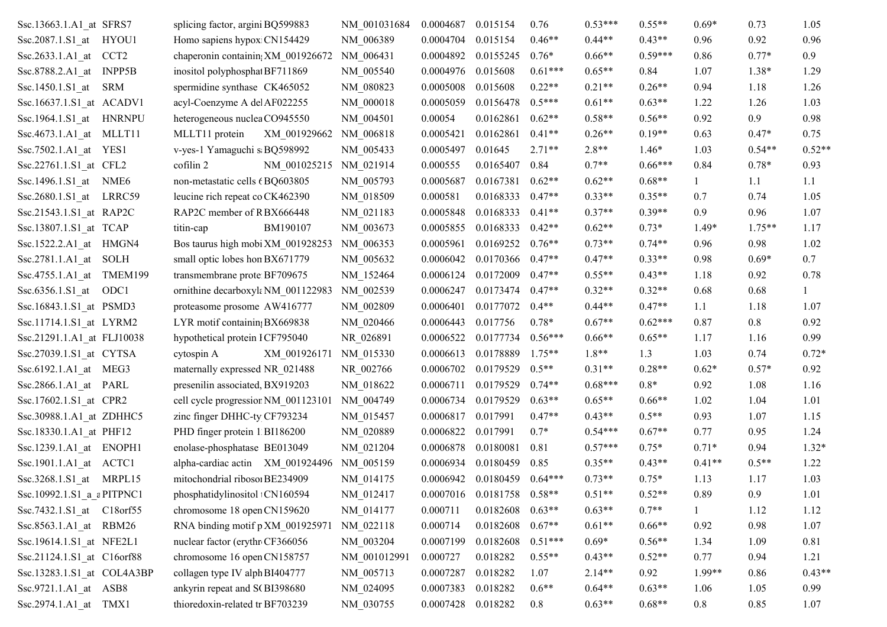| Ssc.13663.1.A1 at SFRS7       | splicing factor, argini BQ599883    | NM 001031684 | 0.0004687          | 0.015154                          | 0.76      | $0.53***$ | $0.55**$  | $0.69*$      | 0.73      | 1.05         |
|-------------------------------|-------------------------------------|--------------|--------------------|-----------------------------------|-----------|-----------|-----------|--------------|-----------|--------------|
| Ssc.2087.1.S1 at HYOU1        | Homo sapiens hypox CN154429         | NM 006389    | 0.0004704          | 0.015154                          | $0.46**$  | $0.44**$  | $0.43**$  | 0.96         | 0.92      | 0.96         |
| Ssc.2633.1.A1_at CCT2         | chaperonin containin XM 001926672   | NM 006431    | 0.0004892          | 0.0155245                         | $0.76*$   | $0.66**$  | $0.59***$ | 0.86         | $0.77*$   | 0.9          |
| Ssc.8788.2.A1 at INPP5B       | inositol polyphosphat BF711869      | NM 005540    | 0.0004976          | 0.015608                          | $0.61***$ | $0.65**$  | 0.84      | 1.07         | $1.38*$   | 1.29         |
| Ssc.1450.1.S1 at SRM          | spermidine synthase CK465052        | NM 080823    | 0.0005008          | 0.015608                          | $0.22**$  | $0.21**$  | $0.26**$  | 0.94         | 1.18      | 1.26         |
| Ssc.16637.1.S1 at ACADV1      | acyl-Coenzyme A del AF022255        | NM 000018    | 0.0005059          | 0.0156478                         | $0.5***$  | $0.61**$  | $0.63**$  | 1.22         | 1.26      | 1.03         |
| Ssc.1964.1.S1_at HNRNPU       | heterogeneous nuclea CO945550       | NM 004501    | 0.00054            | 0.0162861                         | $0.62**$  | $0.58**$  | $0.56**$  | 0.92         | 0.9       | 0.98         |
| Ssc.4673.1.A1 at MLLT11       | XM 001929662<br>MLLT11 protein      | NM 006818    | 0.0005421          | 0.0162861                         | $0.41**$  | $0.26**$  | $0.19**$  | 0.63         | $0.47*$   | 0.75         |
| Ssc.7502.1.A1 at YES1         | v-yes-1 Yamaguchi s BQ598992        | NM 005433    | 0.0005497          | 0.01645                           | $2.71**$  | $2.8**$   | $1.46*$   | 1.03         | $0.54**$  | $0.52**$     |
| Ssc.22761.1.S1 at CFL2        | cofilin 2<br>NM 001025215           | NM_021914    | 0.000555           | 0.0165407                         | 0.84      | $0.7**$   | $0.66***$ | 0.84         | $0.78*$   | 0.93         |
| Ssc.1496.1.S1_at NME6         | non-metastatic cells (BQ603805      | NM 005793    | 0.0005687          | 0.0167381                         | $0.62**$  | $0.62**$  | $0.68**$  | $\mathbf{1}$ | 1.1       | 1.1          |
| Ssc.2680.1.S1_at LRRC59       | leucine rich repeat co CK462390     | NM 018509    | 0.000581           | 0.0168333                         | $0.47**$  | $0.33**$  | $0.35**$  | 0.7          | 0.74      | 1.05         |
| Ssc.21543.1.S1 at RAP2C       | RAP2C member of RBX666448           | NM 021183    | 0.0005848          | 0.0168333                         | $0.41**$  | $0.37**$  | $0.39**$  | 0.9          | 0.96      | 1.07         |
| Ssc.13807.1.S1_at TCAP        | BM190107<br>titin-cap               | NM_003673    | 0.0005855          | 0.0168333                         | $0.42**$  | $0.62**$  | $0.73*$   | $1.49*$      | $1.75***$ | 1.17         |
| Ssc.1522.2.A1 at HMGN4        | Bos taurus high mobi XM_001928253   | NM 006353    | 0.0005961          | 0.0169252                         | $0.76**$  | $0.73**$  | $0.74**$  | 0.96         | 0.98      | 1.02         |
| Ssc.2781.1.A1 at SOLH         | small optic lobes hon BX671779      | NM 005632    | 0.0006042          | 0.0170366                         | $0.47**$  | $0.47**$  | $0.33**$  | 0.98         | $0.69*$   | 0.7          |
| Ssc. 4755.1.A1 at TMEM199     | transmembrane prote BF709675        | NM 152464    | 0.0006124          | 0.0172009                         | $0.47**$  | $0.55**$  | $0.43**$  | 1.18         | 0.92      | 0.78         |
| Ssc.6356.1.S1 at ODC1         | ornithine decarboxyla NM 001122983  | NM 002539    | 0.0006247          | 0.0173474                         | $0.47**$  | $0.32**$  | $0.32**$  | 0.68         | 0.68      | $\mathbf{1}$ |
| Ssc.16843.1.S1 at PSMD3       | proteasome prosome AW416777         | NM 002809    | 0.0006401          | 0.0177072                         | $0.4**$   | $0.44**$  | $0.47**$  | 1.1          | 1.18      | 1.07         |
| Ssc.11714.1.S1 at LYRM2       | LYR motif containin BX669838        | NM 020466    | 0.0006443          | 0.017756                          | $0.78*$   | $0.67**$  | $0.62***$ | 0.87         | 0.8       | 0.92         |
| Ssc.21291.1.A1_at FLJ10038    | hypothetical protein ICF795040      | NR 026891    | 0.0006522          | 0.0177734                         | $0.56***$ | $0.66**$  | $0.65**$  | 1.17         | 1.16      | 0.99         |
| Ssc.27039.1.S1 at CYTSA       | XM 001926171<br>cytospin A          | NM 015330    | 0.0006613          | 0.0178889                         | $1.75**$  | $1.8**$   | 1.3       | 1.03         | 0.74      | $0.72*$      |
| Ssc.6192.1.A1_at MEG3         | maternally expressed NR_021488      | NR 002766    | 0.0006702          | 0.0179529                         | $0.5**$   | $0.31**$  | $0.28**$  | $0.62*$      | $0.57*$   | 0.92         |
| Ssc.2866.1.A1 at PARL         | presenilin associated, BX919203     | NM 018622    | 0.0006711          | 0.0179529                         | $0.74**$  | $0.68***$ | $0.8*$    | 0.92         | 1.08      | 1.16         |
| Ssc.17602.1.S1 at CPR2        | cell cycle progressior NM_001123101 | NM 004749    | 0.0006734          | 0.0179529                         | $0.63**$  | $0.65**$  | $0.66**$  | 1.02         | 1.04      | 1.01         |
| Ssc.30988.1.A1 at ZDHHC5      | zinc finger DHHC-ty CF793234        | NM 015457    | 0.0006817          | 0.017991                          | $0.47**$  | $0.43**$  | $0.5**$   | 0.93         | 1.07      | 1.15         |
| Ssc.18330.1.A1 at PHF12       | PHD finger protein 1 BI186200       | NM 020889    | 0.0006822          | 0.017991                          | $0.7*$    | $0.54***$ | $0.67**$  | 0.77         | 0.95      | 1.24         |
| Ssc.1239.1.A1 at ENOPH1       | enolase-phosphatase BE013049        | NM 021204    | 0.0006878          | 0.0180081                         | 0.81      | $0.57***$ | $0.75*$   | $0.71*$      | 0.94      | $1.32*$      |
| Ssc.1901.1.A1_at ACTC1        | alpha-cardiac actin XM 001924496    | NM 005159    | 0.0006934          | 0.0180459                         | 0.85      | $0.35**$  | $0.43**$  | $0.41**$     | $0.5**$   | 1.22         |
| Ssc.3268.1.S1_at MRPL15       | mitochondrial ribosol BE234909      | NM_014175    |                    | $0.0006942$ $0.0180459$ $0.64***$ |           | $0.73**$  | $0.75*$   | 1.13         | 1.17      | 1.03         |
| Ssc.10992.1.S1_a_aPITPNC1     | phosphatidylinositol CN160594       | NM_012417    |                    | 0.0007016  0.0181758  0.58**      |           | $0.51**$  | $0.52**$  | 0.89         | 0.9       | 1.01         |
| Ssc. 7432.1. S1_at C18 or f55 | chromosome 18 open CN159620         | NM_014177    | 0.000711           | 0.0182608                         | $0.63**$  | $0.63**$  | $0.7**$   | $\mathbf{1}$ | 1.12      | 1.12         |
| Ssc.8563.1.A1 at RBM26        | RNA binding motif p XM_001925971    | NM_022118    | 0.000714           | 0.0182608                         | $0.67**$  | $0.61**$  | $0.66**$  | 0.92         | 0.98      | 1.07         |
| Ssc.19614.1.S1_at NFE2L1      | nuclear factor (erythr CF366056     | NM 003204    | 0.0007199          | 0.0182608                         | $0.51***$ | $0.69*$   | $0.56**$  | 1.34         | 1.09      | 0.81         |
| Ssc.21124.1.S1_at C16orf88    | chromosome 16 open CN158757         | NM 001012991 | 0.000727           | 0.018282                          | $0.55**$  | $0.43**$  | $0.52**$  | 0.77         | 0.94      | 1.21         |
| Ssc.13283.1.S1_at COL4A3BP    | collagen type IV alph BI404777      | NM 005713    | 0.0007287          | 0.018282                          | 1.07      | $2.14**$  | 0.92      | 1.99**       | 0.86      | $0.43**$     |
| Ssc.9721.1.A1_at ASB8         | ankyrin repeat and SCBI398680       | NM 024095    | 0.0007383          | 0.018282                          | $0.6**$   | $0.64**$  | $0.63**$  | 1.06         | 1.05      | 0.99         |
| Ssc.2974.1.A1_at TMX1         | thioredoxin-related tr BF703239     | NM_030755    | 0.0007428 0.018282 |                                   | 0.8       | $0.63**$  | $0.68**$  | 0.8          | 0.85      | 1.07         |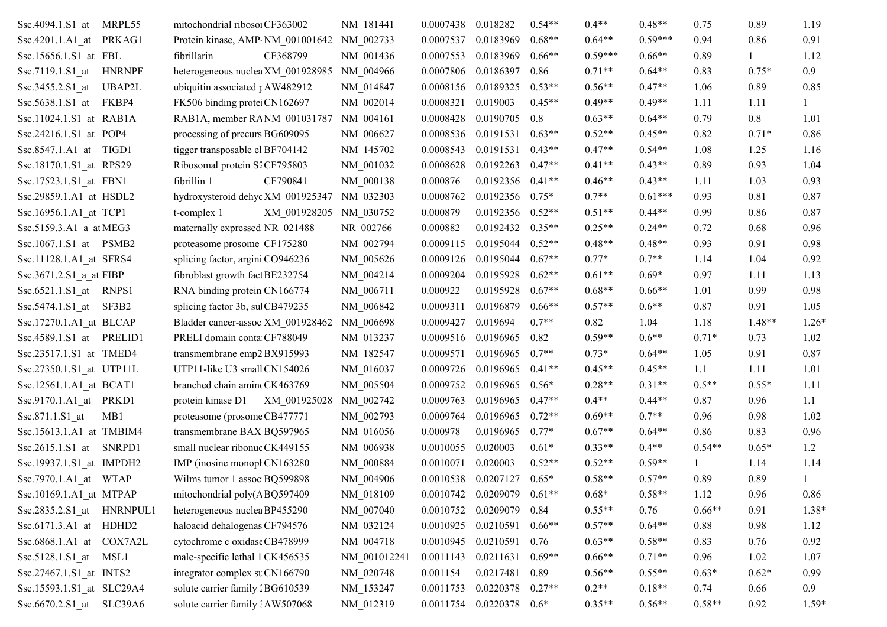| Ssc. 4094.1. S1 at MRPL 55 | mitochondrial ribosol CF363002        | NM 181441    | 0.0007438 | 0.018282                       | $0.54**$ | $0.4**$   | $0.48**$  | 0.75     | 0.89     | 1.19    |
|----------------------------|---------------------------------------|--------------|-----------|--------------------------------|----------|-----------|-----------|----------|----------|---------|
| Ssc.4201.1.A1 at PRKAG1    | Protein kinase, AMP NM 001001642      | NM 002733    | 0.0007537 | 0.0183969                      | $0.68**$ | $0.64**$  | $0.59***$ | 0.94     | 0.86     | 0.91    |
| Ssc.15656.1.S1 at FBL      | CF368799<br>fibrillarin               | NM 001436    | 0.0007553 | 0.0183969                      | $0.66**$ | $0.59***$ | $0.66**$  | 0.89     |          | 1.12    |
| Ssc.7119.1.S1_at HNRNPF    | heterogeneous nuclea XM 001928985     | NM 004966    | 0.0007806 | 0.0186397                      | 0.86     | $0.71**$  | $0.64**$  | 0.83     | $0.75*$  | 0.9     |
| Ssc.3455.2.S1 at<br>UBAP2L | ubiquitin associated $\mu$ AW482912   | NM 014847    | 0.0008156 | 0.0189325                      | $0.53**$ | $0.56**$  | $0.47**$  | 1.06     | 0.89     | 0.85    |
| Ssc.5638.1.S1_at FKBP4     | FK506 binding prote CN162697          | NM 002014    | 0.0008321 | 0.019003                       | $0.45**$ | $0.49**$  | $0.49**$  | 1.11     | 1.11     |         |
| Ssc.11024.1.S1_at RAB1A    | RAB1A, member RANM 001031787          | NM 004161    | 0.0008428 | 0.0190705                      | 0.8      | $0.63**$  | $0.64**$  | 0.79     | 0.8      | 1.01    |
| Ssc.24216.1.S1_at POP4     | processing of precurs BG609095        | NM 006627    | 0.0008536 | 0.0191531                      | $0.63**$ | $0.52**$  | $0.45**$  | 0.82     | $0.71*$  | 0.86    |
| $Ssc.8547.1.A1$ at TIGD1   | tigger transposable el BF704142       | NM 145702    | 0.0008543 | 0.0191531                      | $0.43**$ | $0.47**$  | $0.54**$  | 1.08     | 1.25     | 1.16    |
| Ssc.18170.1.S1_at RPS29    | Ribosomal protein S2 CF795803         | NM 001032    | 0.0008628 | 0.0192263                      | $0.47**$ | $0.41**$  | $0.43**$  | 0.89     | 0.93     | 1.04    |
| Ssc.17523.1.S1_at FBN1     | fibrillin 1<br>CF790841               | NM 000138    | 0.000876  | 0.0192356                      | $0.41**$ | $0.46**$  | $0.43**$  | 1.11     | 1.03     | 0.93    |
| Ssc.29859.1.A1_at HSDL2    | hydroxysteroid dehyc XM 001925347     | NM 032303    | 0.0008762 | 0.0192356                      | $0.75*$  | $0.7**$   | $0.61***$ | 0.93     | 0.81     | 0.87    |
| Ssc.16956.1.A1_at TCP1     | XM 001928205 NM 030752<br>t-complex 1 |              | 0.000879  | 0.0192356                      | $0.52**$ | $0.51**$  | $0.44**$  | 0.99     | 0.86     | 0.87    |
| Ssc.5159.3.A1 a at MEG3    | maternally expressed NR 021488        | NR 002766    | 0.000882  | 0.0192432                      | $0.35**$ | $0.25**$  | $0.24**$  | 0.72     | 0.68     | 0.96    |
| Ssc.1067.1.S1_at PSMB2     | proteasome prosome CF175280           | NM 002794    | 0.0009115 | 0.0195044                      | $0.52**$ | $0.48**$  | $0.48**$  | 0.93     | 0.91     | 0.98    |
| Ssc.11128.1.A1 at SFRS4    | splicing factor, argini CO946236      | NM 005626    | 0.0009126 | 0.0195044                      | $0.67**$ | $0.77*$   | $0.7**$   | 1.14     | 1.04     | 0.92    |
| Ssc.3671.2.S1_a_at FIBP    | fibroblast growth fact BE232754       | NM 004214    | 0.0009204 | 0.0195928                      | $0.62**$ | $0.61**$  | $0.69*$   | 0.97     | 1.11     | 1.13    |
| Ssc.6521.1.S1_at RNPS1     | RNA binding protein CN166774          | NM 006711    | 0.000922  | 0.0195928                      | $0.67**$ | $0.68**$  | $0.66**$  | 1.01     | 0.99     | 0.98    |
| Ssc.5474.1.S1_at<br>SF3B2  | splicing factor 3b, sulCB479235       | NM 006842    | 0.0009311 | 0.0196879                      | $0.66**$ | $0.57**$  | $0.6**$   | 0.87     | 0.91     | 1.05    |
| Ssc.17270.1.A1 at BLCAP    | Bladder cancer-assoc XM 001928462     | NM 006698    | 0.0009427 | 0.019694                       | $0.7**$  | 0.82      | 1.04      | 1.18     | $1.48**$ | $1.26*$ |
| Ssc.4589.1.S1_at PRELID1   | PRELI domain conta CF788049           | NM 013237    | 0.0009516 | 0.0196965                      | 0.82     | $0.59**$  | $0.6**$   | $0.71*$  | 0.73     | 1.02    |
| Ssc.23517.1.S1 at TMED4    | transmembrane emp2 BX915993           | NM 182547    | 0.0009571 | 0.0196965                      | $0.7**$  | $0.73*$   | $0.64**$  | 1.05     | 0.91     | 0.87    |
| Ssc.27350.1.S1_at UTP11L   | UTP11-like U3 small CN154026          | NM 016037    | 0.0009726 | 0.0196965                      | $0.41**$ | $0.45**$  | $0.45**$  | 1.1      | 1.11     | 1.01    |
| Ssc.12561.1.A1 at BCAT1    | branched chain amin CK463769          | NM 005504    | 0.0009752 | 0.0196965                      | $0.56*$  | $0.28**$  | $0.31**$  | $0.5**$  | $0.55*$  | 1.11    |
| Ssc.9170.1.A1_at PRKD1     | protein kinase D1<br>XM_001925028     | NM_002742    | 0.0009763 | 0.0196965                      | $0.47**$ | $0.4**$   | $0.44**$  | 0.87     | 0.96     | 1.1     |
| $Ssc.871.1.S1$ at<br>MB1   | proteasome (prosome CB477771          | NM 002793    | 0.0009764 | 0.0196965                      | $0.72**$ | $0.69**$  | $0.7**$   | 0.96     | 0.98     | 1.02    |
| Ssc.15613.1.A1_at TMBIM4   | transmembrane BAX BQ597965            | NM 016056    | 0.000978  | 0.0196965                      | $0.77*$  | $0.67**$  | $0.64**$  | 0.86     | 0.83     | 0.96    |
| $Ssc.2615.1.S1_at$ SNRPD1  | small nuclear ribonuc CK449155        | NM 006938    | 0.0010055 | 0.020003                       | $0.61*$  | $0.33**$  | $0.4**$   | $0.54**$ | $0.65*$  | 1.2     |
| Ssc.19937.1.S1_at IMPDH2   | IMP (inosine monopl CN163280)         | NM 000884    | 0.0010071 | 0.020003                       | $0.52**$ | $0.52**$  | $0.59**$  |          | 1.14     | 1.14    |
| Ssc.7970.1.A1 at WTAP      | Wilms tumor 1 assoc BQ599898          | NM_004906    |           | 0.0010538  0.0207127  0.65*    |          | $0.58**$  | $0.57**$  | 0.89     | 0.89     |         |
| Ssc.10169.1.A1 at MTPAP    | mitochondrial poly(ABQ597409          | NM 018109    | 0.0010742 | 0.0209079                      | $0.61**$ | $0.68*$   | $0.58**$  | 1.12     | 0.96     | 0.86    |
| Ssc.2835.2.S1_at HNRNPUL1  | heterogeneous nuclea BP455290         | NM 007040    | 0.0010752 | 0.0209079                      | 0.84     | $0.55**$  | 0.76      | $0.66**$ | 0.91     | $1.38*$ |
| Ssc.6171.3.A1 at HDHD2     | haloacid dehalogenas CF794576         | NM 032124    | 0.0010925 | 0.0210591                      | $0.66**$ | $0.57**$  | $0.64**$  | 0.88     | 0.98     | 1.12    |
| Ssc.6868.1.A1 at COX7A2L   | cytochrome c oxidase CB478999         | NM 004718    | 0.0010945 | 0.0210591                      | 0.76     | $0.63**$  | $0.58**$  | 0.83     | 0.76     | 0.92    |
| Ssc.5128.1.S1_at MSL1      | male-specific lethal 1 CK456535       | NM 001012241 | 0.0011143 | 0.0211631                      | $0.69**$ | $0.66**$  | $0.71**$  | 0.96     | 1.02     | 1.07    |
| Ssc.27467.1.S1_at INTS2    | integrator complex st CN166790        | NM 020748    | 0.001154  | 0.0217481                      | 0.89     | $0.56**$  | $0.55**$  | $0.63*$  | $0.62*$  | 0.99    |
| Ssc.15593.1.S1 at SLC29A4  | solute carrier family 2BG610539       | NM 153247    | 0.0011753 | 0.0220378                      | $0.27**$ | $0.2**$   | $0.18**$  | 0.74     | 0.66     | 0.9     |
| Ssc.6670.2.S1_at SLC39A6   | solute carrier family . AW507068      | NM_012319    |           | $0.0011754$ $0.0220378$ $0.6*$ |          | $0.35**$  | $0.56**$  | $0.58**$ | 0.92     | 1.59*   |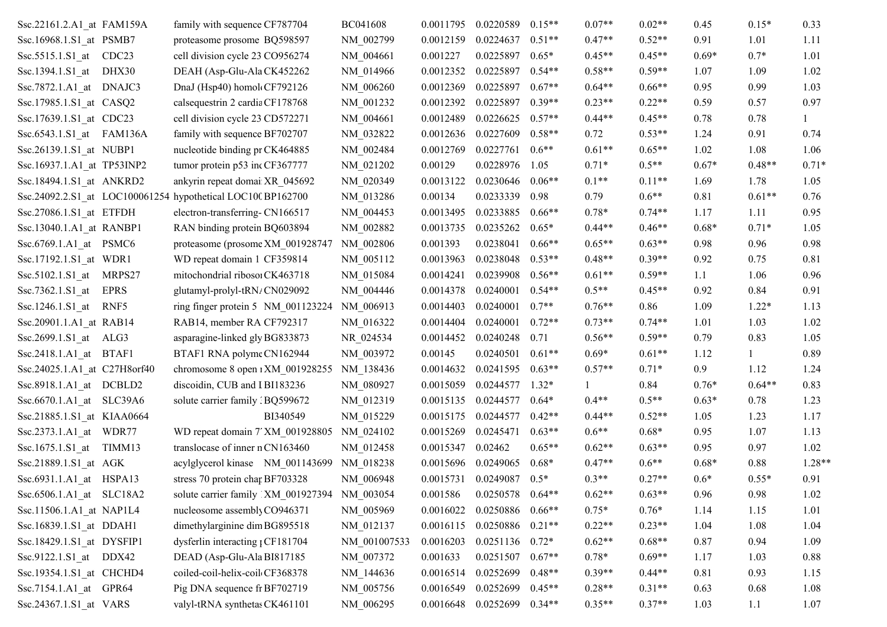| Ssc.22161.2.A1 at FAM159A    |        | family with sequence CF787704                               | BC041608     | 0.0011795           | 0.0220589           | $0.15**$ | $0.07**$ | $0.02**$ | 0.45    | $0.15*$  | 0.33     |
|------------------------------|--------|-------------------------------------------------------------|--------------|---------------------|---------------------|----------|----------|----------|---------|----------|----------|
| Ssc.16968.1.S1_at PSMB7      |        | proteasome prosome BQ598597                                 | NM 002799    | 0.0012159           | 0.0224637           | $0.51**$ | $0.47**$ | $0.52**$ | 0.91    | 1.01     | 1.11     |
| Ssc.5515.1.S1_at CDC23       |        | cell division cycle 23 CO956274                             | NM 004661    | 0.001227            | 0.0225897           | $0.65*$  | $0.45**$ | $0.45**$ | $0.69*$ | $0.7*$   | 1.01     |
| Ssc.1394.1.S1 at             | DHX30  | DEAH (Asp-Glu-Ala CK452262                                  | NM 014966    | 0.0012352           | 0.0225897           | $0.54**$ | $0.58**$ | $0.59**$ | 1.07    | 1.09     | 1.02     |
| Ssc.7872.1.A1_at DNAJC3      |        | DnaJ (Hsp40) homol CF792126                                 | NM 006260    | 0.0012369           | 0.0225897           | $0.67**$ | $0.64**$ | $0.66**$ | 0.95    | 0.99     | 1.03     |
| Ssc.17985.1.S1_at CASQ2      |        | calsequestrin 2 cardia CF178768                             | NM 001232    | 0.0012392           | 0.0225897           | $0.39**$ | $0.23**$ | $0.22**$ | 0.59    | 0.57     | 0.97     |
| Ssc.17639.1.S1_at CDC23      |        | cell division cycle 23 CD572271                             | NM 004661    | 0.0012489           | 0.0226625           | $0.57**$ | $0.44**$ | $0.45**$ | 0.78    | 0.78     | 1        |
| Ssc.6543.1.S1_at FAM136A     |        | family with sequence BF702707                               | NM 032822    | 0.0012636           | 0.0227609           | $0.58**$ | 0.72     | $0.53**$ | 1.24    | 0.91     | 0.74     |
| Ssc.26139.1.S1 at NUBP1      |        | nucleotide binding pr CK464885                              | NM 002484    | 0.0012769           | 0.0227761           | $0.6**$  | $0.61**$ | $0.65**$ | 1.02    | 1.08     | 1.06     |
| Ssc.16937.1.A1_at TP53INP2   |        | tumor protein p53 incCF367777                               | NM 021202    | 0.00129             | 0.0228976           | 1.05     | $0.71*$  | $0.5**$  | $0.67*$ | $0.48**$ | $0.71*$  |
| Ssc.18494.1.S1_at ANKRD2     |        | ankyrin repeat domai XR_045692                              | NM 020349    | 0.0013122           | 0.0230646           | $0.06**$ | $0.1**$  | $0.11**$ | 1.69    | 1.78     | 1.05     |
|                              |        | Ssc.24092.2.S1_at LOC100061254 hypothetical LOC100 BP162700 | NM 013286    | 0.00134             | 0.0233339           | 0.98     | 0.79     | $0.6**$  | 0.81    | $0.61**$ | 0.76     |
| Ssc.27086.1.S1 at ETFDH      |        | electron-transferring-CN166517                              | NM 004453    | 0.0013495           | 0.0233885           | $0.66**$ | $0.78*$  | $0.74**$ | 1.17    | 1.11     | 0.95     |
| Ssc.13040.1.A1 at RANBP1     |        | RAN binding protein BQ603894                                | NM_002882    | 0.0013735           | 0.0235262           | $0.65*$  | $0.44**$ | $0.46**$ | $0.68*$ | $0.71*$  | 1.05     |
| $Ssc.6769.1.A1_at$ PSMC6     |        | proteasome (prosome XM 001928747                            | NM 002806    | 0.001393            | 0.0238041           | $0.66**$ | $0.65**$ | $0.63**$ | 0.98    | 0.96     | 0.98     |
| Ssc.17192.1.S1 at WDR1       |        | WD repeat domain 1 CF359814                                 | NM_005112    | 0.0013963           | 0.0238048           | $0.53**$ | $0.48**$ | $0.39**$ | 0.92    | 0.75     | 0.81     |
| Ssc.5102.1.S1 at MRPS27      |        | mitochondrial ribosoi CK463718                              | NM 015084    | 0.0014241           | 0.0239908           | $0.56**$ | $0.61**$ | $0.59**$ | 1.1     | 1.06     | 0.96     |
| Ssc.7362.1.S1 at             | EPRS   | glutamyl-prolyl-tRN <sub>/</sub> CN029092                   | NM 004446    | 0.0014378           | 0.0240001           | $0.54**$ | $0.5**$  | $0.45**$ | 0.92    | 0.84     | 0.91     |
| Ssc.1246.1.S1 at             | RNF5   | ring finger protein 5 NM 001123224                          | NM 006913    | 0.0014403           | 0.0240001           | $0.7**$  | $0.76**$ | 0.86     | 1.09    | $1.22*$  | 1.13     |
| Ssc.20901.1.A1 at RAB14      |        | RAB14, member RA CF792317                                   | NM 016322    | 0.0014404           | 0.0240001           | $0.72**$ | $0.73**$ | $0.74**$ | 1.01    | 1.03     | 1.02     |
| Ssc.2699.1.S1_at ALG3        |        | asparagine-linked gly BG833873                              | NR 024534    | 0.0014452           | 0.0240248           | 0.71     | $0.56**$ | $0.59**$ | 0.79    | 0.83     | 1.05     |
| Ssc.2418.1.A1_at BTAF1       |        | BTAF1 RNA polyme CN162944                                   | NM 003972    | 0.00145             | 0.0240501           | $0.61**$ | $0.69*$  | $0.61**$ | 1.12    |          | 0.89     |
| Ssc.24025.1.A1_at C27H8orf40 |        | chromosome 8 open 1XM_001928255                             | NM 138436    | 0.0014632           | 0.0241595           | $0.63**$ | $0.57**$ | $0.71*$  | 0.9     | 1.12     | 1.24     |
| Ssc.8918.1.A1 at DCBLD2      |        | discoidin, CUB and I BI183236                               | NM_080927    | 0.0015059           | 0.0244577           | $1.32*$  |          | 0.84     | $0.76*$ | $0.64**$ | 0.83     |
| Ssc.6670.1.A1_at SLC39A6     |        | solute carrier family : BQ599672                            | NM 012319    | 0.0015135           | 0.0244577           | $0.64*$  | $0.4**$  | $0.5**$  | $0.63*$ | 0.78     | 1.23     |
| Ssc.21885.1.S1_at KIAA0664   |        | BI340549                                                    | NM 015229    | 0.0015175           | 0.0244577           | $0.42**$ | $0.44**$ | $0.52**$ | 1.05    | 1.23     | 1.17     |
| Ssc.2373.1.A1_at WDR77       |        | WD repeat domain 7 XM 001928805                             | NM_024102    | 0.0015269           | 0.0245471           | $0.63**$ | $0.6**$  | $0.68*$  | 0.95    | 1.07     | 1.13     |
| Ssc.1675.1.S1 at             | TIMM13 | translocase of inner n CN163460                             | NM 012458    | 0.0015347           | 0.02462             | $0.65**$ | $0.62**$ | $0.63**$ | 0.95    | 0.97     | 1.02     |
| Ssc.21889.1.S1_at AGK        |        | acylglycerol kinase NM 001143699                            | NM_018238    | 0.0015696           | 0.0249065           | $0.68*$  | $0.47**$ | $0.6**$  | $0.68*$ | 0.88     | $1.28**$ |
| Ssc.6931.1.A1_at HSPA13      |        | stress 70 protein char BF703328                             | NM_006948    | 0.0015731 0.0249087 |                     | $0.5*$   | $0.3**$  | $0.27**$ | $0.6*$  | $0.55*$  | 0.91     |
| Ssc.6506.1.A1_at SLC18A2     |        | solute carrier family XM 001927394                          | NM_003054    | 0.001586            | 0.0250578           | $0.64**$ | $0.62**$ | $0.63**$ | 0.96    | 0.98     | 1.02     |
| Ssc.11506.1.A1_at NAP1L4     |        | nucleosome assembly CO946371                                | NM 005969    | 0.0016022           | 0.0250886           | $0.66**$ | $0.75*$  | $0.76*$  | 1.14    | 1.15     | 1.01     |
| Ssc.16839.1.S1 at DDAH1      |        | dimethylarginine dim BG895518                               | NM 012137    |                     | 0.0016115 0.0250886 | $0.21**$ | $0.22**$ | $0.23**$ | 1.04    | 1.08     | 1.04     |
| Ssc.18429.1.S1_at DYSFIP1    |        | dysferlin interacting <sub>1</sub> CF181704                 | NM 001007533 | 0.0016203           | 0.0251136           | $0.72*$  | $0.62**$ | $0.68**$ | 0.87    | 0.94     | 1.09     |
| Ssc.9122.1.S1_at DDX42       |        | DEAD (Asp-Glu-Ala BI817185                                  | NM 007372    | 0.001633            | 0.0251507           | $0.67**$ | $0.78*$  | $0.69**$ | 1.17    | 1.03     | 0.88     |
| Ssc.19354.1.S1_at CHCHD4     |        | coiled-coil-helix-coil CF368378                             | NM 144636    | 0.0016514           | 0.0252699           | $0.48**$ | $0.39**$ | $0.44**$ | 0.81    | 0.93     | 1.15     |
| Ssc.7154.1.A1_at GPR64       |        | Pig DNA sequence fr BF702719                                | NM 005756    | 0.0016549           | 0.0252699           | $0.45**$ | $0.28**$ | $0.31**$ | 0.63    | 0.68     | 1.08     |
| Ssc.24367.1.S1_at VARS       |        | valyl-tRNA synthetas CK461101                               | NM 006295    | 0.0016648 0.0252699 |                     | $0.34**$ | $0.35**$ | $0.37**$ | 1.03    | 1.1      | 1.07     |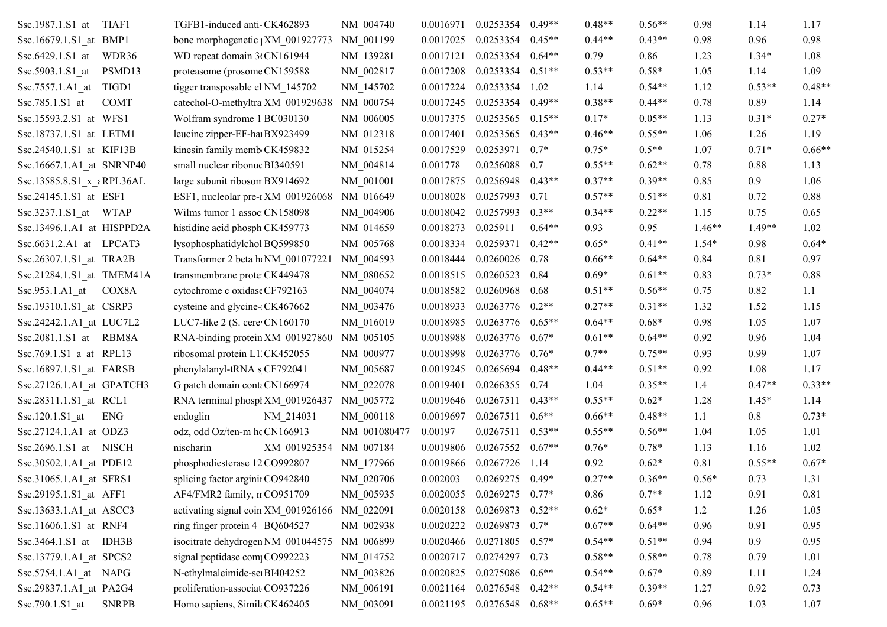| Ssc.1987.1.S1 at TIAF1                   | TGFB1-induced anti-CK462893                | NM 004740    | 0.0016971 | 0.0253354                       | $0.49**$ | $0.48**$ | $0.56**$ | 0.98     | 1.14     | 1.17     |
|------------------------------------------|--------------------------------------------|--------------|-----------|---------------------------------|----------|----------|----------|----------|----------|----------|
| Ssc.16679.1.S1 at BMP1                   | bone morphogenetic $ XM 001927773$         | NM 001199    | 0.0017025 | 0.0253354                       | $0.45**$ | $0.44**$ | $0.43**$ | 0.98     | 0.96     | 0.98     |
| Ssc.6429.1.S1_at<br>WDR36                | WD repeat domain 3 CN161944                | NM 139281    | 0.0017121 | 0.0253354                       | $0.64**$ | 0.79     | 0.86     | 1.23     | $1.34*$  | 1.08     |
| Ssc.5903.1.S1 at<br>PSMD13               | proteasome (prosome CN159588)              | NM 002817    | 0.0017208 | 0.0253354                       | $0.51**$ | $0.53**$ | $0.58*$  | 1.05     | 1.14     | 1.09     |
| Ssc.7557.1.A1_at TIGD1                   | tigger transposable el NM 145702           | NM 145702    | 0.0017224 | 0.0253354                       | 1.02     | 1.14     | $0.54**$ | 1.12     | $0.53**$ | $0.48**$ |
| Ssc.785.1.S1 at<br>COMT                  | catechol-O-methyltra XM 001929638          | NM 000754    | 0.0017245 | 0.0253354                       | $0.49**$ | $0.38**$ | $0.44**$ | 0.78     | 0.89     | 1.14     |
| Ssc.15593.2.S1_at WFS1                   | Wolfram syndrome 1 BC030130                | NM 006005    | 0.0017375 | 0.0253565                       | $0.15**$ | $0.17*$  | $0.05**$ | 1.13     | $0.31*$  | $0.27*$  |
| Ssc.18737.1.S1_at LETM1                  | leucine zipper-EF-ha BX923499              | NM 012318    | 0.0017401 | 0.0253565                       | $0.43**$ | $0.46**$ | $0.55**$ | 1.06     | 1.26     | 1.19     |
| Ssc.24540.1.S1 at KIF13B                 | kinesin family memb CK459832               | NM 015254    | 0.0017529 | 0.0253971                       | $0.7*$   | $0.75*$  | $0.5**$  | 1.07     | $0.71*$  | $0.66**$ |
| Ssc.16667.1.A1_at SNRNP40                | small nuclear ribonuc BI340591             | NM 004814    | 0.001778  | 0.0256088                       | 0.7      | $0.55**$ | $0.62**$ | 0.78     | 0.88     | 1.13     |
| Ssc.13585.8.S1 x εRPL36AL                | large subunit riboson BX914692             | NM 001001    | 0.0017875 | 0.0256948                       | $0.43**$ | $0.37**$ | $0.39**$ | 0.85     | 0.9      | 1.06     |
| Ssc.24145.1.S1_at ESF1                   | ESF1, nucleolar pre- <i>I</i> XM 001926068 | NM 016649    | 0.0018028 | 0.0257993                       | 0.71     | $0.57**$ | $0.51**$ | 0.81     | 0.72     | 0.88     |
| Ssc.3237.1.S1 at WTAP                    | Wilms tumor 1 assoc CN158098               | NM 004906    | 0.0018042 | 0.0257993                       | $0.3**$  | $0.34**$ | $0.22**$ | 1.15     | 0.75     | 0.65     |
| $Ssc.13496.1.A1$ <sub>_at</sub> HISPPD2A | histidine acid phosph CK459773             | NM 014659    | 0.0018273 | 0.025911                        | $0.64**$ | 0.93     | 0.95     | $1.46**$ | $1.49**$ | 1.02     |
| Ssc.6631.2.A1_at LPCAT3                  | lysophosphatidylchol BQ599850              | NM 005768    | 0.0018334 | 0.0259371                       | $0.42**$ | $0.65*$  | $0.41**$ | $1.54*$  | 0.98     | $0.64*$  |
| Ssc.26307.1.S1 at TRA2B                  | Transformer 2 beta h NM 001077221          | NM 004593    | 0.0018444 | 0.0260026                       | 0.78     | $0.66**$ | $0.64**$ | 0.84     | 0.81     | 0.97     |
| Ssc.21284.1.S1 at TMEM41A                | transmembrane prote CK449478               | NM 080652    | 0.0018515 | 0.0260523                       | 0.84     | $0.69*$  | $0.61**$ | 0.83     | $0.73*$  | 0.88     |
| $Ssc.953.1.A1_at$<br>COX8A               | cytochrome c oxidase CF792163              | NM 004074    | 0.0018582 | 0.0260968                       | 0.68     | $0.51**$ | $0.56**$ | 0.75     | 0.82     | 1.1      |
| Ssc.19310.1.S1_at CSRP3                  | cysteine and glycine- CK467662             | NM 003476    | 0.0018933 | 0.0263776                       | $0.2**$  | $0.27**$ | $0.31**$ | 1.32     | 1.52     | 1.15     |
| Ssc.24242.1.A1 at LUC7L2                 | LUC7-like $2$ (S. cere CN160170)           | NM 016019    | 0.0018985 | 0.0263776                       | $0.65**$ | $0.64**$ | $0.68*$  | 0.98     | 1.05     | 1.07     |
| Ssc.2081.1.S1_at RBM8A                   | RNA-binding protein XM 001927860           | NM 005105    | 0.0018988 | 0.0263776                       | $0.67*$  | $0.61**$ | $0.64**$ | 0.92     | 0.96     | 1.04     |
| Ssc.769.1.S1_a_at RPL13                  | ribosomal protein L1 CK452055              | NM_000977    | 0.0018998 | 0.0263776                       | $0.76*$  | $0.7**$  | $0.75**$ | 0.93     | 0.99     | 1.07     |
| Ssc.16897.1.S1_at FARSB                  | phenylalanyl-tRNA s CF792041               | NM 005687    | 0.0019245 | 0.0265694                       | $0.48**$ | $0.44**$ | $0.51**$ | 0.92     | 1.08     | 1.17     |
| Ssc.27126.1.A1 at GPATCH3                | G patch domain conta CN166974              | NM 022078    | 0.0019401 | 0.0266355                       | 0.74     | 1.04     | $0.35**$ | 1.4      | $0.47**$ | $0.33**$ |
| Ssc.28311.1.S1_at RCL1                   | RNA terminal phospl XM_001926437           | NM 005772    | 0.0019646 | 0.0267511                       | $0.43**$ | $0.55**$ | $0.62*$  | 1.28     | $1.45*$  | 1.14     |
| $Ssc.120.1.S1$ at<br>ENG                 | endoglin<br>NM 214031                      | NM 000118    | 0.0019697 | 0.0267511                       | $0.6**$  | $0.66**$ | $0.48**$ | 1.1      | $0.8\,$  | $0.73*$  |
| Ssc.27124.1.A1_at ODZ3                   | odz, odd Oz/ten-m hc CN166913              | NM 001080477 | 0.00197   | 0.0267511                       | $0.53**$ | $0.55**$ | $0.56**$ | 1.04     | 1.05     | 1.01     |
| Ssc.2696.1.S1 at NISCH                   | nischarin<br>XM 001925354                  | NM 007184    | 0.0019806 | 0.0267552                       | $0.67**$ | $0.76*$  | $0.78*$  | 1.13     | 1.16     | 1.02     |
| Ssc.30502.1.A1_at PDE12                  | phosphodiesterase 12 CO992807              | NM 177966    | 0.0019866 | 0.0267726                       | 1.14     | 0.92     | $0.62*$  | 0.81     | $0.55**$ | $0.67*$  |
| Ssc.31065.1.A1_at SFRS1                  | splicing factor arginii CO942840           | NM_020706    | 0.002003  | $0.0269275$ 0.49*               |          | $0.27**$ | $0.36**$ | $0.56*$  | 0.73     | 1.31     |
| Ssc.29195.1.S1_at AFF1                   | AF4/FMR2 family, n CO951709                | NM_005935    |           | $0.0020055$ $0.0269275$ $0.77*$ |          | 0.86     | $0.7**$  | 1.12     | 0.91     | 0.81     |
| Ssc.13633.1.A1_at ASCC3                  | activating signal coin XM_001926166        | NM 022091    |           | 0.0020158 0.0269873             | $0.52**$ | $0.62*$  | $0.65*$  | 1.2      | 1.26     | 1.05     |
| Ssc.11606.1.S1 at RNF4                   | ring finger protein 4 BQ604527             | NM_002938    | 0.0020222 | 0.0269873                       | $0.7*$   | $0.67**$ | $0.64**$ | 0.96     | 0.91     | 0.95     |
| Ssc.3464.1.S1_at IDH3B                   | isocitrate dehydrogen NM_001044575         | NM_006899    |           | 0.0020466 0.0271805             | $0.57*$  | $0.54**$ | $0.51**$ | 0.94     | 0.9      | 0.95     |
| Ssc.13779.1.A1 at SPCS2                  | signal peptidase com CO992223              | NM 014752    | 0.0020717 | 0.0274297                       | 0.73     | $0.58**$ | $0.58**$ | 0.78     | 0.79     | 1.01     |
| $Ssc.5754.1.A1_at$ NAPG                  | N-ethylmaleimide-sel BI404252              | NM 003826    | 0.0020825 | 0.0275086                       | $0.6**$  | $0.54**$ | $0.67*$  | 0.89     | 1.11     | 1.24     |
| Ssc.29837.1.A1 at PA2G4                  | proliferation-associat CO937226            | NM 006191    | 0.0021164 | 0.0276548                       | $0.42**$ | $0.54**$ | $0.39**$ | 1.27     | 0.92     | 0.73     |
| Ssc.790.1.S1 at<br><b>SNRPB</b>          | Homo sapiens, Simil: CK462405              | NM_003091    |           | 0.0021195  0.0276548  0.68**    |          | $0.65**$ | $0.69*$  | 0.96     | 1.03     | 1.07     |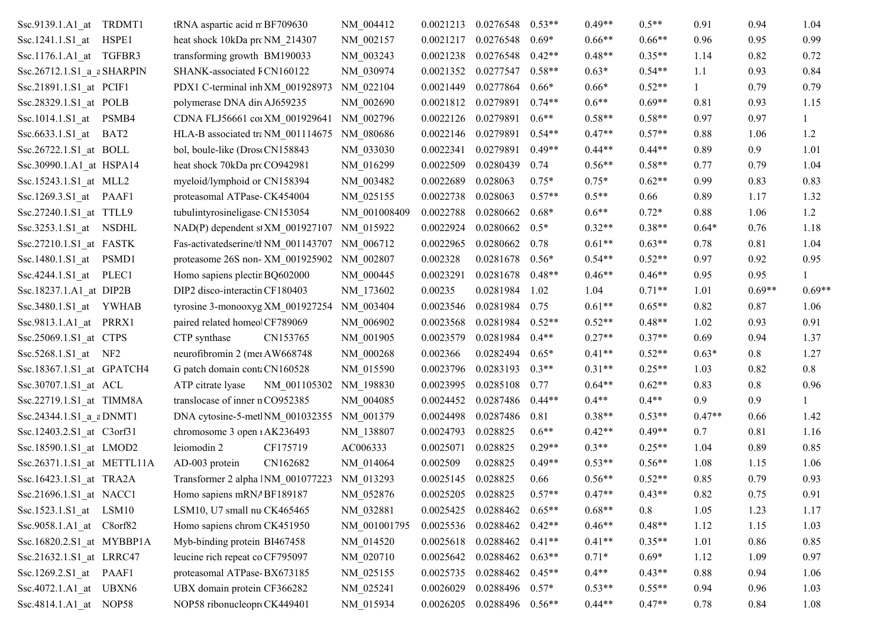| Ssc.9139.1.A1_at TRDMT1                  | tRNA aspartic acid m BF709630                 | NM 004412    | 0.0021213           | 0.0276548           | $0.53**$ | $0.49**$ | $0.5**$  | 0.91         | 0.94     | 1.04         |
|------------------------------------------|-----------------------------------------------|--------------|---------------------|---------------------|----------|----------|----------|--------------|----------|--------------|
| Ssc.1241.1.S1_at HSPE1                   | heat shock 10kDa pro NM 214307                | NM 002157    | 0.0021217           | 0.0276548           | $0.69*$  | $0.66**$ | $0.66**$ | 0.96         | 0.95     | 0.99         |
| Ssc.1176.1.A1 at TGFBR3                  | transforming growth BM190033                  | NM 003243    | 0.0021238           | 0.0276548           | $0.42**$ | $0.48**$ | $0.35**$ | 1.14         | 0.82     | 0.72         |
| Ssc.26712.1.S1_a_aSHARPIN                | SHANK-associated FCN160122                    | NM 030974    | 0.0021352           | 0.0277547           | $0.58**$ | $0.63*$  | $0.54**$ | 1.1          | 0.93     | 0.84         |
| Ssc.21891.1.S1_at PCIF1                  | PDX1 C-terminal inh XM 001928973              | NM 022104    | 0.0021449           | 0.0277864           | $0.66*$  | $0.66*$  | $0.52**$ | $\mathbf{1}$ | 0.79     | 0.79         |
| Ssc.28329.1.S1 at POLB                   | polymerase DNA dir AJ659235                   | NM 002690    | 0.0021812           | 0.0279891           | $0.74**$ | $0.6**$  | $0.69**$ | 0.81         | 0.93     | 1.15         |
| Ssc.1014.1.S1_at PSMB4                   | CDNA FLJ56661 coi XM_001929641                | NM 002796    | 0.0022126           | 0.0279891           | $0.6**$  | $0.58**$ | $0.58**$ | 0.97         | 0.97     | 1            |
| Ssc.6633.1.S1_at BAT2                    | HLA-B associated tra NM 001114675             | NM 080686    | 0.0022146           | 0.0279891           | $0.54**$ | $0.47**$ | $0.57**$ | 0.88         | 1.06     | 1.2          |
| Ssc.26722.1.S1 at BOLL                   | bol, boule-like (DroscCN158843                | NM 033030    | 0.0022341           | 0.0279891           | $0.49**$ | $0.44**$ | $0.44**$ | 0.89         | 0.9      | 1.01         |
| Ssc.30990.1.A1_at HSPA14                 | heat shock 70kDa pro CO942981                 | NM 016299    | 0.0022509           | 0.0280439           | 0.74     | $0.56**$ | $0.58**$ | 0.77         | 0.79     | 1.04         |
| Ssc.15243.1.S1 at MLL2                   | myeloid/lymphoid or CN158394                  | NM_003482    | 0.0022689           | 0.028063            | $0.75*$  | $0.75*$  | $0.62**$ | 0.99         | 0.83     | 0.83         |
| Ssc.1269.3.S1_at PAAF1                   | proteasomal ATPase-CK454004                   | NM 025155    | 0.0022738           | 0.028063            | $0.57**$ | $0.5**$  | 0.66     | 0.89         | 1.17     | 1.32         |
| Ssc.27240.1.S1 at TTLL9                  | tubulintyrosineligase CN153054                | NM 001008409 | 0.0022788           | 0.0280662           | $0.68*$  | $0.6**$  | $0.72*$  | 0.88         | 1.06     | 1.2          |
| Ssc.3253.1.S1_at NSDHL                   | NAD(P) dependent st XM_001927107              | NM 015922    | 0.0022924           | 0.0280662           | $0.5*$   | $0.32**$ | $0.38**$ | $0.64*$      | 0.76     | 1.18         |
| Ssc.27210.1.S1 at FASTK                  | Fas-activatedserine/tl NM_001143707 NM_006712 |              | 0.0022965           | 0.0280662           | 0.78     | $0.61**$ | $0.63**$ | 0.78         | 0.81     | 1.04         |
| Ssc.1480.1.S1_at PSMD1                   | proteasome 26S non-XM 001925902               | NM 002807    | 0.002328            | 0.0281678           | $0.56*$  | $0.54**$ | $0.52**$ | 0.97         | 0.92     | 0.95         |
| Ssc.4244.1.S1_at PLEC1                   | Homo sapiens plectir BQ602000                 | NM 000445    | 0.0023291           | 0.0281678           | $0.48**$ | $0.46**$ | $0.46**$ | 0.95         | 0.95     |              |
| Ssc.18237.1.A1_at DIP2B                  | DIP2 disco-interactin CF180403                | NM 173602    | 0.00235             | 0.0281984           | 1.02     | 1.04     | $0.71**$ | 1.01         | $0.69**$ | $0.69**$     |
| $Ssc.3480.1.S1$ <sub>_at</sub> YWHAB     | tyrosine 3-monooxyg XM_001927254              | NM_003404    | 0.0023546           | 0.0281984           | 0.75     | $0.61**$ | $0.65**$ | 0.82         | 0.87     | 1.06         |
| Ssc.9813.1.A1 at PRRX1                   | paired related homeol CF789069                | NM 006902    | 0.0023568           | 0.0281984           | $0.52**$ | $0.52**$ | $0.48**$ | 1.02         | 0.93     | 0.91         |
| Ssc.25069.1.S1_at CTPS                   | CN153765<br>CTP synthase                      | NM 001905    | 0.0023579           | 0.0281984           | $0.4**$  | $0.27**$ | $0.37**$ | 0.69         | 0.94     | 1.37         |
| Ssc.5268.1.S1_at NF2                     | neurofibromin 2 (mei AW668748                 | NM 000268    | 0.002366            | 0.0282494           | $0.65*$  | $0.41**$ | $0.52**$ | $0.63*$      | 0.8      | 1.27         |
| Ssc.18367.1.S1 at GPATCH4                | G patch domain conta CN160528                 | NM 015590    | 0.0023796           | 0.0283193           | $0.3**$  | $0.31**$ | $0.25**$ | 1.03         | 0.82     | 0.8          |
| Ssc.30707.1.S1 at ACL                    | ATP citrate lyase<br>NM 001105302             | NM 198830    | 0.0023995           | 0.0285108           | 0.77     | $0.64**$ | $0.62**$ | 0.83         | 0.8      | 0.96         |
| Ssc.22719.1.S1_at TIMM8A                 | translocase of inner nCO952385                | NM 004085    | 0.0024452           | 0.0287486           | $0.44**$ | $0.4**$  | $0.4**$  | 0.9          | 0.9      | $\mathbf{1}$ |
| Ssc.24344.1.S1_a_aDNMT1                  | DNA cytosine-5-metl NM 001032355              | NM 001379    | 0.0024498           | 0.0287486           | 0.81     | $0.38**$ | $0.53**$ | $0.47**$     | 0.66     | 1.42         |
| Ssc.12403.2.S1_at C3orf31                | chromosome 3 open 1 AK236493                  | NM 138807    | 0.0024793           | 0.028825            | $0.6**$  | $0.42**$ | $0.49**$ | 0.7          | 0.81     | 1.16         |
| Ssc.18590.1.S1 at LMOD2                  | leiomodin 2<br>CF175719                       | AC006333     | 0.0025071           | 0.028825            | $0.29**$ | $0.3**$  | $0.25**$ | 1.04         | 0.89     | 0.85         |
| $Ssc.26371.1.S1$ <sub>_at</sub> METTL11A | AD-003 protein<br>CN162682                    | NM 014064    | 0.002509            | 0.028825            | $0.49**$ | $0.53**$ | $0.56**$ | 1.08         | 1.15     | 1.06         |
| Ssc.16423.1.S1 at TRA2A                  | Transformer 2 alpha   NM 001077223 NM 013293  |              | 0.0025145  0.028825 |                     | 0.66     | $0.56**$ | $0.52**$ | 0.85         | 0.79     | 0.93         |
| Ssc.21696.1.S1_at NACC1                  | Homo sapiens mRNA BF189187                    | NM_052876    | 0.0025205           | 0.028825            | $0.57**$ | $0.47**$ | $0.43**$ | 0.82         | 0.75     | 0.91         |
| Ssc.1523.1.S1 at LSM10                   | LSM10, U7 small nu CK465465                   | NM 032881    | 0.0025425           | 0.0288462           | $0.65**$ | $0.68**$ | 0.8      | 1.05         | 1.23     | 1.17         |
| Ssc.9058.1.A1 at C8orf82                 | Homo sapiens chrom CK451950                   | NM 001001795 | 0.0025536           | 0.0288462           | $0.42**$ | $0.46**$ | $0.48**$ | 1.12         | 1.15     | 1.03         |
| Ssc.16820.2.S1 at MYBBP1A                | Myb-binding protein BI467458                  | NM 014520    | 0.0025618           | 0.0288462           | $0.41**$ | $0.41**$ | $0.35**$ | 1.01         | 0.86     | 0.85         |
| Ssc.21632.1.S1_at LRRC47                 | leucine rich repeat co CF795097               | NM 020710    | 0.0025642           | 0.0288462           | $0.63**$ | $0.71*$  | $0.69*$  | 1.12         | 1.09     | 0.97         |
| Ssc.1269.2.S1_at PAAF1                   | proteasomal ATPase-BX673185                   | NM 025155    | 0.0025735           | 0.0288462           | $0.45**$ | $0.4**$  | $0.43**$ | 0.88         | 0.94     | 1.06         |
| Ssc.4072.1.A1 at UBXN6                   | UBX domain protein CF366282                   | NM 025241    | 0.0026029           | 0.0288496           | $0.57*$  | $0.53**$ | $0.55**$ | 0.94         | 0.96     | 1.03         |
| Ssc.4814.1.A1 at NOP58                   | NOP58 ribonucleoproCK449401                   | NM 015934    |                     | 0.0026205 0.0288496 | $0.56**$ | $0.44**$ | $0.47**$ | 0.78         | 0.84     | 1.08         |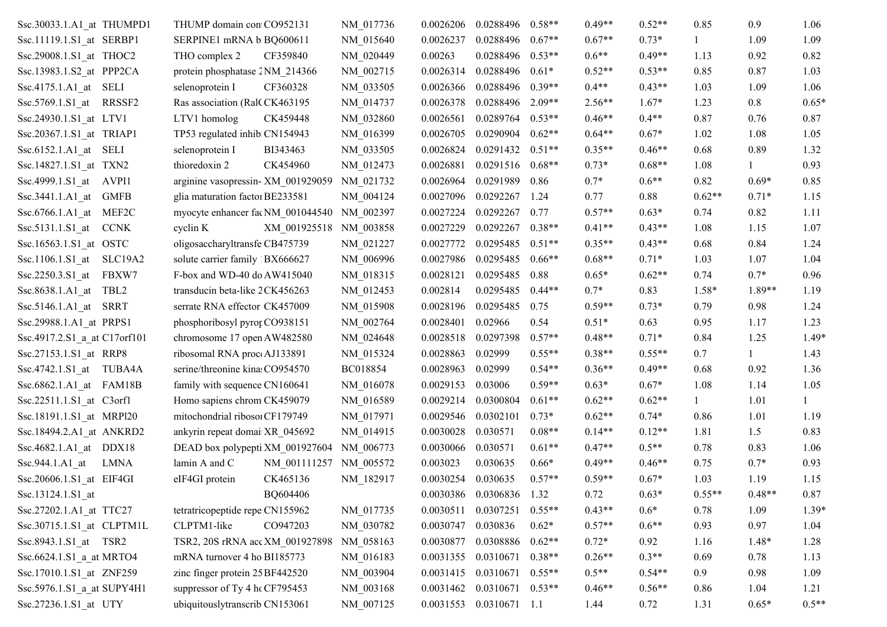| Ssc.30033.1.A1_at THUMPD1             | THUMP domain con CO952131                 | NM 017736 | 0.0026206          | 0.0288496                 | $0.58**$ | $0.49**$ | $0.52**$ | 0.85     | 0.9      | 1.06         |
|---------------------------------------|-------------------------------------------|-----------|--------------------|---------------------------|----------|----------|----------|----------|----------|--------------|
| Ssc.11119.1.S1 at SERBP1              | SERPINE1 mRNA b BQ600611                  | NM 015640 | 0.0026237          | 0.0288496                 | $0.67**$ | $0.67**$ | $0.73*$  |          | 1.09     | 1.09         |
| Ssc.29008.1.S1_at THOC2               | THO complex 2<br>CF359840                 | NM 020449 | 0.00263            | 0.0288496                 | $0.53**$ | $0.6**$  | $0.49**$ | 1.13     | 0.92     | 0.82         |
| Ssc.13983.1.S2_at PPP2CA              | protein phosphatase 2 NM 214366           | NM 002715 | 0.0026314          | 0.0288496                 | $0.61*$  | $0.52**$ | $0.53**$ | 0.85     | 0.87     | 1.03         |
| Ssc.4175.1.A1 at SELI                 | CF360328<br>selenoprotein I               | NM 033505 | 0.0026366          | 0.0288496                 | $0.39**$ | $0.4**$  | $0.43**$ | 1.03     | 1.09     | 1.06         |
| Ssc.5769.1.S1 at RRSSF2               | Ras association (RalCCK463195)            | NM 014737 | 0.0026378          | 0.0288496                 | $2.09**$ | $2.56**$ | $1.67*$  | 1.23     | 0.8      | $0.65*$      |
| Ssc.24930.1.S1_at LTV1                | LTV1 homolog<br>CK459448                  | NM 032860 | 0.0026561          | 0.0289764                 | $0.53**$ | $0.46**$ | $0.4**$  | 0.87     | 0.76     | 0.87         |
| Ssc.20367.1.S1_at TRIAP1              | TP53 regulated inhib CN154943             | NM 016399 | 0.0026705          | 0.0290904                 | $0.62**$ | $0.64**$ | $0.67*$  | 1.02     | 1.08     | 1.05         |
| $Ssc.6152.1.A1$ at SELI               | BI343463<br>selenoprotein I               | NM 033505 | 0.0026824          | 0.0291432                 | $0.51**$ | $0.35**$ | $0.46**$ | 0.68     | 0.89     | 1.32         |
| Ssc.14827.1.S1_at TXN2                | thioredoxin 2<br>CK454960                 | NM 012473 | 0.0026881          | 0.0291516                 | $0.68**$ | $0.73*$  | $0.68**$ | 1.08     |          | 0.93         |
| Ssc.4999.1.S1_at AVPI1                | arginine vasopressin- XM_001929059        | NM 021732 | 0.0026964          | 0.0291989                 | 0.86     | $0.7*$   | $0.6**$  | 0.82     | $0.69*$  | 0.85         |
| <b>GMFB</b><br>Ssc.3441.1.A1_at       | glia maturation factor BE233581           | NM 004124 | 0.0027096          | 0.0292267                 | 1.24     | 0.77     | 0.88     | $0.62**$ | $0.71*$  | 1.15         |
| Ssc.6766.1.A1 at MEF2C                | myocyte enhancer fac NM_001044540         | NM 002397 | 0.0027224          | 0.0292267                 | 0.77     | $0.57**$ | $0.63*$  | 0.74     | 0.82     | 1.11         |
| Ssc.5131.1.S1_at<br><b>CCNK</b>       | XM 001925518<br>cyclin K                  | NM 003858 | 0.0027229          | 0.0292267                 | $0.38**$ | $0.41**$ | $0.43**$ | 1.08     | 1.15     | 1.07         |
| Ssc.16563.1.S1_at OSTC                | oligosaccharyltransfe CB475739            | NM 021227 | 0.0027772          | 0.0295485                 | $0.51**$ | $0.35**$ | $0.43**$ | 0.68     | 0.84     | 1.24         |
| Ssc.1106.1.S1_at<br>SLC19A2           | solute carrier family BX666627            | NM 006996 | 0.0027986          | 0.0295485                 | $0.66**$ | $0.68**$ | $0.71*$  | 1.03     | 1.07     | 1.04         |
| Ssc.2250.3.S1_at FBXW7                | F-box and WD-40 do AW415040               | NM 018315 | 0.0028121          | 0.0295485                 | 0.88     | $0.65*$  | $0.62**$ | 0.74     | $0.7*$   | 0.96         |
| Ssc.8638.1.A1 at<br>TBL <sub>2</sub>  | transducin beta-like 2 CK456263           | NM 012453 | 0.002814           | 0.0295485                 | $0.44**$ | $0.7*$   | 0.83     | $1.58*$  | 1.89**   | 1.19         |
| Ssc.5146.1.A1 at<br>SRRT              | serrate RNA effector CK457009             | NM 015908 | 0.0028196          | 0.0295485                 | 0.75     | $0.59**$ | $0.73*$  | 0.79     | 0.98     | 1.24         |
| Ssc.29988.1.A1 at PRPS1               | phosphoribosyl pyror CO938151             | NM 002764 | 0.0028401          | 0.02966                   | 0.54     | $0.51*$  | 0.63     | 0.95     | 1.17     | 1.23         |
| Ssc.4917.2.S1_a_at C17orf101          | chromosome 17 open AW482580               | NM 024648 | 0.0028518          | 0.0297398                 | $0.57**$ | $0.48**$ | $0.71*$  | 0.84     | 1.25     | $1.49*$      |
| Ssc.27153.1.S1_at RRP8                | ribosomal RNA proce AJ133891              | NM 015324 | 0.0028863          | 0.02999                   | $0.55**$ | $0.38**$ | $0.55**$ | 0.7      |          | 1.43         |
| $Ssc.4742.1.S1$ <sub>_at</sub> TUBA4A | serine/threonine kina: CO954570           | BC018854  | 0.0028963          | 0.02999                   | $0.54**$ | $0.36**$ | $0.49**$ | 0.68     | 0.92     | 1.36         |
| Ssc.6862.1.A1 at FAM18B               | family with sequence CN160641             | NM 016078 | 0.0029153          | 0.03006                   | $0.59**$ | $0.63*$  | $0.67*$  | 1.08     | 1.14     | 1.05         |
| Ssc.22511.1.S1_at C3orf1              | Homo sapiens chrom CK459079               | NM 016589 | 0.0029214          | 0.0300804                 | $0.61**$ | $0.62**$ | $0.62**$ | 1        | 1.01     | $\mathbf{1}$ |
| Ssc.18191.1.S1 at MRPl20              | mitochondrial ribosoi CF179749            | NM 017971 | 0.0029546          | 0.0302101                 | $0.73*$  | $0.62**$ | $0.74*$  | 0.86     | 1.01     | 1.19         |
| Ssc.18494.2.A1_at ANKRD2              | ankyrin repeat domai XR 045692            | NM 014915 | 0.0030028          | 0.030571                  | $0.08**$ | $0.14**$ | $0.12**$ | 1.81     | 1.5      | 0.83         |
| Ssc.4682.1.A1 at DDX18                | DEAD box polypepti XM_001927604 NM_006773 |           | 0.0030066          | 0.030571                  | $0.61**$ | $0.47**$ | $0.5**$  | 0.78     | 0.83     | 1.06         |
| Ssc.944.1.A1_at<br><b>LMNA</b>        | lamin A and C<br>NM 001111257             | NM 005572 | 0.003023           | 0.030635                  | $0.66*$  | $0.49**$ | $0.46**$ | 0.75     | $0.7*$   | 0.93         |
| $Ssc.20606.1.S1_at$ EIF4GI            | CK465136<br>eIF4GI protein                | NM_182917 | 0.0030254 0.030635 |                           | $0.57**$ | $0.59**$ | $0.67*$  | 1.03     | 1.19     | 1.15         |
| Ssc.13124.1.S1_at                     | BQ604406                                  |           |                    | 0.0030386 0.0306836       | 1.32     | 0.72     | $0.63*$  | $0.55**$ | $0.48**$ | 0.87         |
| Ssc.27202.1.A1_at TTC27               | tetratricopeptide repe CN155962           | NM 017735 | 0.0030511          | 0.0307251                 | $0.55**$ | $0.43**$ | $0.6*$   | 0.78     | 1.09     | $1.39*$      |
| Ssc.30715.1.S1 at CLPTM1L             | CLPTM1-like<br>CO947203                   | NM 030782 | 0.0030747          | 0.030836                  | $0.62*$  | $0.57**$ | $0.6**$  | 0.93     | 0.97     | 1.04         |
| Ssc.8943.1.S1 at TSR2                 | TSR2, 20S rRNA acc XM_001927898           | NM 058163 | 0.0030877          | 0.0308886                 | $0.62**$ | $0.72*$  | 0.92     | 1.16     | $1.48*$  | 1.28         |
| Ssc.6624.1.S1 a at MRTO4              | mRNA turnover 4 ho BI185773               | NM 016183 | 0.0031355          | 0.0310671                 | $0.38**$ | $0.26**$ | $0.3**$  | 0.69     | 0.78     | 1.13         |
| Ssc.17010.1.S1 at ZNF259              | zinc finger protein 25 BF442520           | NM 003904 | 0.0031415          | 0.0310671                 | $0.55**$ | $0.5**$  | $0.54**$ | 0.9      | 0.98     | 1.09         |
| Ssc.5976.1.S1 a at SUPY4H1            | suppressor of Ty 4 hc CF795453            | NM 003168 | 0.0031462          | 0.0310671                 | $0.53**$ | $0.46**$ | $0.56**$ | 0.86     | 1.04     | 1.21         |
| Ssc.27236.1.S1_at UTY                 | ubiquitouslytranscrib CN153061            | NM_007125 |                    | 0.0031553  0.0310671  1.1 |          | 1.44     | 0.72     | 1.31     | $0.65*$  | $0.5**$      |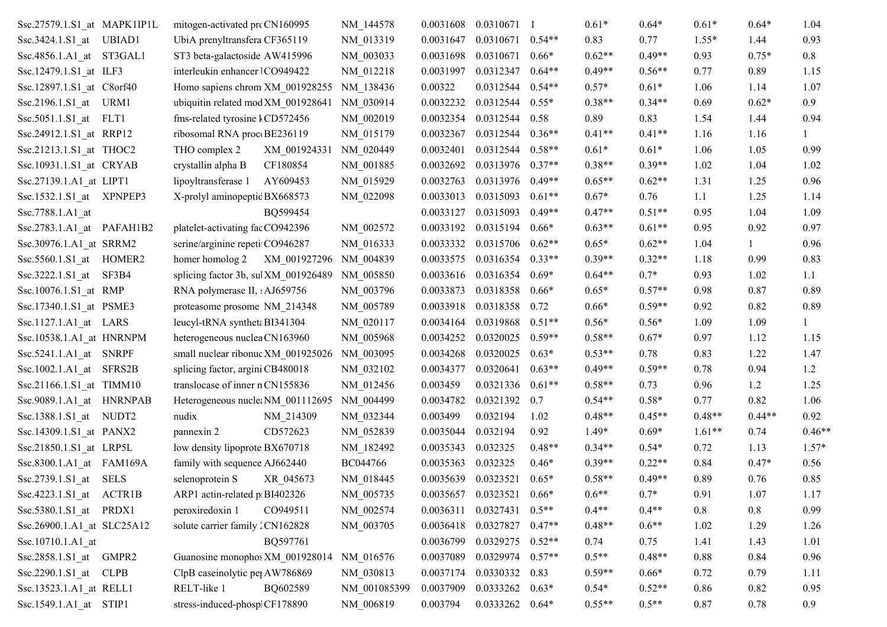| Ssc.27579.1.S1 at MAPK1IP1L                                                                                                                                                                                                                                                                                                              |        | mitogen-activated pro CN160995       |                                                 | NM 144578    | 0.0031608            | 0.0310671 1         |          | $0.61*$  | $0.64*$  | $0.61*$  | $0.64*$  | 1.04     |
|------------------------------------------------------------------------------------------------------------------------------------------------------------------------------------------------------------------------------------------------------------------------------------------------------------------------------------------|--------|--------------------------------------|-------------------------------------------------|--------------|----------------------|---------------------|----------|----------|----------|----------|----------|----------|
| Ssc.3424.1.S1 at UBIAD1                                                                                                                                                                                                                                                                                                                  |        | UbiA prenyltransfera CF365119        |                                                 | NM_013319    | 0.0031647            | 0.0310671           | $0.54**$ | 0.83     | 0.77     | $1.55*$  | 1.44     | 0.93     |
| Ssc.4856.1.A1_at ST3GAL1                                                                                                                                                                                                                                                                                                                 |        |                                      | ST3 beta-galactoside AW415996<br>NM 003033      |              | 0.0031698            | 0.0310671           | $0.66*$  | $0.62**$ | $0.49**$ | 0.93     | $0.75*$  | 0.8      |
| Ssc.12479.1.S1 at ILF3                                                                                                                                                                                                                                                                                                                   |        |                                      | interleukin enhancer   CO949422<br>NM 012218    |              | 0.0031997            | 0.0312347           | $0.64**$ | $0.49**$ | $0.56**$ | 0.77     | 0.89     | 1.15     |
| Ssc.12897.1.S1 at C8orf40                                                                                                                                                                                                                                                                                                                |        |                                      | NM 138436<br>Homo sapiens chrom XM 001928255    |              | 0.00322              | 0.0312544           | $0.54**$ | $0.57*$  | $0.61*$  | 1.06     | 1.14     | 1.07     |
| Ssc.2196.1.S1 at                                                                                                                                                                                                                                                                                                                         | URM1   |                                      | ubiquitin related mod XM 001928641<br>NM 030914 |              | 0.0032232            | 0.0312544           | $0.55*$  | $0.38**$ | $0.34**$ | 0.69     | $0.62*$  | 0.9      |
| $Ssc.5051.1.S1$ <sub>_at</sub>                                                                                                                                                                                                                                                                                                           | FLT1   |                                      | fms-related tyrosine l CD572456<br>NM 002019    |              | 0.0032354            | 0.0312544           | 0.58     | 0.89     | 0.83     | 1.54     | 1.44     | 0.94     |
| Ssc.24912.1.S1_at RRP12                                                                                                                                                                                                                                                                                                                  |        |                                      | ribosomal RNA proce BE236119<br>NM 015179       |              | 0.0032367            | 0.0312544           | $0.36**$ | $0.41**$ | $0.41**$ | 1.16     | 1.16     | 1        |
| Ssc.21213.1.S1 at THOC2                                                                                                                                                                                                                                                                                                                  |        | THO complex 2                        | XM 001924331                                    | NM 020449    | 0.0032401            | 0.0312544           | $0.58**$ | $0.61*$  | $0.61*$  | 1.06     | 1.05     | 0.99     |
| Ssc.10931.1.S1 at CRYAB                                                                                                                                                                                                                                                                                                                  |        | crystallin alpha B                   | CF180854                                        | NM 001885    | 0.0032692            | 0.0313976           | $0.37**$ | $0.38**$ | $0.39**$ | 1.02     | 1.04     | 1.02     |
| Ssc.27139.1.A1 at LIPT1                                                                                                                                                                                                                                                                                                                  |        | lipoyltransferase 1                  | AY609453                                        | NM 015929    | 0.0032763            | 0.0313976           | $0.49**$ | $0.65**$ | $0.62**$ | 1.31     | 1.25     | 0.96     |
| Ssc.1532.1.S1_at XPNPEP3                                                                                                                                                                                                                                                                                                                 |        | X-prolyl aminopeptic BX668573        |                                                 | NM 022098    | 0.0033013            | 0.0315093           | $0.61**$ | $0.67*$  | 0.76     | 1.1      | 1.25     | 1.14     |
| Ssc.7788.1.A1 at                                                                                                                                                                                                                                                                                                                         |        | BQ599454                             |                                                 |              | 0.0033127            | 0.0315093           | $0.49**$ | $0.47**$ | $0.51**$ | 0.95     | 1.04     | 1.09     |
| Ssc.2783.1.A1_at PAFAH1B2                                                                                                                                                                                                                                                                                                                |        | platelet-activating fac CO942396     |                                                 | NM 002572    | 0.0033192            | 0.0315194           | $0.66*$  | $0.63**$ | $0.61**$ | 0.95     | 0.92     | 0.97     |
| Ssc.30976.1.A1 at SRRM2                                                                                                                                                                                                                                                                                                                  |        | serine/arginine repeti CO946287      |                                                 | NM 016333    | 0.0033332            | 0.0315706           | $0.62**$ | $0.65*$  | $0.62**$ | 1.04     | 1        | 0.96     |
| Ssc.5560.1.S1_at                                                                                                                                                                                                                                                                                                                         | HOMER2 | homer homolog 2                      | XM 001927296                                    | NM 004839    | 0.0033575            | 0.0316354           | $0.33**$ | $0.39**$ | $0.32**$ | 1.18     | 0.99     | 0.83     |
| Ssc.3222.1.S1_at                                                                                                                                                                                                                                                                                                                         | SF3B4  | splicing factor 3b, sul XM_001926489 |                                                 | NM 005850    | 0.0033616            | 0.0316354           | $0.69*$  | $0.64**$ | $0.7*$   | 0.93     | 1.02     | 1.1      |
| Ssc.10076.1.S1 at RMP                                                                                                                                                                                                                                                                                                                    |        | RNA polymerase II, : AJ659756        |                                                 | NM 003796    | 0.0033873            | 0.0318358           | $0.66*$  | $0.65*$  | $0.57**$ | 0.98     | 0.87     | 0.89     |
| Ssc.17340.1.S1 at PSME3                                                                                                                                                                                                                                                                                                                  |        | proteasome prosome NM 214348         |                                                 | NM 005789    | 0.0033918            | 0.0318358           | 0.72     | $0.66*$  | $0.59**$ | 0.92     | 0.82     | 0.89     |
| Ssc.1127.1.A1 at LARS                                                                                                                                                                                                                                                                                                                    |        | leucyl-tRNA syntheta BI341304        |                                                 | NM 020117    | 0.0034164            | 0.0319868           | $0.51**$ | $0.56*$  | $0.56*$  | 1.09     | 1.09     |          |
| Ssc.10538.1.A1 at HNRNPM                                                                                                                                                                                                                                                                                                                 |        | heterogeneous nuclea CN163960        |                                                 | NM 005968    | 0.0034252            | 0.0320025           | $0.59**$ | $0.58**$ | $0.67*$  | 0.97     | 1.12     | 1.15     |
| $Ssc.5241.1.A1_at$ SNRPF                                                                                                                                                                                                                                                                                                                 |        | small nuclear ribonuc XM 001925026   |                                                 | NM 003095    | 0.0034268            | 0.0320025           | $0.63*$  | $0.53**$ | 0.78     | 0.83     | 1.22     | 1.47     |
| Ssc.1002.1.A1_at SFRS2B                                                                                                                                                                                                                                                                                                                  |        | splicing factor, argini CB480018     |                                                 | NM 032102    | 0.0034377            | 0.0320641           | $0.63**$ | $0.49**$ | $0.59**$ | 0.78     | 0.94     | 1.2      |
| Ssc.21166.1.S1 at TIMM10                                                                                                                                                                                                                                                                                                                 |        | translocase of inner nCN155836       |                                                 | NM 012456    | 0.003459             | 0.0321336           | $0.61**$ | $0.58**$ | 0.73     | 0.96     | 1.2      | 1.25     |
| Ssc.9089.1.A1_at HNRNPAB                                                                                                                                                                                                                                                                                                                 |        | Heterogeneous nucle: NM 001112695    |                                                 | NM 004499    | 0.0034782            | 0.0321392           | 0.7      | $0.54**$ | $0.58*$  | 0.77     | 0.82     | 1.06     |
| Ssc.1388.1.S1_at NUDT2                                                                                                                                                                                                                                                                                                                   |        | nudix                                | NM_214309                                       | NM 032344    | 0.003499             | 0.032194            | 1.02     | $0.48**$ | $0.45**$ | $0.48**$ | $0.44**$ | 0.92     |
| Ssc.14309.1.S1_at PANX2                                                                                                                                                                                                                                                                                                                  |        | pannexin 2                           | CD572623                                        | NM 052839    | 0.0035044            | 0.032194            | 0.92     | $1.49*$  | $0.69*$  | $1.61**$ | 0.74     | $0.46**$ |
| Ssc.21850.1.S1 at LRP5L                                                                                                                                                                                                                                                                                                                  |        | low density lipoprote BX670718       |                                                 | NM 182492    | 0.0035343            | 0.032325            | $0.48**$ | $0.34**$ | $0.54*$  | 0.72     | 1.13     | $1.57*$  |
| Ssc.8300.1.A1_at FAM169A                                                                                                                                                                                                                                                                                                                 |        | family with sequence AJ662440        |                                                 | BC044766     | 0.0035363            | 0.032325            | $0.46*$  | $0.39**$ | $0.22**$ | 0.84     | $0.47*$  | 0.56     |
| $Ssc.2739.1.S1$ <sub>_at</sub> $SELS$                                                                                                                                                                                                                                                                                                    |        | selenoprotein S XR_045673            |                                                 | NM_018445    | 0.0035639 0.0323521  |                     | $0.65*$  | $0.58**$ | $0.49**$ | 0.89     | 0.76     | 0.85     |
| $Ssc.4223.1.S1_at$ $\wedge$ $\wedge$ $\wedge$ $\wedge$ $\wedge$ $\wedge$ $\wedge$ $\wedge$ $\wedge$ $\wedge$ $\wedge$ $\wedge$ $\wedge$ $\wedge$ $\wedge$ $\wedge$ $\wedge$ $\wedge$ $\wedge$ $\wedge$ $\wedge$ $\wedge$ $\wedge$ $\wedge$ $\wedge$ $\wedge$ $\wedge$ $\wedge$ $\wedge$ $\wedge$ $\wedge$ $\wedge$ $\wedge$ $\wedge$ $\$ |        | ARP1 actin-related p BI402326        |                                                 | NM_005735    |                      | 0.0035657 0.0323521 | $0.66*$  | $0.6**$  | $0.7*$   | 0.91     | 1.07     | 1.17     |
| Ssc.5380.1.S1 at PRDX1                                                                                                                                                                                                                                                                                                                   |        | peroxiredoxin 1                      | CO949511                                        | NM 002574    | 0.0036311            | 0.0327431           | $0.5**$  | $0.4**$  | $0.4**$  | 0.8      | 0.8      | 0.99     |
| Ssc.26900.1.A1 at SLC25A12                                                                                                                                                                                                                                                                                                               |        | solute carrier family 'CN162828      |                                                 | NM 003705    | 0.0036418  0.0327827 |                     | $0.47**$ | $0.48**$ | $0.6**$  | 1.02     | 1.29     | 1.26     |
| Ssc.10710.1.A1_at                                                                                                                                                                                                                                                                                                                        |        |                                      | BQ597761                                        |              | 0.0036799 0.0329275  |                     | $0.52**$ | 0.74     | 0.75     | 1.41     | 1.43     | 1.01     |
| Ssc.2858.1.S1 at GMPR2                                                                                                                                                                                                                                                                                                                   |        | Guanosine monophos XM 001928014      |                                                 | NM 016576    | 0.0037089            | 0.0329974           | $0.57**$ | $0.5**$  | $0.48**$ | 0.88     | 0.84     | 0.96     |
| Ssc.2290.1.S1 at CLPB                                                                                                                                                                                                                                                                                                                    |        | ClpB caseinolytic per AW786869       |                                                 | NM 030813    | 0.0037174            | 0.0330332           | 0.83     | $0.59**$ | $0.66*$  | 0.72     | 0.79     | 1.11     |
| Ssc.13523.1.A1 at RELL1                                                                                                                                                                                                                                                                                                                  |        | RELT-like 1                          | BQ602589                                        | NM 001085399 | 0.0037909            | 0.0333262           | $0.63*$  | $0.54*$  | $0.52**$ | 0.86     | 0.82     | 0.95     |
| Ssc.1549.1.A1_at STIP1                                                                                                                                                                                                                                                                                                                   |        | stress-induced-phosp CF178890        |                                                 | NM 006819    | 0.003794             | 0.0333262           | $0.64*$  | $0.55**$ | $0.5**$  | 0.87     | 0.78     | 0.9      |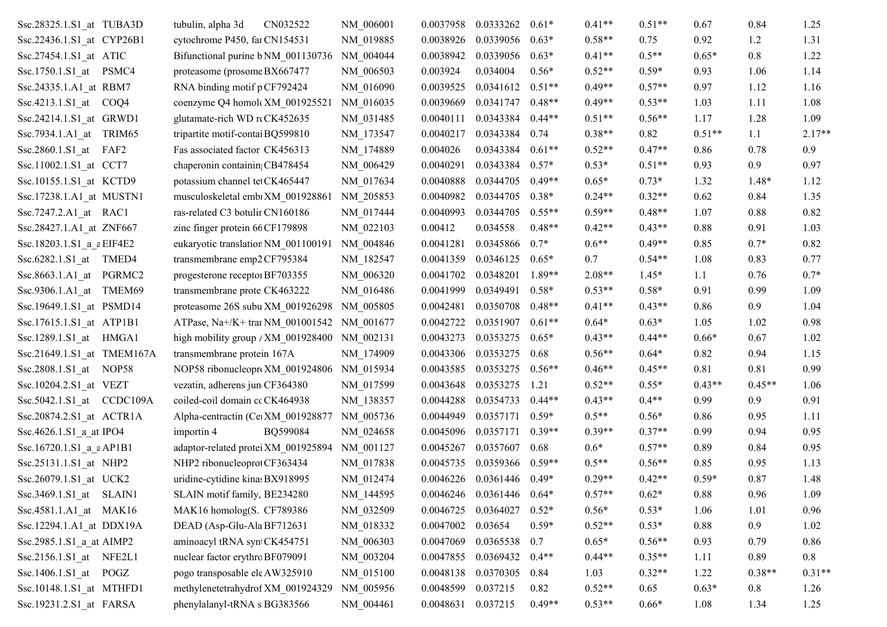| $Ssc.28325.1.S1$ at TUBA3D           | CN032522<br>tubulin, alpha 3d              | NM 006001 | 0.0037958 | 0.0333262                 | $0.61*$  | $0.41**$ | $0.51**$ | 0.67     | 0.84     | 1.25     |
|--------------------------------------|--------------------------------------------|-----------|-----------|---------------------------|----------|----------|----------|----------|----------|----------|
| Ssc.22436.1.S1_at CYP26B1            | cytochrome P450, fai CN154531              | NM 019885 | 0.0038926 | 0.0339056                 | $0.63*$  | $0.58**$ | 0.75     | 0.92     | 1.2      | 1.31     |
| $Ssc.27454.1.S1$ <sub>_at</sub> ATIC | Bifunctional purine b NM_001130736         | NM 004044 | 0.0038942 | 0.0339056                 | $0.63*$  | $0.41**$ | $0.5**$  | $0.65*$  | 0.8      | 1.22     |
| Ssc.1750.1.S1_at PSMC4               | proteasome (prosome BX667477               | NM 006503 | 0.003924  | 0.034004                  | $0.56*$  | $0.52**$ | $0.59*$  | 0.93     | 1.06     | 1.14     |
| Ssc.24335.1.A1 at RBM7               | RNA binding motif p CF792424               | NM 016090 | 0.0039525 | 0.0341612                 | $0.51**$ | $0.49**$ | $0.57**$ | 0.97     | 1.12     | 1.16     |
| Ssc.4213.1.S1_at COQ4                | coenzyme Q4 homolcXM 001925521             | NM 016035 | 0.0039669 | 0.0341747                 | $0.48**$ | $0.49**$ | $0.53**$ | 1.03     | 1.11     | 1.08     |
| Ssc.24214.1.S1 at GRWD1              | glutamate-rich WD rt CK452635              | NM 031485 | 0.0040111 | 0.0343384                 | $0.44**$ | $0.51**$ | $0.56**$ | 1.17     | 1.28     | 1.09     |
| Ssc.7934.1.A1_at TRIM65              | tripartite motif-contai BQ599810           | NM 173547 | 0.0040217 | 0.0343384                 | 0.74     | $0.38**$ | 0.82     | $0.51**$ | 1.1      | $2.17**$ |
| Ssc.2860.1.S1 at FAF2                | Fas associated factor CK456313             | NM 174889 | 0.004026  | 0.0343384                 | $0.61**$ | $0.52**$ | $0.47**$ | 0.86     | 0.78     | 0.9      |
| Ssc.11002.1.S1_at CCT7               | chaperonin containin CB478454              | NM 006429 | 0.0040291 | 0.0343384                 | $0.57*$  | $0.53*$  | $0.51**$ | 0.93     | 0.9      | 0.97     |
| Ssc.10155.1.S1_at KCTD9              | potassium channel tet CK465447             | NM 017634 | 0.0040888 | 0.0344705                 | $0.49**$ | $0.65*$  | $0.73*$  | 1.32     | $1.48*$  | 1.12     |
| Ssc.17238.1.A1 at MUSTN1             | musculoskeletal embi XM 001928861          | NM 205853 | 0.0040982 | 0.0344705                 | $0.38*$  | $0.24**$ | $0.32**$ | 0.62     | 0.84     | 1.35     |
| Ssc.7247.2.A1_at RAC1                | ras-related C3 botulir CN160186            | NM 017444 | 0.0040993 | 0.0344705                 | $0.55**$ | $0.59**$ | $0.48**$ | 1.07     | 0.88     | 0.82     |
| Ssc.28427.1.A1_at ZNF667             | zinc finger protein 66 CF179898            | NM 022103 | 0.00412   | 0.034558                  | $0.48**$ | $0.42**$ | $0.43**$ | 0.88     | 0.91     | 1.03     |
| Ssc.18203.1.S1_a_aEIF4E2             | eukaryotic translatior NM_001100191        | NM 004846 | 0.0041281 | 0.0345866                 | $0.7*$   | $0.6**$  | $0.49**$ | 0.85     | $0.7*$   | 0.82     |
| Ssc.6282.1.S1 at TMED4               | transmembrane emp2 CF795384                |           | 0.0041359 | 0.0346125                 | $0.65*$  | 0.7      | $0.54**$ | 1.08     | 0.83     | 0.77     |
| Ssc.8663.1.A1_at PGRMC2              | progesterone receptor BF703355             | NM 006320 | 0.0041702 | 0.0348201                 | $1.89**$ | $2.08**$ | $1.45*$  | 1.1      | 0.76     | $0.7*$   |
| Ssc.9306.1.A1 at TMEM69              | transmembrane prote CK463222               | NM 016486 | 0.0041999 | 0.0349491                 | $0.58*$  | $0.53**$ | $0.58*$  | 0.91     | 0.99     | 1.09     |
| Ssc.19649.1.S1_at PSMD14             | proteasome 26S subu XM_001926298           | NM 005805 | 0.0042481 | 0.0350708                 | $0.48**$ | $0.41**$ | $0.43**$ | 0.86     | 0.9      | 1.04     |
| Ssc.17615.1.S1 at ATP1B1             | ATPase, Na+/K+ tran NM 001001542 NM 001677 |           | 0.0042722 | 0.0351907                 | $0.61**$ | $0.64*$  | $0.63*$  | 1.05     | 1.02     | 0.98     |
| Ssc.1289.1.S1_at HMGA1               | high mobility group $\angle$ XM_001928400  | NM 002131 | 0.0043273 | 0.0353275                 | $0.65*$  | $0.43**$ | $0.44**$ | $0.66*$  | 0.67     | 1.02     |
| Ssc.21649.1.S1 at TMEM167A           | transmembrane protein 167A                 | NM 174909 | 0.0043306 | 0.0353275                 | 0.68     | $0.56**$ | $0.64*$  | 0.82     | 0.94     | 1.15     |
| Ssc.2808.1.S1_at NOP58               | NOP58 ribonucleoproXM 001924806            | NM 015934 | 0.0043585 | 0.0353275                 | $0.56**$ | $0.46**$ | $0.45**$ | 0.81     | 0.81     | 0.99     |
| Ssc.10204.2.S1 at VEZT               | vezatin, adherens jun CF364380             | NM 017599 | 0.0043648 | 0.0353275                 | 1.21     | $0.52**$ | $0.55*$  | $0.43**$ | $0.45**$ | 1.06     |
| Ssc.5042.1.S1_at CCDC109A            | coiled-coil domain cc CK464938             | NM_138357 | 0.0044288 | 0.0354733                 | $0.44**$ | $0.43**$ | $0.4**$  | 0.99     | 0.9      | 0.91     |
| Ssc.20874.2.S1 at ACTR1A             | Alpha-centractin (Cel XM 001928877         | NM 005736 | 0.0044949 | 0.0357171                 | $0.59*$  | $0.5**$  | $0.56*$  | 0.86     | 0.95     | 1.11     |
| Ssc. 4626.1. S1 a at IPO4            | BQ599084<br>importin 4                     | NM 024658 | 0.0045096 | 0.0357171                 | $0.39**$ | $0.39**$ | $0.37**$ | 0.99     | 0.94     | 0.95     |
| Ssc.16720.1.S1 a aAP1B1              | adaptor-related protei XM 001925894        | NM 001127 | 0.0045267 | 0.0357607                 | 0.68     | $0.6*$   | $0.57**$ | 0.89     | 0.84     | 0.95     |
| Ssc.25131.1.S1_at NHP2               | NHP2 ribonucleoprot CF363434               | NM_017838 | 0.0045735 | 0.0359366                 | $0.59**$ | $0.5**$  | $0.56**$ | 0.85     | 0.95     | 1.13     |
| Ssc.26079.1.S1_at UCK2               | uridine-cytidine kinas BX918995            | NM_012474 |           | 0.0046226 0.0361446 0.49* |          | $0.29**$ | $0.42**$ | $0.59*$  | 0.87     | 1.48     |
| Ssc.3469.1.S1_at SLAIN1              | SLAIN motif family, BE234280               | NM 144595 | 0.0046246 | 0.0361446                 | $0.64*$  | $0.57**$ | $0.62*$  | 0.88     | 0.96     | 1.09     |
| Ssc.4581.1.A1_at MAK16               | MAK16 homolog(S. CF789386                  | NM 032509 | 0.0046725 | 0.0364027                 | $0.52*$  | $0.56*$  | $0.53*$  | 1.06     | 1.01     | 0.96     |
| Ssc.12294.1.A1 at DDX19A             | DEAD (Asp-Glu-Ala BF712631                 | NM 018332 | 0.0047002 | 0.03654                   | $0.59*$  | $0.52**$ | $0.53*$  | 0.88     | 0.9      | 1.02     |
| Ssc.2985.1.S1_a_at AIMP2             | aminoacyl tRNA syn CK454751                | NM_006303 | 0.0047069 | 0.0365538                 | 0.7      | $0.65*$  | $0.56**$ | 0.93     | 0.79     | 0.86     |
| Ssc.2156.1.S1 at NFE2L1              | nuclear factor erythrc BF079091            | NM 003204 | 0.0047855 | 0.0369432                 | $0.4**$  | $0.44**$ | $0.35**$ | 1.11     | 0.89     | 0.8      |
| $Ssc.1406.1.S1_at$ POGZ              | pogo transposable ele AW325910             | NM_015100 | 0.0048138 | 0.0370305                 | 0.84     | 1.03     | $0.32**$ | 1.22     | $0.38**$ | $0.31**$ |
| Ssc.10148.1.S1 at MTHFD1             | methylenetetrahydrof XM 001924329          | NM 005956 | 0.0048599 | 0.037215                  | 0.82     | $0.52**$ | 0.65     | $0.63*$  | 0.8      | 1.26     |
| Ssc.19231.2.S1_at FARSA              | phenylalanyl-tRNA s BG383566               | NM_004461 | 0.0048631 | 0.037215                  | $0.49**$ | $0.53**$ | $0.66*$  | 1.08     | 1.34     | 1.25     |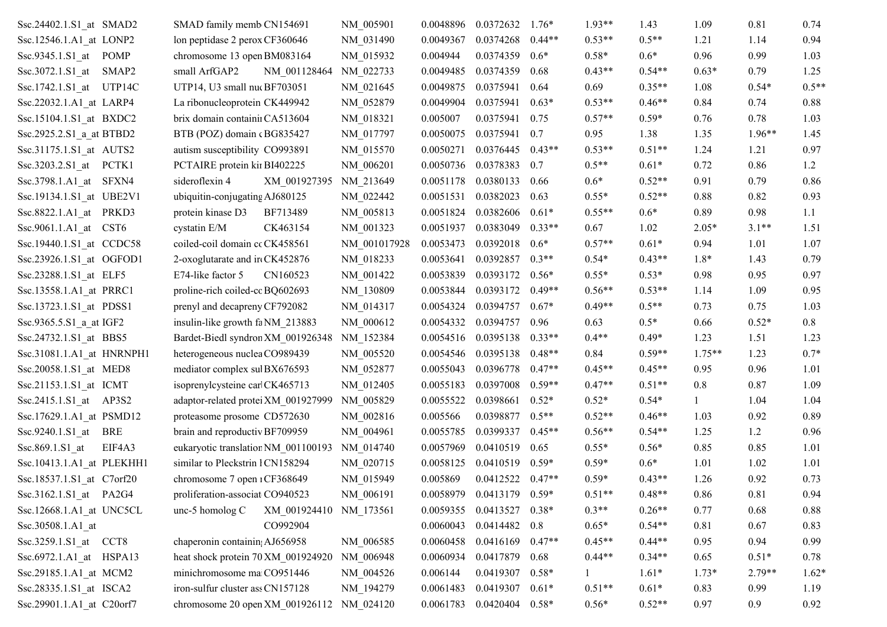| Ssc.24402.1.S1 at SMAD2                 | SMAD family memb CN154691                   | NM 005901    | 0.0048896 | 0.0372632                   | $1.76*$  | $1.93**$ | 1.43     | 1.09     | 0.81     | 0.74    |
|-----------------------------------------|---------------------------------------------|--------------|-----------|-----------------------------|----------|----------|----------|----------|----------|---------|
| Ssc.12546.1.A1 at LONP2                 | lon peptidase 2 perox CF360646              | NM 031490    | 0.0049367 | 0.0374268                   | $0.44**$ | $0.53**$ | $0.5**$  | 1.21     | 1.14     | 0.94    |
| Ssc.9345.1.S1_at POMP                   | chromosome 13 open BM083164                 | NM 015932    | 0.004944  | 0.0374359                   | $0.6*$   | $0.58*$  | $0.6*$   | 0.96     | 0.99     | 1.03    |
| Ssc.3072.1.S1_at SMAP2                  | small ArfGAP2<br>NM 001128464               | NM 022733    | 0.0049485 | 0.0374359                   | 0.68     | $0.43**$ | $0.54**$ | $0.63*$  | 0.79     | 1.25    |
| Ssc.1742.1.S1_at UTP14C                 | UTP14, U3 small nuc BF703051                | NM 021645    | 0.0049875 | 0.0375941                   | 0.64     | 0.69     | $0.35**$ | 1.08     | $0.54*$  | $0.5**$ |
| Ssc.22032.1.A1_at LARP4                 | La ribonucleoprotein CK449942               | NM 052879    | 0.0049904 | 0.0375941                   | $0.63*$  | $0.53**$ | $0.46**$ | 0.84     | 0.74     | 0.88    |
| Ssc.15104.1.S1_at BXDC2                 | brix domain containii CA513604              | NM 018321    | 0.005007  | 0.0375941                   | 0.75     | $0.57**$ | $0.59*$  | 0.76     | 0.78     | 1.03    |
| Ssc.2925.2.S1_a_at BTBD2                | BTB (POZ) domain cBG835427                  | NM 017797    | 0.0050075 | 0.0375941                   | 0.7      | 0.95     | 1.38     | 1.35     | $1.96**$ | 1.45    |
| Ssc.31175.1.S1 at AUTS2                 | autism susceptibility CO993891              | NM 015570    | 0.0050271 | 0.0376445                   | $0.43**$ | $0.53**$ | $0.51**$ | 1.24     | 1.21     | 0.97    |
| Ssc.3203.2.S1_at PCTK1                  | PCTAIRE protein kir BI402225                | NM_006201    | 0.0050736 | 0.0378383                   | 0.7      | $0.5**$  | $0.61*$  | 0.72     | 0.86     | 1.2     |
| Ssc.3798.1.A1_at SFXN4                  | sideroflexin 4<br>XM 001927395              | NM 213649    | 0.0051178 | 0.0380133                   | 0.66     | $0.6*$   | $0.52**$ | 0.91     | 0.79     | 0.86    |
| Ssc.19134.1.S1_at UBE2V1                | ubiquitin-conjugating AJ680125              | NM 022442    | 0.0051531 | 0.0382023                   | 0.63     | $0.55*$  | $0.52**$ | 0.88     | 0.82     | 0.93    |
| Ssc.8822.1.A1_at PRKD3                  | protein kinase D3<br>BF713489               | NM 005813    | 0.0051824 | 0.0382606                   | $0.61*$  | $0.55**$ | $0.6*$   | 0.89     | 0.98     | 1.1     |
| Ssc.9061.1.A1_at CST6                   | cystatin E/M<br>CK463154                    | NM_001323    | 0.0051937 | 0.0383049                   | $0.33**$ | 0.67     | 1.02     | $2.05*$  | $3.1**$  | 1.51    |
| Ssc.19440.1.S1_at CCDC58                | coiled-coil domain cc CK458561              | NM 001017928 | 0.0053473 | 0.0392018                   | $0.6*$   | $0.57**$ | $0.61*$  | 0.94     | 1.01     | 1.07    |
| Ssc.23926.1.S1_at OGFOD1                | 2-oxoglutarate and in CK452876              | NM 018233    | 0.0053641 | 0.0392857                   | $0.3**$  | $0.54*$  | $0.43**$ | $1.8*$   | 1.43     | 0.79    |
| Ssc.23288.1.S1_at ELF5                  | CN160523<br>E74-like factor 5               | NM 001422    | 0.0053839 | 0.0393172                   | $0.56*$  | $0.55*$  | $0.53*$  | 0.98     | 0.95     | 0.97    |
| Ssc.13558.1.A1_at PRRC1                 | proline-rich coiled-cc BQ602693             | NM 130809    | 0.0053844 | 0.0393172                   | $0.49**$ | $0.56**$ | $0.53**$ | 1.14     | 1.09     | 0.95    |
| Ssc.13723.1.S1_at PDSS1                 | prenyl and decapreny CF792082               | NM 014317    | 0.0054324 | 0.0394757                   | $0.67*$  | $0.49**$ | $0.5**$  | 0.73     | 0.75     | 1.03    |
| Ssc.9365.5.S1_a_at IGF2                 | insulin-like growth fa NM 213883            | NM_000612    | 0.0054332 | 0.0394757                   | 0.96     | 0.63     | $0.5*$   | 0.66     | $0.52*$  | 0.8     |
| Ssc.24732.1.S1_at BBS5                  | Bardet-Biedl syndron XM_001926348           | NM_152384    | 0.0054516 | 0.0395138                   | $0.33**$ | $0.4**$  | $0.49*$  | 1.23     | 1.51     | 1.23    |
| $Ssc.31081.1.A1_at HNRNPH1$             | heterogeneous nuclea CO989439               | NM 005520    | 0.0054546 | 0.0395138                   | $0.48**$ | 0.84     | $0.59**$ | $1.75**$ | 1.23     | $0.7*$  |
| Ssc.20058.1.S1_at MED8                  | mediator complex sul BX676593               | NM 052877    | 0.0055043 | 0.0396778                   | $0.47**$ | $0.45**$ | $0.45**$ | 0.95     | 0.96     | 1.01    |
| Ssc.21153.1.S1 at ICMT                  | isoprenylcysteine car CK465713              | NM 012405    | 0.0055183 | 0.0397008                   | $0.59**$ | $0.47**$ | $0.51**$ | 0.8      | 0.87     | 1.09    |
| Ssc.2415.1.S1_at AP3S2                  | adaptor-related protei XM_001927999         | NM_005829    | 0.0055522 | 0.0398661                   | $0.52*$  | $0.52*$  | $0.54*$  |          | 1.04     | 1.04    |
| Ssc.17629.1.A1 at PSMD12                | proteasome prosome CD572630                 | NM 002816    | 0.005566  | 0.0398877                   | $0.5**$  | $0.52**$ | $0.46**$ | 1.03     | 0.92     | 0.89    |
| Ssc.9240.1.S1_at<br>BRE                 | brain and reproductiv BF709959              | NM 004961    | 0.0055785 | 0.0399337                   | $0.45**$ | $0.56**$ | $0.54**$ | 1.25     | 1.2      | 0.96    |
| $Ssc.869.1.S1$ <sub>_at</sub><br>EIF4A3 | eukaryotic translation NM_001100193         | NM 014740    | 0.0057969 | 0.0410519                   | 0.65     | $0.55*$  | $0.56*$  | 0.85     | 0.85     | 1.01    |
| Ssc.10413.1.A1_at PLEKHH1               | similar to Pleckstrin lCN158294             | NM_020715    | 0.0058125 | 0.0410519                   | $0.59*$  | $0.59*$  | $0.6*$   | 1.01     | 1.02     | 1.01    |
| Ssc.18537.1.S1 at C7orf20               | chromosome 7 open 1CF368649                 | NM_015949    | 0.005869  | $0.0412522$ $0.47**$        |          | $0.59*$  | $0.43**$ | 1.26     | 0.92     | 0.73    |
| Ssc.3162.1.S1 at PA2G4                  | proliferation-associat CO940523             | NM_006191    | 0.0058979 | 0.0413179                   | $0.59*$  | $0.51**$ | $0.48**$ | 0.86     | 0.81     | 0.94    |
| Ssc.12668.1.A1_at UNC5CL                | $unc-5$ homolog C<br>XM 001924410 NM 173561 |              | 0.0059355 | 0.0413527                   | $0.38*$  | $0.3**$  | $0.26**$ | 0.77     | 0.68     | 0.88    |
| Ssc.30508.1.A1 at                       | CO992904                                    |              | 0.0060043 | 0.0414482 0.8               |          | $0.65*$  | $0.54**$ | 0.81     | 0.67     | 0.83    |
| Ssc.3259.1.S1 at CCT8                   | chaperonin containin AJ656958               | NM_006585    | 0.0060458 | 0.0416169                   | $0.47**$ | $0.45**$ | $0.44**$ | 0.95     | 0.94     | 0.99    |
| Ssc.6972.1.A1 at HSPA13                 | heat shock protein 70 XM 001924920          | NM 006948    | 0.0060934 | 0.0417879                   | 0.68     | $0.44**$ | $0.34**$ | 0.65     | $0.51*$  | 0.78    |
| Ssc.29185.1.A1 at MCM2                  | minichromosome ma CO951446                  | NM 004526    | 0.006144  | 0.0419307                   | $0.58*$  | -1       | $1.61*$  | $1.73*$  | $2.79**$ | $1.62*$ |
| Ssc.28335.1.S1 at ISCA2                 | iron-sulfur cluster ass CN157128            | NM 194279    | 0.0061483 | 0.0419307                   | $0.61*$  | $0.51**$ | $0.61*$  | 0.83     | 0.99     | 1.19    |
| Ssc.29901.1.A1_at C20orf7               | chromosome 20 open XM_001926112 NM_024120   |              |           | 0.0061783  0.0420404  0.58* |          | $0.56*$  | $0.52**$ | 0.97     | 0.9      | 0.92    |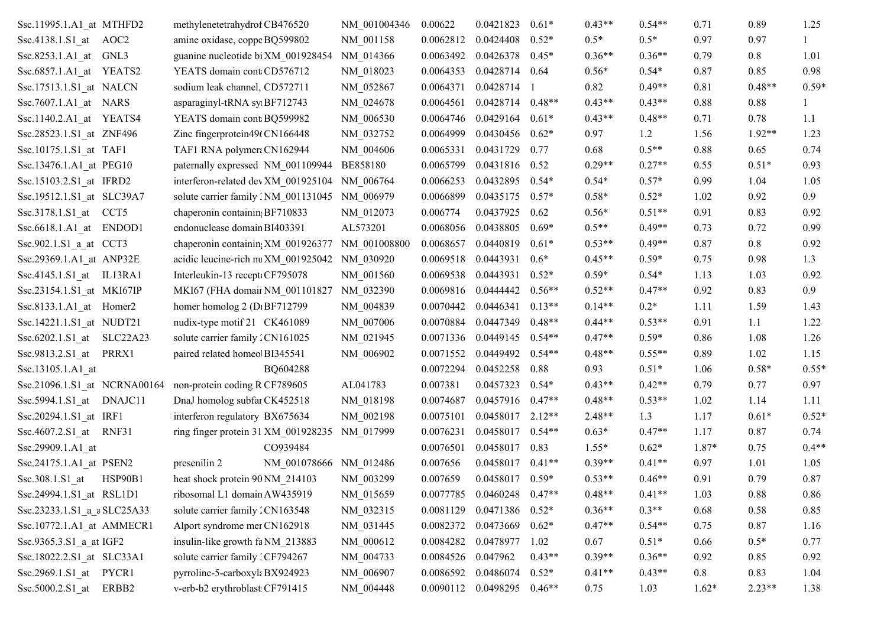| Ssc.11995.1.A1_at MTHFD2        |        | methylenetetrahydrof CB476520             |                        | NM 001004346 | 0.00622   | 0.0421823            | $0.61*$  | $0.43**$ | $0.54**$ | 0.71    | 0.89     | 1.25    |
|---------------------------------|--------|-------------------------------------------|------------------------|--------------|-----------|----------------------|----------|----------|----------|---------|----------|---------|
| Ssc.4138.1.S1 at AOC2           |        | amine oxidase, coppe BQ599802             |                        | NM 001158    | 0.0062812 | 0.0424408            | $0.52*$  | $0.5*$   | $0.5*$   | 0.97    | 0.97     |         |
| Ssc.8253.1.A1_at                | GNL3   | guanine nucleotide bi XM_001928454        |                        | NM 014366    | 0.0063492 | 0.0426378            | $0.45*$  | $0.36**$ | $0.36**$ | 0.79    | 0.8      | 1.01    |
| Ssc.6857.1.A1 at YEATS2         |        | YEATS domain cont CD576712                |                        | NM 018023    | 0.0064353 | 0.0428714            | 0.64     | $0.56*$  | $0.54*$  | 0.87    | 0.85     | 0.98    |
| Ssc.17513.1.S1 at NALCN         |        | sodium leak channel, CD572711             |                        | NM 052867    | 0.0064371 | 0.0428714 1          |          | 0.82     | $0.49**$ | 0.81    | $0.48**$ | $0.59*$ |
| Ssc. 7607.1.A1 at NARS          |        | asparaginyl-tRNA sy BF712743              |                        | NM 024678    | 0.0064561 | 0.0428714            | $0.48**$ | $0.43**$ | $0.43**$ | 0.88    | 0.88     |         |
| Ssc.1140.2.A1_at YEATS4         |        | YEATS domain cont BQ599982                |                        | NM 006530    | 0.0064746 | 0.0429164            | $0.61*$  | $0.43**$ | $0.48**$ | 0.71    | 0.78     | 1.1     |
| Ssc.28523.1.S1 at ZNF496        |        | Zinc fingerprotein49t CN166448            |                        | NM 032752    | 0.0064999 | 0.0430456            | $0.62*$  | 0.97     | 1.2      | 1.56    | $1.92**$ | 1.23    |
| Ssc.10175.1.S1 at TAF1          |        | TAF1 RNA polymer CN162944                 |                        | NM_004606    | 0.0065331 | 0.0431729            | 0.77     | 0.68     | $0.5**$  | 0.88    | 0.65     | 0.74    |
| Ssc.13476.1.A1_at PEG10         |        | paternally expressed NM 001109944         |                        | BE858180     | 0.0065799 | 0.0431816            | 0.52     | $0.29**$ | $0.27**$ | 0.55    | $0.51*$  | 0.93    |
| Ssc.15103.2.S1_at IFRD2         |        | interferon-related dev XM_001925104       |                        | NM_006764    | 0.0066253 | 0.0432895            | $0.54*$  | $0.54*$  | $0.57*$  | 0.99    | 1.04     | 1.05    |
| Ssc.19512.1.S1_at SLC39A7       |        | solute carrier family (NM 001131045       |                        | NM 006979    | 0.0066899 | 0.0435175            | $0.57*$  | $0.58*$  | $0.52*$  | 1.02    | 0.92     | 0.9     |
| Ssc.3178.1.S1 at                | CCT5   | chaperonin containin BF710833             |                        | NM 012073    | 0.006774  | 0.0437925            | 0.62     | $0.56*$  | $0.51**$ | 0.91    | 0.83     | 0.92    |
| $Ssc.6618.1.A1$ <sub>_</sub> at | ENDOD1 | endonuclease domain BI403391              |                        | AL573201     | 0.0068056 | 0.0438805            | $0.69*$  | $0.5**$  | $0.49**$ | 0.73    | 0.72     | 0.99    |
| Ssc.902.1.S1_a_at CCT3          |        | chaperonin containin XM 001926377         |                        | NM 001008800 | 0.0068657 | 0.0440819            | $0.61*$  | $0.53**$ | $0.49**$ | 0.87    | 0.8      | 0.92    |
| Ssc.29369.1.A1_at ANP32E        |        | acidic leucine-rich nu XM 001925042       |                        | NM 030920    | 0.0069518 | 0.0443931            | $0.6*$   | $0.45**$ | $0.59*$  | 0.75    | 0.98     | 1.3     |
| Ssc.4145.1.S1_at IL13RA1        |        | Interleukin-13 recept CF795078            |                        | NM_001560    | 0.0069538 | 0.0443931            | $0.52*$  | $0.59*$  | $0.54*$  | 1.13    | 1.03     | 0.92    |
| Ssc.23154.1.S1_at MKI67IP       |        | MKI67 (FHA domair NM_001101827            |                        | NM_032390    | 0.0069816 | 0.0444442            | $0.56**$ | $0.52**$ | $0.47**$ | 0.92    | 0.83     | 0.9     |
| Ssc.8133.1.A1_at Homer2         |        | homer homolog 2 (D <sub>1</sub> BF712799) |                        | NM 004839    | 0.0070442 | 0.0446341            | $0.13**$ | $0.14**$ | $0.2*$   | 1.11    | 1.59     | 1.43    |
| Ssc.14221.1.S1 at NUDT21        |        | nudix-type motif 21 CK461089              |                        | NM 007006    | 0.0070884 | 0.0447349            | $0.48**$ | $0.44**$ | $0.53**$ | 0.91    | 1.1      | 1.22    |
| Ssc.6202.1.S1 at SLC22A23       |        | solute carrier family 'CN161025           |                        | NM 021945    | 0.0071336 | 0.0449145            | $0.54**$ | $0.47**$ | $0.59*$  | 0.86    | 1.08     | 1.26    |
| Ssc.9813.2.S1 at PRRX1          |        | paired related homeo BI345541             |                        | NM 006902    | 0.0071552 | 0.0449492            | $0.54**$ | $0.48**$ | $0.55**$ | 0.89    | 1.02     | 1.15    |
| Ssc.13105.1.A1 at               |        |                                           | BQ604288               |              | 0.0072294 | 0.0452258            | 0.88     | 0.93     | $0.51*$  | 1.06    | $0.58*$  | $0.55*$ |
| Ssc.21096.1.S1 at NCRNA00164    |        | non-protein coding R CF789605             |                        | AL041783     | 0.007381  | 0.0457323            | $0.54*$  | $0.43**$ | $0.42**$ | 0.79    | 0.77     | 0.97    |
| Ssc.5994.1.S1_at DNAJC11        |        | DnaJ homolog subfar CK452518              |                        | NM 018198    | 0.0074687 | 0.0457916            | $0.47**$ | $0.48**$ | $0.53**$ | 1.02    | 1.14     | 1.11    |
| Ssc.20294.1.S1 at IRF1          |        | interferon regulatory BX675634            |                        | NM 002198    | 0.0075101 | 0.0458017            | $2.12**$ | 2.48**   | 1.3      | 1.17    | $0.61*$  | $0.52*$ |
| Ssc.4607.2.S1_at RNF31          |        | ring finger protein 31 XM_001928235       |                        | NM 017999    | 0.0076231 | 0.0458017            | $0.54**$ | $0.63*$  | $0.47**$ | 1.17    | 0.87     | 0.74    |
| Ssc.29909.1.A1 at               |        |                                           | CO939484               |              | 0.0076501 | 0.0458017            | 0.83     | $1.55*$  | $0.62*$  | 1.87*   | 0.75     | $0.4**$ |
| Ssc.24175.1.A1_at PSEN2         |        | presenilin 2                              | NM 001078666 NM 012486 |              | 0.007656  | 0.0458017            | $0.41**$ | $0.39**$ | $0.41**$ | 0.97    | 1.01     | 1.05    |
| Ssc.308.1.S1 at HSP90B1         |        | heat shock protein 90 NM_214103           |                        | NM_003299    | 0.007659  | $0.0458017$ 0.59*    |          | $0.53**$ | $0.46**$ | 0.91    | 0.79     | 0.87    |
| Ssc.24994.1.S1_at RSL1D1        |        | ribosomal L1 domain AW435919              |                        | NM_015659    | 0.0077785 | $0.0460248$ $0.47**$ |          | $0.48**$ | $0.41**$ | 1.03    | 0.88     | 0.86    |
| Ssc.23233.1.S1 a aSLC25A33      |        | solute carrier family 'CN163548           |                        | NM 032315    | 0.0081129 | 0.0471386            | $0.52*$  | $0.36**$ | $0.3**$  | 0.68    | 0.58     | 0.85    |
| Ssc.10772.1.A1_at AMMECR1       |        | Alport syndrome mer CN162918              |                        | NM_031445    | 0.0082372 | 0.0473669            | $0.62*$  | $0.47**$ | $0.54**$ | 0.75    | 0.87     | 1.16    |
| Ssc.9365.3.S1_a_at IGF2         |        | insulin-like growth fa NM_213883          |                        | NM 000612    | 0.0084282 | 0.0478977            | 1.02     | 0.67     | $0.51*$  | 0.66    | $0.5*$   | 0.77    |
| Ssc.18022.2.S1 at SLC33A1       |        | solute carrier family : CF794267          |                        | NM 004733    | 0.0084526 | 0.047962             | $0.43**$ | $0.39**$ | $0.36**$ | 0.92    | 0.85     | 0.92    |
| Ssc.2969.1.S1_at PYCR1          |        | pyrroline-5-carboxyla BX924923            |                        | NM_006907    | 0.0086592 | 0.0486074            | $0.52*$  | $0.41**$ | $0.43**$ | 0.8     | 0.83     | 1.04    |
| Ssc.5000.2.S1_at ERBB2          |        | v-erb-b2 erythroblast CF791415            |                        | NM_004448    |           | 0.0090112 0.0498295  | $0.46**$ | 0.75     | 1.03     | $1.62*$ | $2.23**$ | 1.38    |